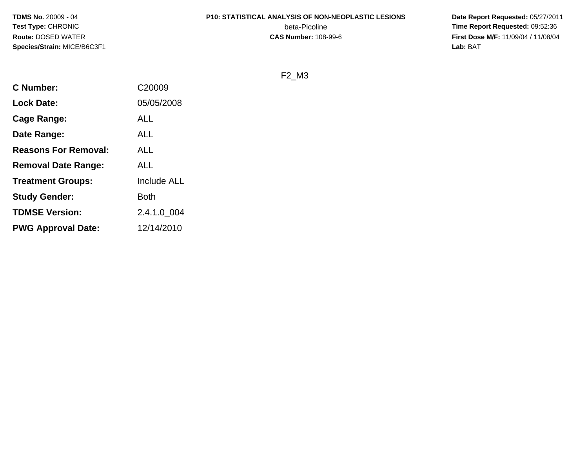**TDMS No.** 20009 - 04**Test Type:** CHRONIC**Route:** DOSED WATER**Species/Strain:** MICE/B6C3F1

#### **P10: STATISTICAL ANALYSIS OF NON-NEOPLASTIC LESIONS**

beta-Picoline<br>CAS Number: 108-99-6

 **Date Report Requested:** 05/27/2011 **Time Report Requested:** 09:52:36 **First Dose M/F:** 11/09/04 / 11/08/04<br>Lab: BAT **Lab:** BAT

F2\_M3

| <b>C</b> Number:            | C20009             |
|-----------------------------|--------------------|
| <b>Lock Date:</b>           | 05/05/2008         |
| Cage Range:                 | ALL                |
| Date Range:                 | ALL                |
| <b>Reasons For Removal:</b> | ALL                |
| <b>Removal Date Range:</b>  | ALL                |
| <b>Treatment Groups:</b>    | <b>Include ALL</b> |
| <b>Study Gender:</b>        | Both               |
| <b>TDMSE Version:</b>       | 2.4.1.0_004        |
| <b>PWG Approval Date:</b>   | 12/14/2010         |
|                             |                    |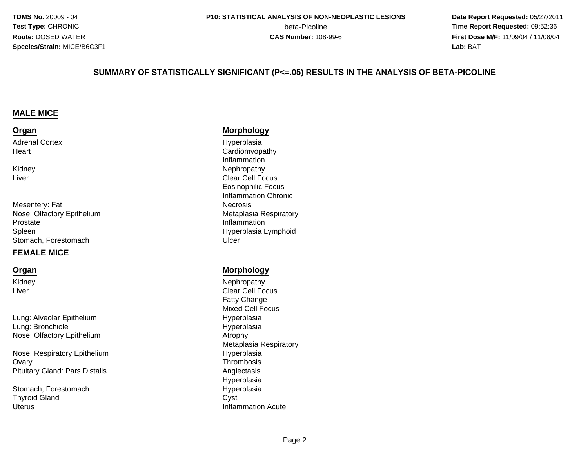**TDMS No.** 20009 - 04**Test Type:** CHRONIC**Route:** DOSED WATER**Species/Strain:** MICE/B6C3F1

 **Date Report Requested:** 05/27/2011 **beta-Picoline**<br> **CAS Number:** 108-99-6<br> **CAS Number:** 108-99-6<br> **CAS Number:** 108-99-6 **First Dose M/F:** 11/09/04 / 11/08/04 Lab: BAT **Lab:** BAT

#### **SUMMARY OF STATISTICALLY SIGNIFICANT (P<=.05) RESULTS IN THE ANALYSIS OF BETA-PICOLINE**

#### **MALE MICE**

#### **Organ**

Adrenal Cortex**Heart** 

KidneyLiver

Mesentery: FatNose: Olfactory EpitheliumProstateSpleenStomach, Forestomachh Ulcer is a state of the Ulcer of the Ulcer is a state of the Ulcer in the Ulcer is a state of the Ulcer in the Ulcer is a state of the Ulcer in the Ulcer is a state of the Ulcer in the Ulcer is a state of the Ulcer in th

#### **FEMALE MICE**

#### **Organ**

KidneyLiver

Lung: Alveolar EpitheliumLung: BronchioleNose: Olfactory Epithelium

Nose: Respiratory Epithelium**Ovary** y thrombosis and the contract of the contract of the contract of the contract of the contract of the contract of the contract of the contract of the contract of the contract of the contract of the contract of the contract Pituitary Gland: Pars Distalis

Stomach, ForestomachThyroid Glandd Cyst **Uterus** 

#### **Morphology**

 Hyperplasiat and the contract of the contract of the contract of the contract of  $\sim$  Cardiomyopathy Inflammationy **Nephropathy**  Clear Cell Focus Eosinophilic Focus Inflammation Chronic**Necrosis**  Metaplasia Respiratory Inflammation Hyperplasia Lymphoid

#### **Morphology**

 Nephropathy Clear Cell FocusFatty Change Mixed Cell Focus Hyperplasia Hyperplasia<br>Atrophy m Atrophy<br>Material Metaphy Metaplasia RespiratoryHyperplasia<br>Thrombosis Angiectasis Hyperplasiah Byperplasia Inflammation Acute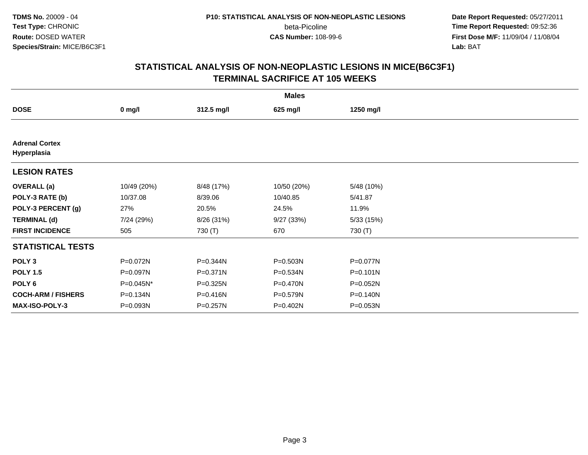**Date Report Requested:** 05/27/2011 **Time Report Requested:** 09:52:36 **First Dose M/F:** 11/09/04 / 11/08/04<br>Lab: BAT **Lab:** BAT

|                                      | <b>Males</b> |              |             |              |  |  |  |  |
|--------------------------------------|--------------|--------------|-------------|--------------|--|--|--|--|
| <b>DOSE</b>                          | $0$ mg/l     | 312.5 mg/l   | 625 mg/l    | 1250 mg/l    |  |  |  |  |
|                                      |              |              |             |              |  |  |  |  |
| <b>Adrenal Cortex</b><br>Hyperplasia |              |              |             |              |  |  |  |  |
| <b>LESION RATES</b>                  |              |              |             |              |  |  |  |  |
| <b>OVERALL</b> (a)                   | 10/49 (20%)  | 8/48 (17%)   | 10/50 (20%) | 5/48 (10%)   |  |  |  |  |
| POLY-3 RATE (b)                      | 10/37.08     | 8/39.06      | 10/40.85    | 5/41.87      |  |  |  |  |
| POLY-3 PERCENT (g)                   | 27%          | 20.5%        | 24.5%       | 11.9%        |  |  |  |  |
| <b>TERMINAL (d)</b>                  | 7/24 (29%)   | 8/26 (31%)   | 9/27 (33%)  | 5/33(15%)    |  |  |  |  |
| <b>FIRST INCIDENCE</b>               | 505          | 730 (T)      | 670         | 730 (T)      |  |  |  |  |
| <b>STATISTICAL TESTS</b>             |              |              |             |              |  |  |  |  |
| POLY <sub>3</sub>                    | P=0.072N     | P=0.344N     | P=0.503N    | P=0.077N     |  |  |  |  |
| <b>POLY 1.5</b>                      | P=0.097N     | $P = 0.371N$ | P=0.534N    | $P = 0.101N$ |  |  |  |  |
| POLY <sub>6</sub>                    | P=0.045N*    | $P = 0.325N$ | P=0.470N    | P=0.052N     |  |  |  |  |
| <b>COCH-ARM / FISHERS</b>            | P=0.134N     | P=0.416N     | P=0.579N    | P=0.140N     |  |  |  |  |
| <b>MAX-ISO-POLY-3</b>                | P=0.093N     | P=0.257N     | P=0.402N    | P=0.053N     |  |  |  |  |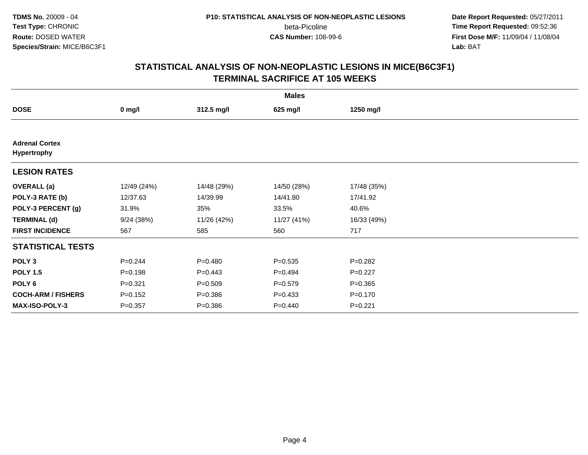**Date Report Requested:** 05/27/2011 **Time Report Requested:** 09:52:36 **First Dose M/F:** 11/09/04 / 11/08/04<br>Lab: BAT **Lab:** BAT

| <b>Males</b>                         |             |             |             |             |  |  |  |
|--------------------------------------|-------------|-------------|-------------|-------------|--|--|--|
| <b>DOSE</b>                          | $0$ mg/l    | 312.5 mg/l  | 625 mg/l    | 1250 mg/l   |  |  |  |
|                                      |             |             |             |             |  |  |  |
| <b>Adrenal Cortex</b><br>Hypertrophy |             |             |             |             |  |  |  |
| <b>LESION RATES</b>                  |             |             |             |             |  |  |  |
| <b>OVERALL</b> (a)                   | 12/49 (24%) | 14/48 (29%) | 14/50 (28%) | 17/48 (35%) |  |  |  |
| POLY-3 RATE (b)                      | 12/37.63    | 14/39.99    | 14/41.80    | 17/41.92    |  |  |  |
| POLY-3 PERCENT (g)                   | 31.9%       | 35%         | 33.5%       | 40.6%       |  |  |  |
| <b>TERMINAL (d)</b>                  | 9/24(38%)   | 11/26 (42%) | 11/27 (41%) | 16/33 (49%) |  |  |  |
| <b>FIRST INCIDENCE</b>               | 567         | 585         | 560         | 717         |  |  |  |
| <b>STATISTICAL TESTS</b>             |             |             |             |             |  |  |  |
| POLY <sub>3</sub>                    | $P=0.244$   | $P=0.480$   | $P = 0.535$ | $P = 0.282$ |  |  |  |
| <b>POLY 1.5</b>                      | $P = 0.198$ | $P=0.443$   | $P=0.494$   | $P=0.227$   |  |  |  |
| POLY 6                               | $P = 0.321$ | $P = 0.509$ | $P = 0.579$ | $P = 0.365$ |  |  |  |
| <b>COCH-ARM / FISHERS</b>            | $P = 0.152$ | $P = 0.386$ | $P=0.433$   | $P = 0.170$ |  |  |  |
| MAX-ISO-POLY-3                       | $P = 0.357$ | $P = 0.386$ | $P = 0.440$ | $P = 0.221$ |  |  |  |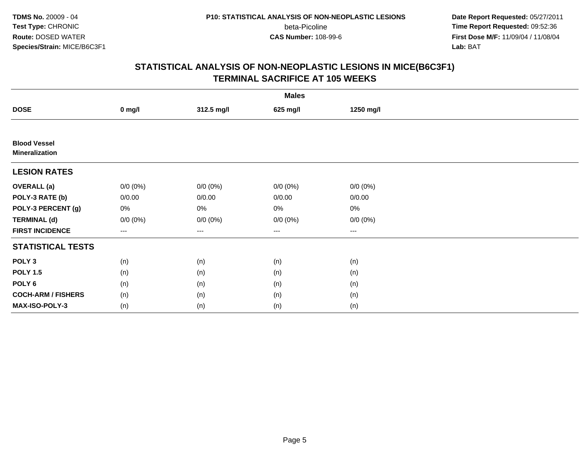**TDMS No.** 20009 - 04**Test Type:** CHRONIC**Route:** DOSED WATER**Species/Strain:** MICE/B6C3F1

beta-Picoline<br>CAS Number: 108-99-6

 **Date Report Requested:** 05/27/2011 **Time Report Requested:** 09:52:36 **First Dose M/F:** 11/09/04 / 11/08/04<br>Lab: BAT **Lab:** BAT

|                                              | <b>Males</b> |             |             |             |  |  |  |  |
|----------------------------------------------|--------------|-------------|-------------|-------------|--|--|--|--|
| <b>DOSE</b>                                  | $0$ mg/l     | 312.5 mg/l  | 625 mg/l    | 1250 mg/l   |  |  |  |  |
|                                              |              |             |             |             |  |  |  |  |
| <b>Blood Vessel</b><br><b>Mineralization</b> |              |             |             |             |  |  |  |  |
| <b>LESION RATES</b>                          |              |             |             |             |  |  |  |  |
| <b>OVERALL</b> (a)                           | $0/0 (0\%)$  | $0/0 (0\%)$ | $0/0 (0\%)$ | $0/0 (0\%)$ |  |  |  |  |
| POLY-3 RATE (b)                              | 0/0.00       | 0/0.00      | 0/0.00      | 0/0.00      |  |  |  |  |
| POLY-3 PERCENT (g)                           | 0%           | 0%          | 0%          | $0\%$       |  |  |  |  |
| <b>TERMINAL (d)</b>                          | $0/0 (0\%)$  | $0/0 (0\%)$ | $0/0 (0\%)$ | $0/0 (0\%)$ |  |  |  |  |
| <b>FIRST INCIDENCE</b>                       | ---          | $---$       | $---$       | ---         |  |  |  |  |
| <b>STATISTICAL TESTS</b>                     |              |             |             |             |  |  |  |  |
| POLY <sub>3</sub>                            | (n)          | (n)         | (n)         | (n)         |  |  |  |  |
| <b>POLY 1.5</b>                              | (n)          | (n)         | (n)         | (n)         |  |  |  |  |
| POLY <sub>6</sub>                            | (n)          | (n)         | (n)         | (n)         |  |  |  |  |
| <b>COCH-ARM / FISHERS</b>                    | (n)          | (n)         | (n)         | (n)         |  |  |  |  |
| MAX-ISO-POLY-3                               | (n)          | (n)         | (n)         | (n)         |  |  |  |  |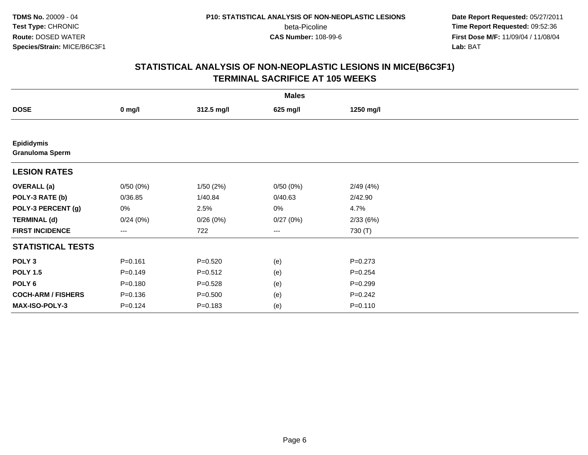**TDMS No.** 20009 - 04**Test Type:** CHRONIC**Route:** DOSED WATER**Species/Strain:** MICE/B6C3F1

beta-Picoline<br>CAS Number: 108-99-6

 **Date Report Requested:** 05/27/2011 **Time Report Requested:** 09:52:36 **First Dose M/F:** 11/09/04 / 11/08/04<br>Lab: BAT **Lab:** BAT

|                                             | <b>Males</b> |             |          |             |  |  |  |  |
|---------------------------------------------|--------------|-------------|----------|-------------|--|--|--|--|
| <b>DOSE</b>                                 | $0$ mg/l     | 312.5 mg/l  | 625 mg/l | 1250 mg/l   |  |  |  |  |
|                                             |              |             |          |             |  |  |  |  |
| <b>Epididymis</b><br><b>Granuloma Sperm</b> |              |             |          |             |  |  |  |  |
| <b>LESION RATES</b>                         |              |             |          |             |  |  |  |  |
| <b>OVERALL</b> (a)                          | 0/50(0%)     | 1/50(2%)    | 0/50(0%) | 2/49(4%)    |  |  |  |  |
| POLY-3 RATE (b)                             | 0/36.85      | 1/40.84     | 0/40.63  | 2/42.90     |  |  |  |  |
| POLY-3 PERCENT (g)                          | 0%           | 2.5%        | 0%       | 4.7%        |  |  |  |  |
| <b>TERMINAL (d)</b>                         | 0/24(0%)     | 0/26(0%)    | 0/27(0%) | 2/33(6%)    |  |  |  |  |
| <b>FIRST INCIDENCE</b>                      | ---          | 722         | $--$     | 730 (T)     |  |  |  |  |
| <b>STATISTICAL TESTS</b>                    |              |             |          |             |  |  |  |  |
| POLY <sub>3</sub>                           | $P = 0.161$  | $P = 0.520$ | (e)      | $P = 0.273$ |  |  |  |  |
| <b>POLY 1.5</b>                             | $P = 0.149$  | $P = 0.512$ | (e)      | $P = 0.254$ |  |  |  |  |
| POLY 6                                      | $P = 0.180$  | $P = 0.528$ | (e)      | $P=0.299$   |  |  |  |  |
| <b>COCH-ARM / FISHERS</b>                   | $P = 0.136$  | $P = 0.500$ | (e)      | $P = 0.242$ |  |  |  |  |
| MAX-ISO-POLY-3                              | $P = 0.124$  | $P = 0.183$ | (e)      | $P = 0.110$ |  |  |  |  |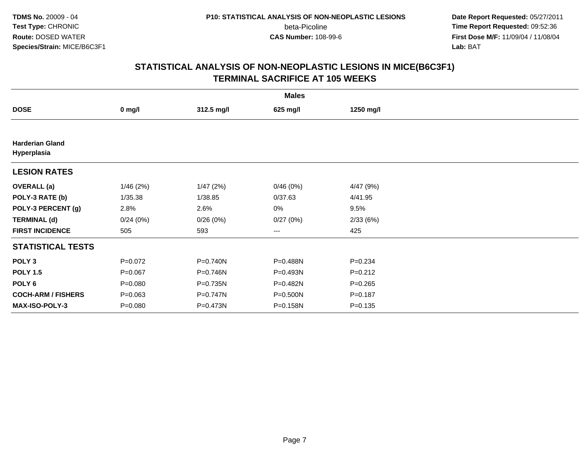**Date Report Requested:** 05/27/2011 **Time Report Requested:** 09:52:36 **First Dose M/F:** 11/09/04 / 11/08/04<br>Lab: BAT **Lab:** BAT

| <b>Males</b>                          |             |            |          |             |  |  |  |
|---------------------------------------|-------------|------------|----------|-------------|--|--|--|
| <b>DOSE</b>                           | $0$ mg/l    | 312.5 mg/l | 625 mg/l | 1250 mg/l   |  |  |  |
|                                       |             |            |          |             |  |  |  |
| <b>Harderian Gland</b><br>Hyperplasia |             |            |          |             |  |  |  |
| <b>LESION RATES</b>                   |             |            |          |             |  |  |  |
| <b>OVERALL</b> (a)                    | 1/46(2%)    | 1/47(2%)   | 0/46(0%) | 4/47(9%)    |  |  |  |
| POLY-3 RATE (b)                       | 1/35.38     | 1/38.85    | 0/37.63  | 4/41.95     |  |  |  |
| POLY-3 PERCENT (g)                    | 2.8%        | 2.6%       | 0%       | 9.5%        |  |  |  |
| <b>TERMINAL (d)</b>                   | 0/24(0%)    | 0/26(0%)   | 0/27(0%) | 2/33(6%)    |  |  |  |
| <b>FIRST INCIDENCE</b>                | 505         | 593        | ---      | 425         |  |  |  |
| <b>STATISTICAL TESTS</b>              |             |            |          |             |  |  |  |
| POLY <sub>3</sub>                     | $P=0.072$   | P=0.740N   | P=0.488N | $P = 0.234$ |  |  |  |
| <b>POLY 1.5</b>                       | $P = 0.067$ | P=0.746N   | P=0.493N | $P = 0.212$ |  |  |  |
| POLY <sub>6</sub>                     | $P = 0.080$ | P=0.735N   | P=0.482N | $P = 0.265$ |  |  |  |
| <b>COCH-ARM / FISHERS</b>             | $P = 0.063$ | P=0.747N   | P=0.500N | $P = 0.187$ |  |  |  |
| MAX-ISO-POLY-3                        | $P = 0.080$ | P=0.473N   | P=0.158N | $P = 0.135$ |  |  |  |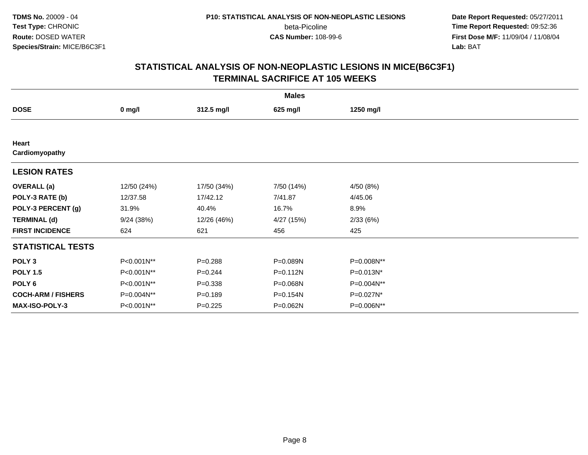**Date Report Requested:** 05/27/2011 **Time Report Requested:** 09:52:36 **First Dose M/F:** 11/09/04 / 11/08/04<br>Lab: BAT **Lab:** BAT

| <b>Males</b>              |             |             |              |              |  |  |
|---------------------------|-------------|-------------|--------------|--------------|--|--|
| <b>DOSE</b>               | $0$ mg/l    | 312.5 mg/l  | 625 mg/l     | 1250 mg/l    |  |  |
|                           |             |             |              |              |  |  |
| Heart<br>Cardiomyopathy   |             |             |              |              |  |  |
| <b>LESION RATES</b>       |             |             |              |              |  |  |
| <b>OVERALL</b> (a)        | 12/50 (24%) | 17/50 (34%) | 7/50 (14%)   | 4/50 (8%)    |  |  |
| POLY-3 RATE (b)           | 12/37.58    | 17/42.12    | 7/41.87      | 4/45.06      |  |  |
| POLY-3 PERCENT (g)        | 31.9%       | 40.4%       | 16.7%        | 8.9%         |  |  |
| <b>TERMINAL (d)</b>       | 9/24(38%)   | 12/26 (46%) | 4/27 (15%)   | 2/33(6%)     |  |  |
| <b>FIRST INCIDENCE</b>    | 624         | 621         | 456          | 425          |  |  |
| <b>STATISTICAL TESTS</b>  |             |             |              |              |  |  |
| POLY <sub>3</sub>         | P<0.001N**  | $P = 0.288$ | P=0.089N     | P=0.008N**   |  |  |
| <b>POLY 1.5</b>           | P<0.001N**  | $P=0.244$   | $P = 0.112N$ | $P=0.013N^*$ |  |  |
| POLY <sub>6</sub>         | P<0.001N**  | $P = 0.338$ | P=0.068N     | P=0.004N**   |  |  |
| <b>COCH-ARM / FISHERS</b> | P=0.004N**  | $P = 0.189$ | P=0.154N     | P=0.027N*    |  |  |
| <b>MAX-ISO-POLY-3</b>     | P<0.001N**  | $P=0.225$   | P=0.062N     | P=0.006N**   |  |  |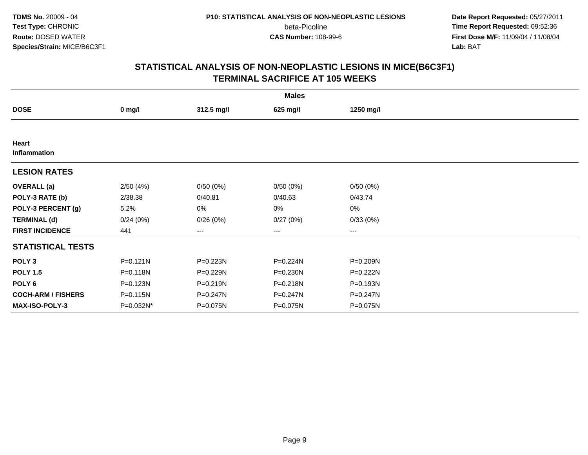**Date Report Requested:** 05/27/2011 **Time Report Requested:** 09:52:36 **First Dose M/F:** 11/09/04 / 11/08/04<br>Lab: BAT **Lab:** BAT

|                           | <b>Males</b> |            |              |                   |  |  |  |  |
|---------------------------|--------------|------------|--------------|-------------------|--|--|--|--|
| <b>DOSE</b>               | $0$ mg/l     | 312.5 mg/l | 625 mg/l     | 1250 mg/l         |  |  |  |  |
|                           |              |            |              |                   |  |  |  |  |
| Heart<br>Inflammation     |              |            |              |                   |  |  |  |  |
| <b>LESION RATES</b>       |              |            |              |                   |  |  |  |  |
| <b>OVERALL</b> (a)        | 2/50(4%)     | 0/50(0%)   | 0/50(0%)     | 0/50(0%)          |  |  |  |  |
| POLY-3 RATE (b)           | 2/38.38      | 0/40.81    | 0/40.63      | 0/43.74           |  |  |  |  |
| POLY-3 PERCENT (g)        | 5.2%         | 0%         | 0%           | 0%                |  |  |  |  |
| <b>TERMINAL (d)</b>       | 0/24(0%)     | 0/26(0%)   | 0/27(0%)     | 0/33(0%)          |  |  |  |  |
| <b>FIRST INCIDENCE</b>    | 441          | $---$      | ---          | $\qquad \qquad -$ |  |  |  |  |
| <b>STATISTICAL TESTS</b>  |              |            |              |                   |  |  |  |  |
| POLY <sub>3</sub>         | $P = 0.121N$ | P=0.223N   | P=0.224N     | P=0.209N          |  |  |  |  |
| <b>POLY 1.5</b>           | $P = 0.118N$ | P=0.229N   | $P = 0.230N$ | P=0.222N          |  |  |  |  |
| POLY <sub>6</sub>         | P=0.123N     | P=0.219N   | P=0.218N     | P=0.193N          |  |  |  |  |
| <b>COCH-ARM / FISHERS</b> | P=0.115N     | P=0.247N   | P=0.247N     | P=0.247N          |  |  |  |  |
| <b>MAX-ISO-POLY-3</b>     | P=0.032N*    | P=0.075N   | P=0.075N     | P=0.075N          |  |  |  |  |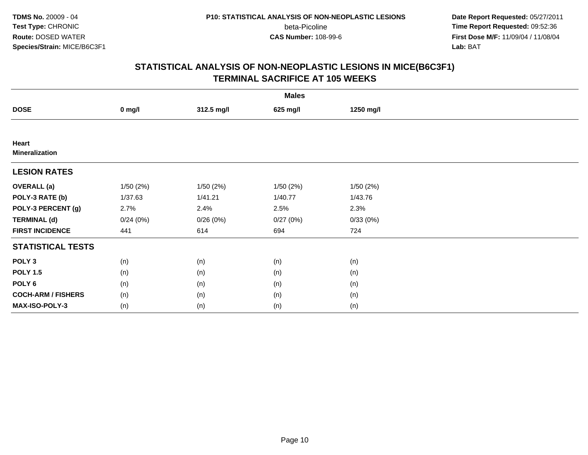**Date Report Requested:** 05/27/2011 **Time Report Requested:** 09:52:36 **First Dose M/F:** 11/09/04 / 11/08/04<br>Lab: BAT **Lab:** BAT

|                                | <b>Males</b> |            |           |           |  |  |  |  |
|--------------------------------|--------------|------------|-----------|-----------|--|--|--|--|
| <b>DOSE</b>                    | $0$ mg/l     | 312.5 mg/l | 625 mg/l  | 1250 mg/l |  |  |  |  |
|                                |              |            |           |           |  |  |  |  |
| Heart<br><b>Mineralization</b> |              |            |           |           |  |  |  |  |
| <b>LESION RATES</b>            |              |            |           |           |  |  |  |  |
| <b>OVERALL</b> (a)             | 1/50(2%)     | 1/50(2%)   | 1/50 (2%) | 1/50(2%)  |  |  |  |  |
| POLY-3 RATE (b)                | 1/37.63      | 1/41.21    | 1/40.77   | 1/43.76   |  |  |  |  |
| POLY-3 PERCENT (g)             | 2.7%         | 2.4%       | 2.5%      | 2.3%      |  |  |  |  |
| <b>TERMINAL (d)</b>            | 0/24(0%)     | 0/26(0%)   | 0/27(0%)  | 0/33(0%)  |  |  |  |  |
| <b>FIRST INCIDENCE</b>         | 441          | 614        | 694       | 724       |  |  |  |  |
| <b>STATISTICAL TESTS</b>       |              |            |           |           |  |  |  |  |
| POLY <sub>3</sub>              | (n)          | (n)        | (n)       | (n)       |  |  |  |  |
| <b>POLY 1.5</b>                | (n)          | (n)        | (n)       | (n)       |  |  |  |  |
| POLY <sub>6</sub>              | (n)          | (n)        | (n)       | (n)       |  |  |  |  |
| <b>COCH-ARM / FISHERS</b>      | (n)          | (n)        | (n)       | (n)       |  |  |  |  |
| MAX-ISO-POLY-3                 | (n)          | (n)        | (n)       | (n)       |  |  |  |  |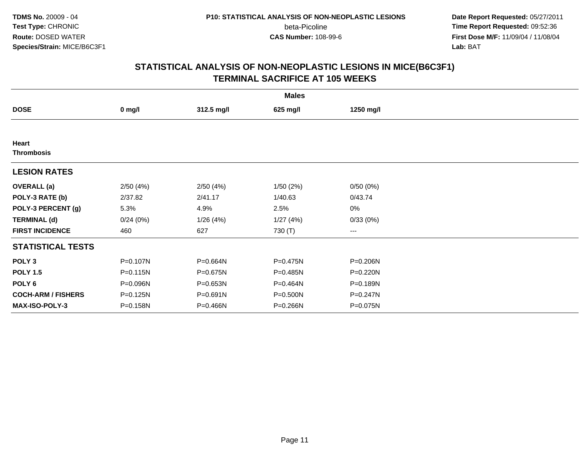**Date Report Requested:** 05/27/2011 **Time Report Requested:** 09:52:36 **First Dose M/F:** 11/09/04 / 11/08/04<br>Lab: BAT **Lab:** BAT

| <b>Males</b>              |                  |            |          |                   |  |  |  |
|---------------------------|------------------|------------|----------|-------------------|--|--|--|
| <b>DOSE</b>               | $0 \text{ mg/l}$ | 312.5 mg/l | 625 mg/l | 1250 mg/l         |  |  |  |
|                           |                  |            |          |                   |  |  |  |
| Heart                     |                  |            |          |                   |  |  |  |
| <b>Thrombosis</b>         |                  |            |          |                   |  |  |  |
| <b>LESION RATES</b>       |                  |            |          |                   |  |  |  |
| <b>OVERALL</b> (a)        | 2/50(4%)         | 2/50(4%)   | 1/50(2%) | 0/50(0%)          |  |  |  |
| POLY-3 RATE (b)           | 2/37.82          | 2/41.17    | 1/40.63  | 0/43.74           |  |  |  |
| POLY-3 PERCENT (g)        | 5.3%             | 4.9%       | 2.5%     | 0%                |  |  |  |
| <b>TERMINAL (d)</b>       | 0/24(0%)         | 1/26(4%)   | 1/27(4%) | 0/33(0%)          |  |  |  |
| <b>FIRST INCIDENCE</b>    | 460              | 627        | 730 (T)  | $\qquad \qquad -$ |  |  |  |
| <b>STATISTICAL TESTS</b>  |                  |            |          |                   |  |  |  |
| POLY <sub>3</sub>         | P=0.107N         | P=0.664N   | P=0.475N | P=0.206N          |  |  |  |
| <b>POLY 1.5</b>           | $P = 0.115N$     | P=0.675N   | P=0.485N | $P = 0.220N$      |  |  |  |
| POLY <sub>6</sub>         | P=0.096N         | P=0.653N   | P=0.464N | P=0.189N          |  |  |  |
| <b>COCH-ARM / FISHERS</b> | P=0.125N         | P=0.691N   | P=0.500N | $P = 0.247N$      |  |  |  |
| <b>MAX-ISO-POLY-3</b>     | P=0.158N         | P=0.466N   | P=0.266N | P=0.075N          |  |  |  |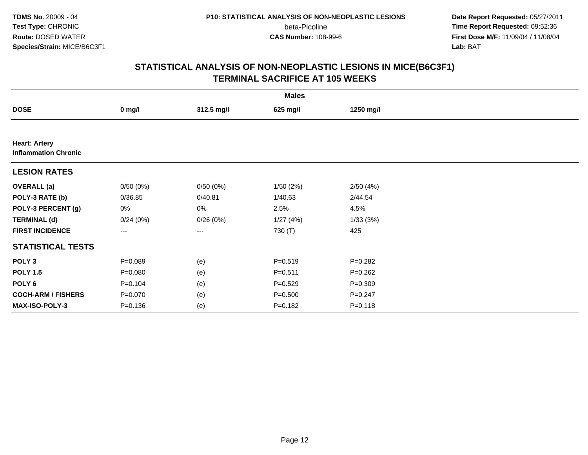**Date Report Requested:** 05/27/2011 **Time Report Requested:** 09:52:36 **First Dose M/F:** 11/09/04 / 11/08/04<br>Lab: BAT **Lab:** BAT

|                                                     | <b>Males</b> |            |             |             |  |  |  |  |
|-----------------------------------------------------|--------------|------------|-------------|-------------|--|--|--|--|
| <b>DOSE</b>                                         | $0$ mg/l     | 312.5 mg/l | 625 mg/l    | 1250 mg/l   |  |  |  |  |
|                                                     |              |            |             |             |  |  |  |  |
| <b>Heart: Artery</b><br><b>Inflammation Chronic</b> |              |            |             |             |  |  |  |  |
| <b>LESION RATES</b>                                 |              |            |             |             |  |  |  |  |
| <b>OVERALL</b> (a)                                  | 0/50(0%)     | 0/50(0%)   | 1/50(2%)    | 2/50(4%)    |  |  |  |  |
| POLY-3 RATE (b)                                     | 0/36.85      | 0/40.81    | 1/40.63     | 2/44.54     |  |  |  |  |
| POLY-3 PERCENT (g)                                  | 0%           | 0%         | 2.5%        | 4.5%        |  |  |  |  |
| <b>TERMINAL (d)</b>                                 | 0/24(0%)     | 0/26(0%)   | 1/27(4%)    | 1/33(3%)    |  |  |  |  |
| <b>FIRST INCIDENCE</b>                              | $---$        | ---        | 730 (T)     | 425         |  |  |  |  |
| <b>STATISTICAL TESTS</b>                            |              |            |             |             |  |  |  |  |
| POLY <sub>3</sub>                                   | $P = 0.089$  | (e)        | $P = 0.519$ | $P = 0.282$ |  |  |  |  |
| <b>POLY 1.5</b>                                     | $P = 0.080$  | (e)        | $P = 0.511$ | $P=0.262$   |  |  |  |  |
| POLY <sub>6</sub>                                   | $P = 0.104$  | (e)        | $P = 0.529$ | $P = 0.309$ |  |  |  |  |
| <b>COCH-ARM / FISHERS</b>                           | $P = 0.070$  | (e)        | $P = 0.500$ | $P = 0.247$ |  |  |  |  |
| MAX-ISO-POLY-3                                      | $P = 0.136$  | (e)        | $P = 0.182$ | $P = 0.118$ |  |  |  |  |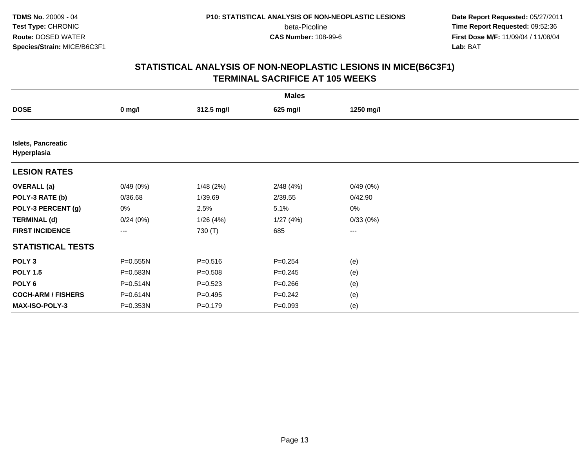**Date Report Requested:** 05/27/2011 **Time Report Requested:** 09:52:36 **First Dose M/F:** 11/09/04 / 11/08/04<br>Lab: BAT **Lab:** BAT

| <b>Males</b>                             |                   |             |             |           |  |  |  |
|------------------------------------------|-------------------|-------------|-------------|-----------|--|--|--|
| <b>DOSE</b>                              | $0$ mg/l          | 312.5 mg/l  | 625 mg/l    | 1250 mg/l |  |  |  |
|                                          |                   |             |             |           |  |  |  |
| <b>Islets, Pancreatic</b><br>Hyperplasia |                   |             |             |           |  |  |  |
| <b>LESION RATES</b>                      |                   |             |             |           |  |  |  |
| <b>OVERALL</b> (a)                       | 0/49(0%)          | 1/48(2%)    | 2/48(4%)    | 0/49(0%)  |  |  |  |
| POLY-3 RATE (b)                          | 0/36.68           | 1/39.69     | 2/39.55     | 0/42.90   |  |  |  |
| POLY-3 PERCENT (g)                       | 0%                | 2.5%        | 5.1%        | 0%        |  |  |  |
| <b>TERMINAL (d)</b>                      | 0/24(0%)          | 1/26(4%)    | 1/27(4%)    | 0/33(0%)  |  |  |  |
| <b>FIRST INCIDENCE</b>                   | $\qquad \qquad -$ | 730 (T)     | 685         | $---$     |  |  |  |
| <b>STATISTICAL TESTS</b>                 |                   |             |             |           |  |  |  |
| POLY <sub>3</sub>                        | P=0.555N          | $P = 0.516$ | $P = 0.254$ | (e)       |  |  |  |
| <b>POLY 1.5</b>                          | P=0.583N          | $P = 0.508$ | $P = 0.245$ | (e)       |  |  |  |
| POLY <sub>6</sub>                        | P=0.514N          | $P = 0.523$ | $P = 0.266$ | (e)       |  |  |  |
| <b>COCH-ARM / FISHERS</b>                | P=0.614N          | $P=0.495$   | $P=0.242$   | (e)       |  |  |  |
| MAX-ISO-POLY-3                           | P=0.353N          | $P = 0.179$ | $P = 0.093$ | (e)       |  |  |  |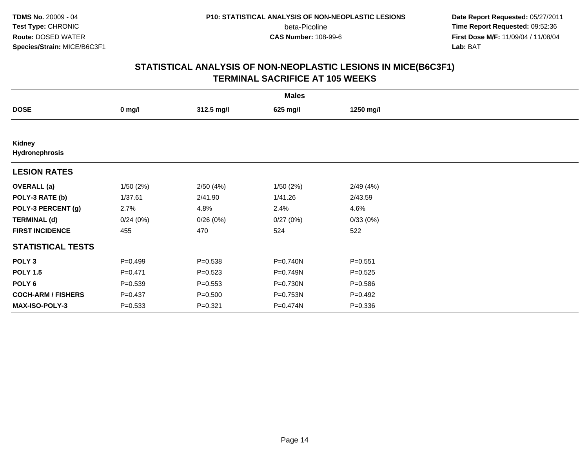**Date Report Requested:** 05/27/2011 **Time Report Requested:** 09:52:36 **First Dose M/F:** 11/09/04 / 11/08/04<br>Lab: BAT **Lab:** BAT

|                           |             |             | <b>Males</b> |             |  |
|---------------------------|-------------|-------------|--------------|-------------|--|
| <b>DOSE</b>               | $0$ mg/l    | 312.5 mg/l  | 625 mg/l     | 1250 mg/l   |  |
|                           |             |             |              |             |  |
| Kidney<br>Hydronephrosis  |             |             |              |             |  |
| <b>LESION RATES</b>       |             |             |              |             |  |
| <b>OVERALL</b> (a)        | 1/50(2%)    | 2/50(4%)    | 1/50(2%)     | 2/49(4%)    |  |
| POLY-3 RATE (b)           | 1/37.61     | 2/41.90     | 1/41.26      | 2/43.59     |  |
| POLY-3 PERCENT (g)        | 2.7%        | 4.8%        | 2.4%         | 4.6%        |  |
| <b>TERMINAL (d)</b>       | 0/24(0%)    | 0/26(0%)    | 0/27(0%)     | 0/33(0%)    |  |
| <b>FIRST INCIDENCE</b>    | 455         | 470         | 524          | 522         |  |
| <b>STATISTICAL TESTS</b>  |             |             |              |             |  |
| POLY <sub>3</sub>         | $P=0.499$   | $P = 0.538$ | P=0.740N     | $P = 0.551$ |  |
| <b>POLY 1.5</b>           | $P = 0.471$ | $P = 0.523$ | P=0.749N     | $P=0.525$   |  |
| POLY <sub>6</sub>         | $P = 0.539$ | $P = 0.553$ | P=0.730N     | $P = 0.586$ |  |
| <b>COCH-ARM / FISHERS</b> | $P = 0.437$ | $P = 0.500$ | P=0.753N     | $P=0.492$   |  |
| MAX-ISO-POLY-3            | $P = 0.533$ | $P = 0.321$ | P=0.474N     | $P = 0.336$ |  |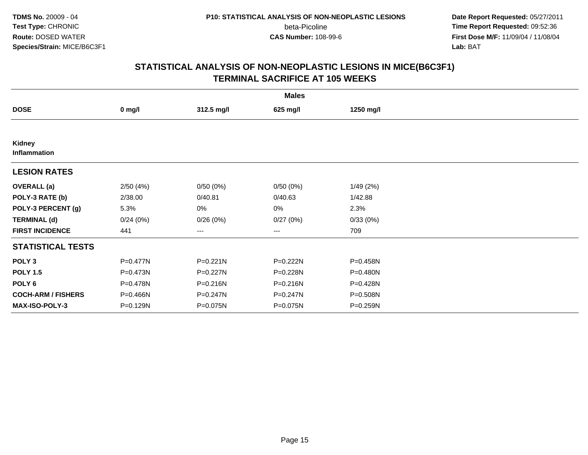**Date Report Requested:** 05/27/2011 **Time Report Requested:** 09:52:36 **First Dose M/F:** 11/09/04 / 11/08/04<br>Lab: BAT **Lab:** BAT

|                           |          |              | <b>Males</b> |           |  |
|---------------------------|----------|--------------|--------------|-----------|--|
| <b>DOSE</b>               | $0$ mg/l | 312.5 mg/l   | 625 mg/l     | 1250 mg/l |  |
|                           |          |              |              |           |  |
| Kidney<br>Inflammation    |          |              |              |           |  |
| <b>LESION RATES</b>       |          |              |              |           |  |
| <b>OVERALL</b> (a)        | 2/50(4%) | 0/50(0%)     | 0/50(0%)     | 1/49 (2%) |  |
| POLY-3 RATE (b)           | 2/38.00  | 0/40.81      | 0/40.63      | 1/42.88   |  |
| POLY-3 PERCENT (g)        | 5.3%     | 0%           | 0%           | 2.3%      |  |
| <b>TERMINAL (d)</b>       | 0/24(0%) | 0/26(0%)     | 0/27(0%)     | 0/33(0%)  |  |
| <b>FIRST INCIDENCE</b>    | 441      | ---          | ---          | 709       |  |
| <b>STATISTICAL TESTS</b>  |          |              |              |           |  |
| POLY <sub>3</sub>         | P=0.477N | $P = 0.221N$ | P=0.222N     | P=0.458N  |  |
| <b>POLY 1.5</b>           | P=0.473N | $P = 0.227N$ | P=0.228N     | P=0.480N  |  |
| POLY <sub>6</sub>         | P=0.478N | P=0.216N     | P=0.216N     | P=0.428N  |  |
| <b>COCH-ARM / FISHERS</b> | P=0.466N | P=0.247N     | P=0.247N     | P=0.508N  |  |
| MAX-ISO-POLY-3            | P=0.129N | P=0.075N     | P=0.075N     | P=0.259N  |  |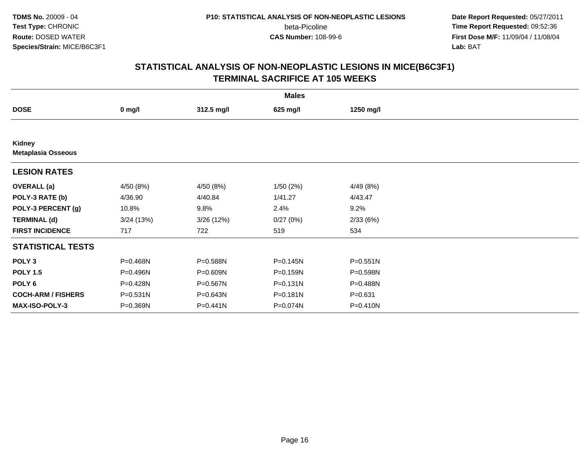**Date Report Requested:** 05/27/2011 **Time Report Requested:** 09:52:36 **First Dose M/F:** 11/09/04 / 11/08/04<br>Lab: BAT **Lab:** BAT

|                                            |           |            | <b>Males</b> |              |  |
|--------------------------------------------|-----------|------------|--------------|--------------|--|
| <b>DOSE</b>                                | $0$ mg/l  | 312.5 mg/l | 625 mg/l     | 1250 mg/l    |  |
|                                            |           |            |              |              |  |
| <b>Kidney</b><br><b>Metaplasia Osseous</b> |           |            |              |              |  |
| <b>LESION RATES</b>                        |           |            |              |              |  |
| <b>OVERALL</b> (a)                         | 4/50 (8%) | 4/50 (8%)  | 1/50(2%)     | 4/49 (8%)    |  |
| POLY-3 RATE (b)                            | 4/36.90   | 4/40.84    | 1/41.27      | 4/43.47      |  |
| POLY-3 PERCENT (g)                         | 10.8%     | 9.8%       | 2.4%         | 9.2%         |  |
| <b>TERMINAL (d)</b>                        | 3/24(13%) | 3/26(12%)  | 0/27(0%)     | 2/33(6%)     |  |
| <b>FIRST INCIDENCE</b>                     | 717       | 722        | 519          | 534          |  |
| <b>STATISTICAL TESTS</b>                   |           |            |              |              |  |
| POLY <sub>3</sub>                          | P=0.468N  | P=0.588N   | P=0.145N     | $P = 0.551N$ |  |
| <b>POLY 1.5</b>                            | P=0.496N  | P=0.609N   | P=0.159N     | P=0.598N     |  |
| POLY <sub>6</sub>                          | P=0.428N  | P=0.567N   | $P = 0.131N$ | P=0.488N     |  |
| <b>COCH-ARM / FISHERS</b>                  | P=0.531N  | P=0.643N   | $P = 0.181N$ | $P = 0.631$  |  |
| MAX-ISO-POLY-3                             | P=0.369N  | P=0.441N   | P=0.074N     | P=0.410N     |  |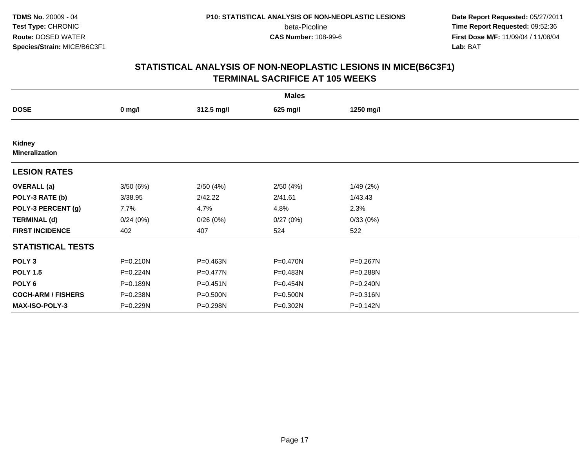**Date Report Requested:** 05/27/2011 **Time Report Requested:** 09:52:36 **First Dose M/F:** 11/09/04 / 11/08/04<br>Lab: BAT **Lab:** BAT

|                                 |              |              | <b>Males</b> |              |  |
|---------------------------------|--------------|--------------|--------------|--------------|--|
| <b>DOSE</b>                     | $0$ mg/l     | 312.5 mg/l   | 625 mg/l     | 1250 mg/l    |  |
|                                 |              |              |              |              |  |
| Kidney<br><b>Mineralization</b> |              |              |              |              |  |
| <b>LESION RATES</b>             |              |              |              |              |  |
| <b>OVERALL</b> (a)              | 3/50(6%)     | 2/50(4%)     | 2/50(4%)     | 1/49(2%)     |  |
| POLY-3 RATE (b)                 | 3/38.95      | 2/42.22      | 2/41.61      | 1/43.43      |  |
| POLY-3 PERCENT (g)              | 7.7%         | 4.7%         | 4.8%         | 2.3%         |  |
| <b>TERMINAL (d)</b>             | 0/24(0%)     | 0/26(0%)     | 0/27(0%)     | 0/33(0%)     |  |
| <b>FIRST INCIDENCE</b>          | 402          | 407          | 524          | 522          |  |
| <b>STATISTICAL TESTS</b>        |              |              |              |              |  |
| POLY <sub>3</sub>               | $P = 0.210N$ | P=0.463N     | P=0.470N     | P=0.267N     |  |
| <b>POLY 1.5</b>                 | $P = 0.224N$ | P=0.477N     | P=0.483N     | P=0.288N     |  |
| POLY <sub>6</sub>               | P=0.189N     | $P = 0.451N$ | P=0.454N     | $P = 0.240N$ |  |
| <b>COCH-ARM / FISHERS</b>       | P=0.238N     | P=0.500N     | P=0.500N     | P=0.316N     |  |
| MAX-ISO-POLY-3                  | P=0.229N     | P=0.298N     | P=0.302N     | $P = 0.142N$ |  |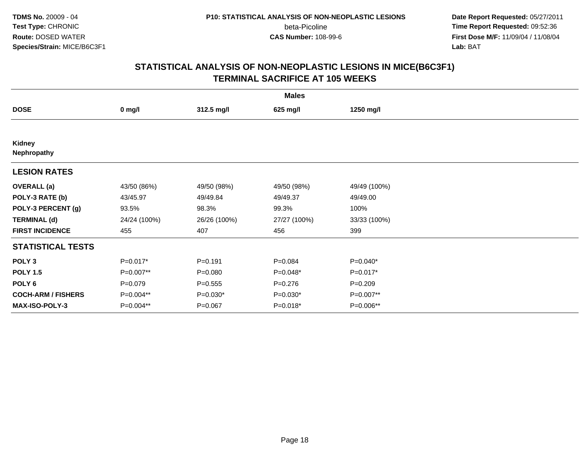**Date Report Requested:** 05/27/2011 **Time Report Requested:** 09:52:36 **First Dose M/F:** 11/09/04 / 11/08/04<br>Lab: BAT **Lab:** BAT

|                           | <b>Males</b> |              |              |              |  |  |  |  |
|---------------------------|--------------|--------------|--------------|--------------|--|--|--|--|
| <b>DOSE</b>               | $0$ mg/l     | 312.5 mg/l   | 625 mg/l     | 1250 mg/l    |  |  |  |  |
|                           |              |              |              |              |  |  |  |  |
| Kidney<br>Nephropathy     |              |              |              |              |  |  |  |  |
| <b>LESION RATES</b>       |              |              |              |              |  |  |  |  |
| <b>OVERALL</b> (a)        | 43/50 (86%)  | 49/50 (98%)  | 49/50 (98%)  | 49/49 (100%) |  |  |  |  |
| POLY-3 RATE (b)           | 43/45.97     | 49/49.84     | 49/49.37     | 49/49.00     |  |  |  |  |
| POLY-3 PERCENT (g)        | 93.5%        | 98.3%        | 99.3%        | 100%         |  |  |  |  |
| <b>TERMINAL (d)</b>       | 24/24 (100%) | 26/26 (100%) | 27/27 (100%) | 33/33 (100%) |  |  |  |  |
| <b>FIRST INCIDENCE</b>    | 455          | 407          | 456          | 399          |  |  |  |  |
| <b>STATISTICAL TESTS</b>  |              |              |              |              |  |  |  |  |
| POLY <sub>3</sub>         | $P=0.017*$   | $P = 0.191$  | $P = 0.084$  | P=0.040*     |  |  |  |  |
| <b>POLY 1.5</b>           | P=0.007**    | $P = 0.080$  | $P=0.048*$   | $P=0.017*$   |  |  |  |  |
| POLY <sub>6</sub>         | $P=0.079$    | $P = 0.555$  | $P=0.276$    | $P=0.209$    |  |  |  |  |
| <b>COCH-ARM / FISHERS</b> | P=0.004**    | $P=0.030*$   | $P=0.030*$   | P=0.007**    |  |  |  |  |
| MAX-ISO-POLY-3            | P=0.004**    | $P = 0.067$  | $P=0.018*$   | P=0.006**    |  |  |  |  |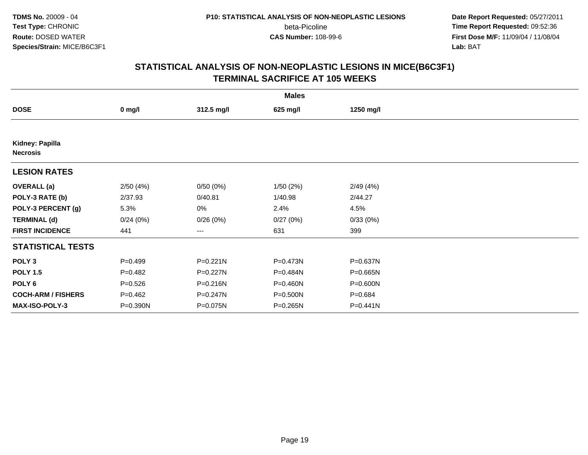**Date Report Requested:** 05/27/2011 **Time Report Requested:** 09:52:36 **First Dose M/F:** 11/09/04 / 11/08/04<br>Lab: BAT **Lab:** BAT

|                                    |              |            | <b>Males</b> |              |  |
|------------------------------------|--------------|------------|--------------|--------------|--|
| <b>DOSE</b>                        | $0$ mg/l     | 312.5 mg/l | 625 mg/l     | 1250 mg/l    |  |
|                                    |              |            |              |              |  |
| Kidney: Papilla<br><b>Necrosis</b> |              |            |              |              |  |
| <b>LESION RATES</b>                |              |            |              |              |  |
| <b>OVERALL</b> (a)                 | 2/50(4%)     | 0/50(0%)   | 1/50(2%)     | 2/49(4%)     |  |
| POLY-3 RATE (b)                    | 2/37.93      | 0/40.81    | 1/40.98      | 2/44.27      |  |
| POLY-3 PERCENT (g)                 | 5.3%         | 0%         | 2.4%         | 4.5%         |  |
| <b>TERMINAL (d)</b>                | 0/24(0%)     | 0/26(0%)   | 0/27(0%)     | 0/33(0%)     |  |
| <b>FIRST INCIDENCE</b>             | 441          | ---        | 631          | 399          |  |
| <b>STATISTICAL TESTS</b>           |              |            |              |              |  |
| POLY <sub>3</sub>                  | $P=0.499$    | P=0.221N   | P=0.473N     | P=0.637N     |  |
| <b>POLY 1.5</b>                    | $P=0.482$    | $P=0.227N$ | P=0.484N     | P=0.665N     |  |
| POLY <sub>6</sub>                  | $P = 0.526$  | P=0.216N   | P=0.460N     | P=0.600N     |  |
| <b>COCH-ARM / FISHERS</b>          | $P=0.462$    | P=0.247N   | P=0.500N     | $P = 0.684$  |  |
| MAX-ISO-POLY-3                     | $P = 0.390N$ | P=0.075N   | P=0.265N     | $P = 0.441N$ |  |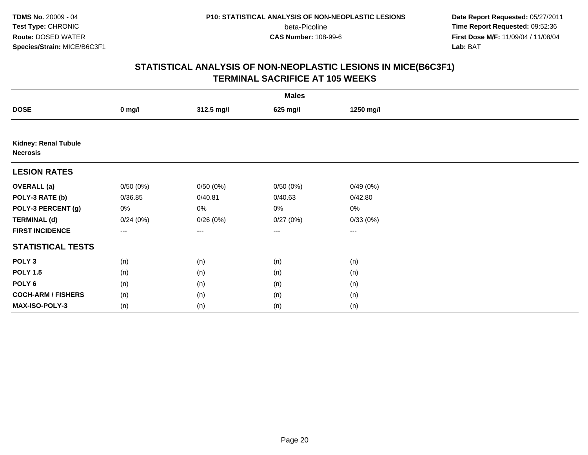**Date Report Requested:** 05/27/2011 **Time Report Requested:** 09:52:36 **First Dose M/F:** 11/09/04 / 11/08/04<br>Lab: BAT **Lab:** BAT

|                                                | <b>Males</b> |            |          |           |  |  |  |  |
|------------------------------------------------|--------------|------------|----------|-----------|--|--|--|--|
| <b>DOSE</b>                                    | $0$ mg/l     | 312.5 mg/l | 625 mg/l | 1250 mg/l |  |  |  |  |
|                                                |              |            |          |           |  |  |  |  |
| <b>Kidney: Renal Tubule</b><br><b>Necrosis</b> |              |            |          |           |  |  |  |  |
| <b>LESION RATES</b>                            |              |            |          |           |  |  |  |  |
| <b>OVERALL (a)</b>                             | 0/50(0%)     | 0/50(0%)   | 0/50(0%) | 0/49(0%)  |  |  |  |  |
| POLY-3 RATE (b)                                | 0/36.85      | 0/40.81    | 0/40.63  | 0/42.80   |  |  |  |  |
| POLY-3 PERCENT (g)                             | 0%           | 0%         | 0%       | $0\%$     |  |  |  |  |
| <b>TERMINAL (d)</b>                            | 0/24(0%)     | 0/26(0%)   | 0/27(0%) | 0/33(0%)  |  |  |  |  |
| <b>FIRST INCIDENCE</b>                         | ---          | $\cdots$   | $\cdots$ | $\cdots$  |  |  |  |  |
| <b>STATISTICAL TESTS</b>                       |              |            |          |           |  |  |  |  |
| POLY <sub>3</sub>                              | (n)          | (n)        | (n)      | (n)       |  |  |  |  |
| <b>POLY 1.5</b>                                | (n)          | (n)        | (n)      | (n)       |  |  |  |  |
| POLY <sub>6</sub>                              | (n)          | (n)        | (n)      | (n)       |  |  |  |  |
| <b>COCH-ARM / FISHERS</b>                      | (n)          | (n)        | (n)      | (n)       |  |  |  |  |
| MAX-ISO-POLY-3                                 | (n)          | (n)        | (n)      | (n)       |  |  |  |  |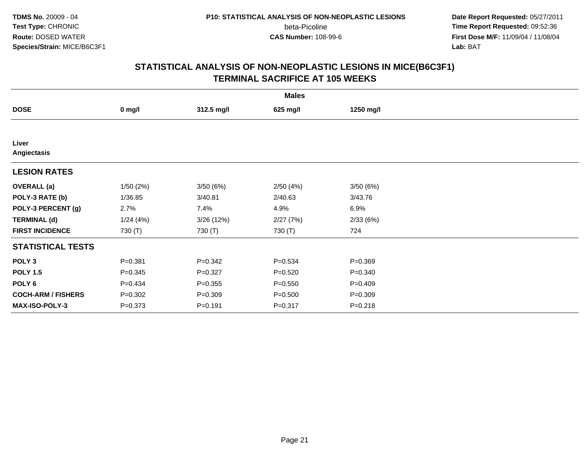**Date Report Requested:** 05/27/2011 **Time Report Requested:** 09:52:36 **First Dose M/F:** 11/09/04 / 11/08/04<br>Lab: BAT **Lab:** BAT

|                           |             |             | <b>Males</b> |             |  |
|---------------------------|-------------|-------------|--------------|-------------|--|
| <b>DOSE</b>               | $0$ mg/l    | 312.5 mg/l  | 625 mg/l     | 1250 mg/l   |  |
|                           |             |             |              |             |  |
| Liver<br>Angiectasis      |             |             |              |             |  |
| <b>LESION RATES</b>       |             |             |              |             |  |
| <b>OVERALL</b> (a)        | 1/50(2%)    | 3/50(6%)    | 2/50(4%)     | 3/50(6%)    |  |
| POLY-3 RATE (b)           | 1/36.85     | 3/40.81     | 2/40.63      | 3/43.76     |  |
| POLY-3 PERCENT (g)        | 2.7%        | 7.4%        | 4.9%         | 6.9%        |  |
| <b>TERMINAL (d)</b>       | 1/24(4%)    | 3/26(12%)   | 2/27(7%)     | 2/33(6%)    |  |
| <b>FIRST INCIDENCE</b>    | 730 (T)     | 730 (T)     | 730 (T)      | 724         |  |
| <b>STATISTICAL TESTS</b>  |             |             |              |             |  |
| POLY <sub>3</sub>         | $P = 0.381$ | $P = 0.342$ | $P = 0.534$  | $P = 0.369$ |  |
| <b>POLY 1.5</b>           | $P = 0.345$ | $P = 0.327$ | $P = 0.520$  | $P = 0.340$ |  |
| POLY <sub>6</sub>         | $P=0.434$   | $P = 0.355$ | $P = 0.550$  | $P = 0.409$ |  |
| <b>COCH-ARM / FISHERS</b> | $P = 0.302$ | $P = 0.309$ | $P = 0.500$  | $P = 0.309$ |  |
| MAX-ISO-POLY-3            | $P = 0.373$ | $P = 0.191$ | $P = 0.317$  | $P = 0.218$ |  |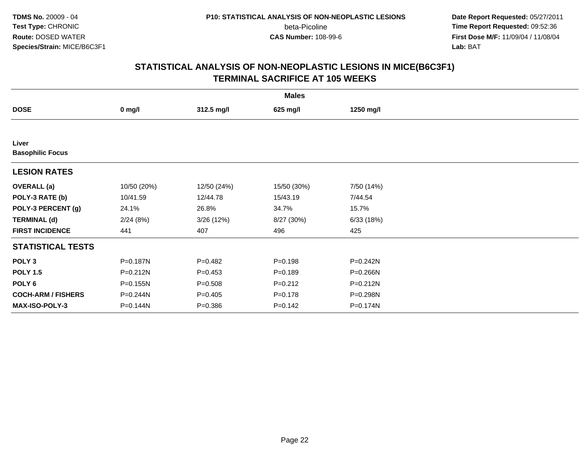**Date Report Requested:** 05/27/2011 **Time Report Requested:** 09:52:36 **First Dose M/F:** 11/09/04 / 11/08/04<br>Lab: BAT **Lab:** BAT

|                                  |              |             | <b>Males</b> |              |  |
|----------------------------------|--------------|-------------|--------------|--------------|--|
| <b>DOSE</b>                      | $0$ mg/l     | 312.5 mg/l  | 625 mg/l     | 1250 mg/l    |  |
|                                  |              |             |              |              |  |
| Liver<br><b>Basophilic Focus</b> |              |             |              |              |  |
| <b>LESION RATES</b>              |              |             |              |              |  |
| <b>OVERALL</b> (a)               | 10/50 (20%)  | 12/50 (24%) | 15/50 (30%)  | 7/50 (14%)   |  |
| POLY-3 RATE (b)                  | 10/41.59     | 12/44.78    | 15/43.19     | 7/44.54      |  |
| POLY-3 PERCENT (g)               | 24.1%        | 26.8%       | 34.7%        | 15.7%        |  |
| <b>TERMINAL (d)</b>              | 2/24(8%)     | 3/26(12%)   | 8/27 (30%)   | 6/33(18%)    |  |
| <b>FIRST INCIDENCE</b>           | 441          | 407         | 496          | 425          |  |
| <b>STATISTICAL TESTS</b>         |              |             |              |              |  |
| POLY <sub>3</sub>                | P=0.187N     | $P=0.482$   | $P = 0.198$  | $P = 0.242N$ |  |
| <b>POLY 1.5</b>                  | P=0.212N     | $P=0.453$   | $P = 0.189$  | P=0.266N     |  |
| POLY <sub>6</sub>                | $P = 0.155N$ | $P = 0.508$ | $P = 0.212$  | $P = 0.212N$ |  |
| <b>COCH-ARM / FISHERS</b>        | P=0.244N     | $P=0.405$   | $P = 0.178$  | P=0.298N     |  |
| MAX-ISO-POLY-3                   | P=0.144N     | $P = 0.386$ | $P = 0.142$  | P=0.174N     |  |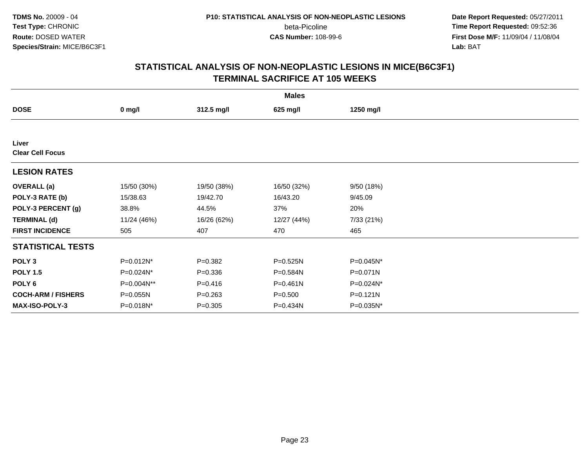**Date Report Requested:** 05/27/2011 **Time Report Requested:** 09:52:36 **First Dose M/F:** 11/09/04 / 11/08/04<br>Lab: BAT **Lab:** BAT

|                                  |              |             | <b>Males</b> |              |  |
|----------------------------------|--------------|-------------|--------------|--------------|--|
| <b>DOSE</b>                      | $0$ mg/l     | 312.5 mg/l  | 625 mg/l     | 1250 mg/l    |  |
|                                  |              |             |              |              |  |
| Liver<br><b>Clear Cell Focus</b> |              |             |              |              |  |
| <b>LESION RATES</b>              |              |             |              |              |  |
| <b>OVERALL</b> (a)               | 15/50 (30%)  | 19/50 (38%) | 16/50 (32%)  | 9/50 (18%)   |  |
| POLY-3 RATE (b)                  | 15/38.63     | 19/42.70    | 16/43.20     | 9/45.09      |  |
| POLY-3 PERCENT (g)               | 38.8%        | 44.5%       | 37%          | 20%          |  |
| <b>TERMINAL (d)</b>              | 11/24 (46%)  | 16/26 (62%) | 12/27 (44%)  | 7/33 (21%)   |  |
| <b>FIRST INCIDENCE</b>           | 505          | 407         | 470          | 465          |  |
| <b>STATISTICAL TESTS</b>         |              |             |              |              |  |
| POLY <sub>3</sub>                | P=0.012N*    | $P = 0.382$ | P=0.525N     | P=0.045N*    |  |
| <b>POLY 1.5</b>                  | $P=0.024N^*$ | $P = 0.336$ | P=0.584N     | $P = 0.071N$ |  |
| POLY <sub>6</sub>                | P=0.004N**   | $P=0.416$   | $P = 0.461N$ | P=0.024N*    |  |
| <b>COCH-ARM / FISHERS</b>        | P=0.055N     | $P = 0.263$ | $P = 0.500$  | P=0.121N     |  |
| MAX-ISO-POLY-3                   | P=0.018N*    | $P = 0.305$ | P=0.434N     | P=0.035N*    |  |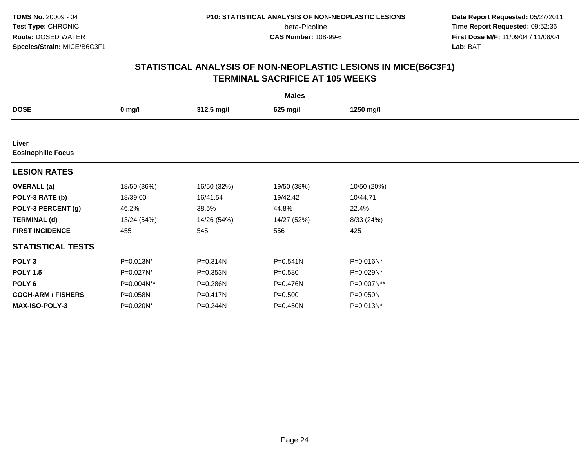**Date Report Requested:** 05/27/2011 **Time Report Requested:** 09:52:36 **First Dose M/F:** 11/09/04 / 11/08/04<br>Lab: BAT **Lab:** BAT

|                           | <b>Males</b> |             |             |             |  |  |  |
|---------------------------|--------------|-------------|-------------|-------------|--|--|--|
| <b>DOSE</b>               | $0$ mg/l     | 312.5 mg/l  | 625 mg/l    | 1250 mg/l   |  |  |  |
|                           |              |             |             |             |  |  |  |
| Liver                     |              |             |             |             |  |  |  |
| <b>Eosinophilic Focus</b> |              |             |             |             |  |  |  |
| <b>LESION RATES</b>       |              |             |             |             |  |  |  |
| <b>OVERALL</b> (a)        | 18/50 (36%)  | 16/50 (32%) | 19/50 (38%) | 10/50 (20%) |  |  |  |
| POLY-3 RATE (b)           | 18/39.00     | 16/41.54    | 19/42.42    | 10/44.71    |  |  |  |
| POLY-3 PERCENT (g)        | 46.2%        | 38.5%       | 44.8%       | 22.4%       |  |  |  |
| <b>TERMINAL (d)</b>       | 13/24 (54%)  | 14/26 (54%) | 14/27 (52%) | 8/33 (24%)  |  |  |  |
| <b>FIRST INCIDENCE</b>    | 455          | 545         | 556         | 425         |  |  |  |
| <b>STATISTICAL TESTS</b>  |              |             |             |             |  |  |  |
| POLY <sub>3</sub>         | P=0.013N*    | P=0.314N    | P=0.541N    | P=0.016N*   |  |  |  |
| <b>POLY 1.5</b>           | P=0.027N*    | P=0.353N    | $P = 0.580$ | P=0.029N*   |  |  |  |
| POLY <sub>6</sub>         | P=0.004N**   | P=0.286N    | P=0.476N    | P=0.007N**  |  |  |  |
| <b>COCH-ARM / FISHERS</b> | P=0.058N     | P=0.417N    | $P = 0.500$ | P=0.059N    |  |  |  |
| <b>MAX-ISO-POLY-3</b>     | P=0.020N*    | P=0.244N    | P=0.450N    | P=0.013N*   |  |  |  |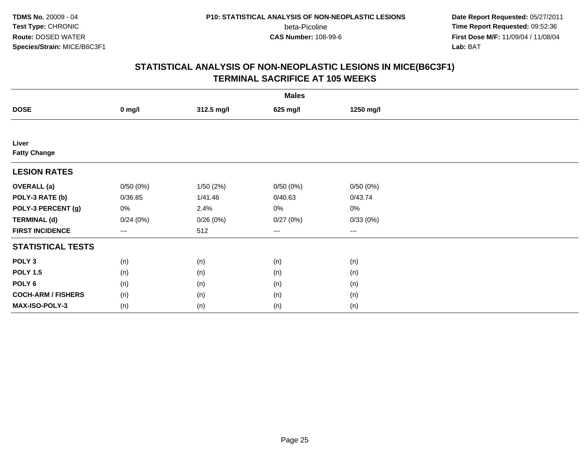**Date Report Requested:** 05/27/2011 **Time Report Requested:** 09:52:36 **First Dose M/F:** 11/09/04 / 11/08/04<br>Lab: BAT **Lab:** BAT

|                           | <b>Males</b> |            |          |           |  |  |  |
|---------------------------|--------------|------------|----------|-----------|--|--|--|
| <b>DOSE</b>               | $0$ mg/l     | 312.5 mg/l | 625 mg/l | 1250 mg/l |  |  |  |
|                           |              |            |          |           |  |  |  |
| Liver                     |              |            |          |           |  |  |  |
| <b>Fatty Change</b>       |              |            |          |           |  |  |  |
| <b>LESION RATES</b>       |              |            |          |           |  |  |  |
| <b>OVERALL</b> (a)        | 0/50(0%)     | 1/50(2%)   | 0/50(0%) | 0/50(0%)  |  |  |  |
| POLY-3 RATE (b)           | 0/36.85      | 1/41.46    | 0/40.63  | 0/43.74   |  |  |  |
| POLY-3 PERCENT (g)        | 0%           | 2.4%       | 0%       | 0%        |  |  |  |
| <b>TERMINAL (d)</b>       | 0/24(0%)     | 0/26(0%)   | 0/27(0%) | 0/33(0%)  |  |  |  |
| <b>FIRST INCIDENCE</b>    | $\cdots$     | 512        | $\cdots$ | $\cdots$  |  |  |  |
| <b>STATISTICAL TESTS</b>  |              |            |          |           |  |  |  |
| POLY <sub>3</sub>         | (n)          | (n)        | (n)      | (n)       |  |  |  |
| <b>POLY 1.5</b>           | (n)          | (n)        | (n)      | (n)       |  |  |  |
| POLY <sub>6</sub>         | (n)          | (n)        | (n)      | (n)       |  |  |  |
| <b>COCH-ARM / FISHERS</b> | (n)          | (n)        | (n)      | (n)       |  |  |  |
| MAX-ISO-POLY-3            | (n)          | (n)        | (n)      | (n)       |  |  |  |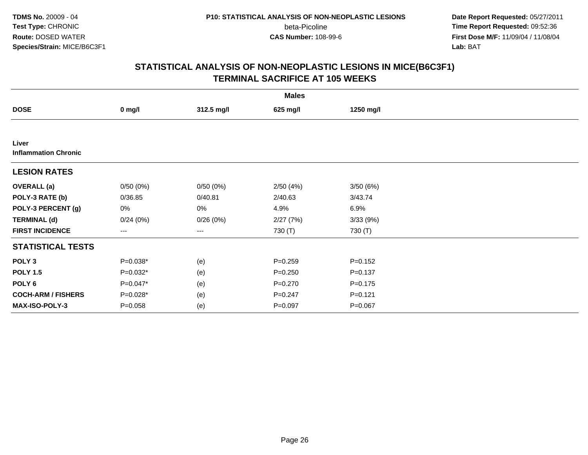**Date Report Requested:** 05/27/2011 **Time Report Requested:** 09:52:36 **First Dose M/F:** 11/09/04 / 11/08/04<br>Lab: BAT **Lab:** BAT

|                                      |                   |            | <b>Males</b> |             |  |
|--------------------------------------|-------------------|------------|--------------|-------------|--|
| <b>DOSE</b>                          | $0$ mg/l          | 312.5 mg/l | 625 mg/l     | 1250 mg/l   |  |
|                                      |                   |            |              |             |  |
| Liver<br><b>Inflammation Chronic</b> |                   |            |              |             |  |
| <b>LESION RATES</b>                  |                   |            |              |             |  |
| <b>OVERALL</b> (a)                   | 0/50(0%)          | 0/50(0%)   | 2/50(4%)     | 3/50(6%)    |  |
| POLY-3 RATE (b)                      | 0/36.85           | 0/40.81    | 2/40.63      | 3/43.74     |  |
| POLY-3 PERCENT (g)                   | 0%                | $0\%$      | 4.9%         | 6.9%        |  |
| <b>TERMINAL (d)</b>                  | 0/24(0%)          | 0/26(0%)   | 2/27(7%)     | 3/33(9%)    |  |
| <b>FIRST INCIDENCE</b>               | $\qquad \qquad -$ | ---        | 730 (T)      | 730 (T)     |  |
| <b>STATISTICAL TESTS</b>             |                   |            |              |             |  |
| POLY <sub>3</sub>                    | $P=0.038*$        | (e)        | $P = 0.259$  | $P = 0.152$ |  |
| <b>POLY 1.5</b>                      | $P=0.032*$        | (e)        | $P = 0.250$  | $P = 0.137$ |  |
| POLY <sub>6</sub>                    | $P=0.047*$        | (e)        | $P = 0.270$  | $P = 0.175$ |  |
| <b>COCH-ARM / FISHERS</b>            | $P=0.028*$        | (e)        | $P = 0.247$  | $P = 0.121$ |  |
| MAX-ISO-POLY-3                       | $P = 0.058$       | (e)        | $P = 0.097$  | $P=0.067$   |  |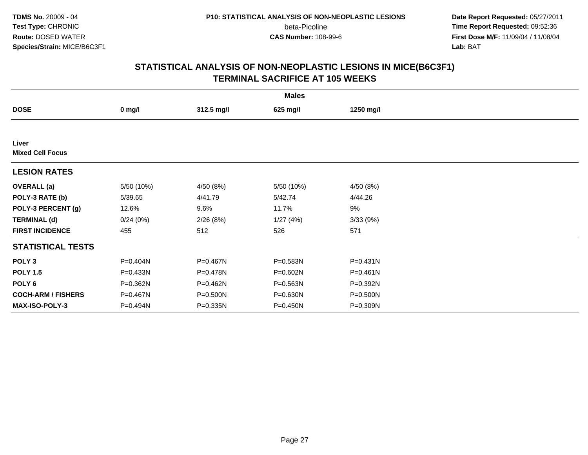**Date Report Requested:** 05/27/2011 **Time Report Requested:** 09:52:36 **First Dose M/F:** 11/09/04 / 11/08/04<br>Lab: BAT **Lab:** BAT

|                                  |              |            | <b>Males</b> |              |  |
|----------------------------------|--------------|------------|--------------|--------------|--|
| <b>DOSE</b>                      | $0$ mg/l     | 312.5 mg/l | 625 mg/l     | 1250 mg/l    |  |
|                                  |              |            |              |              |  |
| Liver<br><b>Mixed Cell Focus</b> |              |            |              |              |  |
| <b>LESION RATES</b>              |              |            |              |              |  |
| <b>OVERALL</b> (a)               | 5/50 (10%)   | 4/50 (8%)  | 5/50 (10%)   | 4/50 (8%)    |  |
| POLY-3 RATE (b)                  | 5/39.65      | 4/41.79    | 5/42.74      | 4/44.26      |  |
| POLY-3 PERCENT (g)               | 12.6%        | 9.6%       | 11.7%        | 9%           |  |
| <b>TERMINAL (d)</b>              | 0/24(0%)     | 2/26(8%)   | 1/27(4%)     | 3/33(9%)     |  |
| <b>FIRST INCIDENCE</b>           | 455          | 512        | 526          | 571          |  |
| <b>STATISTICAL TESTS</b>         |              |            |              |              |  |
| POLY <sub>3</sub>                | P=0.404N     | P=0.467N   | P=0.583N     | $P = 0.431N$ |  |
| <b>POLY 1.5</b>                  | $P = 0.433N$ | P=0.478N   | P=0.602N     | $P = 0.461N$ |  |
| POLY <sub>6</sub>                | P=0.362N     | P=0.462N   | P=0.563N     | P=0.392N     |  |
| <b>COCH-ARM / FISHERS</b>        | P=0.467N     | P=0.500N   | P=0.630N     | P=0.500N     |  |
| MAX-ISO-POLY-3                   | P=0.494N     | P=0.335N   | P=0.450N     | P=0.309N     |  |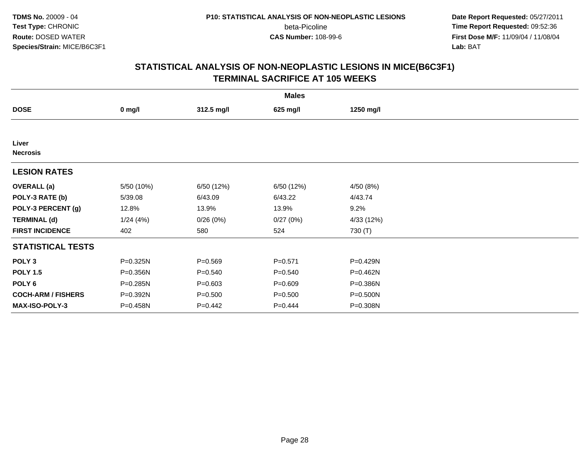**Date Report Requested:** 05/27/2011 **Time Report Requested:** 09:52:36 **First Dose M/F:** 11/09/04 / 11/08/04<br>Lab: BAT **Lab:** BAT

|                           |            |             | <b>Males</b> |            |  |
|---------------------------|------------|-------------|--------------|------------|--|
| <b>DOSE</b>               | $0$ mg/l   | 312.5 mg/l  | 625 mg/l     | 1250 mg/l  |  |
|                           |            |             |              |            |  |
| Liver<br><b>Necrosis</b>  |            |             |              |            |  |
| <b>LESION RATES</b>       |            |             |              |            |  |
| <b>OVERALL</b> (a)        | 5/50 (10%) | 6/50 (12%)  | 6/50 (12%)   | 4/50(8%)   |  |
| POLY-3 RATE (b)           | 5/39.08    | 6/43.09     | 6/43.22      | 4/43.74    |  |
| POLY-3 PERCENT (g)        | 12.8%      | 13.9%       | 13.9%        | 9.2%       |  |
| <b>TERMINAL (d)</b>       | 1/24(4%)   | 0/26(0%)    | 0/27(0%)     | 4/33 (12%) |  |
| <b>FIRST INCIDENCE</b>    | 402        | 580         | 524          | 730 (T)    |  |
| <b>STATISTICAL TESTS</b>  |            |             |              |            |  |
| POLY <sub>3</sub>         | P=0.325N   | $P = 0.569$ | $P = 0.571$  | P=0.429N   |  |
| <b>POLY 1.5</b>           | P=0.356N   | $P = 0.540$ | $P = 0.540$  | P=0.462N   |  |
| POLY <sub>6</sub>         | P=0.285N   | $P = 0.603$ | $P = 0.609$  | P=0.386N   |  |
| <b>COCH-ARM / FISHERS</b> | P=0.392N   | $P = 0.500$ | $P = 0.500$  | P=0.500N   |  |
| MAX-ISO-POLY-3            | P=0.458N   | $P=0.442$   | $P=0.444$    | P=0.308N   |  |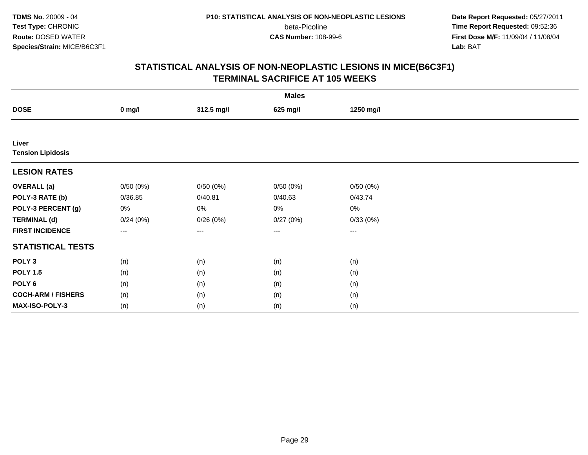**Date Report Requested:** 05/27/2011 **Time Report Requested:** 09:52:36 **First Dose M/F:** 11/09/04 / 11/08/04<br>Lab: BAT **Lab:** BAT

| <b>Males</b>              |                                          |                   |          |           |  |  |
|---------------------------|------------------------------------------|-------------------|----------|-----------|--|--|
| <b>DOSE</b>               | $0$ mg/l                                 | 312.5 mg/l        | 625 mg/l | 1250 mg/l |  |  |
|                           |                                          |                   |          |           |  |  |
| Liver                     |                                          |                   |          |           |  |  |
| <b>Tension Lipidosis</b>  |                                          |                   |          |           |  |  |
| <b>LESION RATES</b>       |                                          |                   |          |           |  |  |
| <b>OVERALL</b> (a)        | 0/50(0%)                                 | 0/50(0%)          | 0/50(0%) | 0/50(0%)  |  |  |
| POLY-3 RATE (b)           | 0/36.85                                  | 0/40.81           | 0/40.63  | 0/43.74   |  |  |
| POLY-3 PERCENT (g)        | 0%                                       | 0%                | 0%       | 0%        |  |  |
| <b>TERMINAL (d)</b>       | 0/24(0%)                                 | 0/26(0%)          | 0/27(0%) | 0/33(0%)  |  |  |
| <b>FIRST INCIDENCE</b>    | $\hspace{0.05cm} \ldots \hspace{0.05cm}$ | $\qquad \qquad -$ | $\cdots$ | $\cdots$  |  |  |
| <b>STATISTICAL TESTS</b>  |                                          |                   |          |           |  |  |
| POLY <sub>3</sub>         | (n)                                      | (n)               | (n)      | (n)       |  |  |
| <b>POLY 1.5</b>           | (n)                                      | (n)               | (n)      | (n)       |  |  |
| POLY <sub>6</sub>         | (n)                                      | (n)               | (n)      | (n)       |  |  |
| <b>COCH-ARM / FISHERS</b> | (n)                                      | (n)               | (n)      | (n)       |  |  |
| MAX-ISO-POLY-3            | (n)                                      | (n)               | (n)      | (n)       |  |  |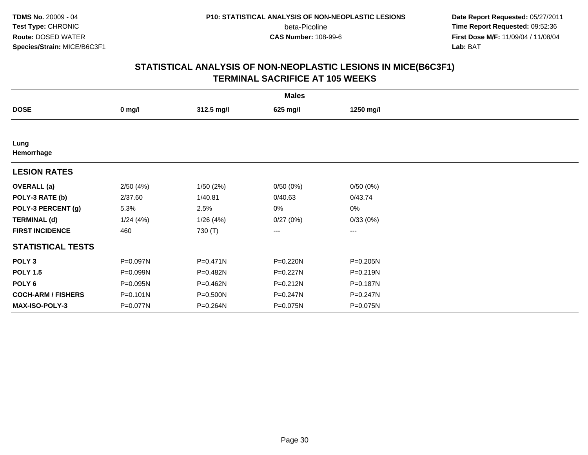**Date Report Requested:** 05/27/2011 **Time Report Requested:** 09:52:36 **First Dose M/F:** 11/09/04 / 11/08/04<br>Lab: BAT **Lab:** BAT

|                           |              |              | <b>Males</b> |                        |  |
|---------------------------|--------------|--------------|--------------|------------------------|--|
| <b>DOSE</b>               | $0$ mg/l     | 312.5 mg/l   | 625 mg/l     | 1250 mg/l              |  |
|                           |              |              |              |                        |  |
| Lung<br>Hemorrhage        |              |              |              |                        |  |
| <b>LESION RATES</b>       |              |              |              |                        |  |
| <b>OVERALL</b> (a)        | 2/50(4%)     | 1/50(2%)     | 0/50(0%)     | 0/50(0%)               |  |
| POLY-3 RATE (b)           | 2/37.60      | 1/40.81      | 0/40.63      | 0/43.74                |  |
| POLY-3 PERCENT (g)        | 5.3%         | 2.5%         | 0%           | 0%                     |  |
| <b>TERMINAL (d)</b>       | 1/24(4%)     | 1/26(4%)     | 0/27(0%)     | 0/33(0%)               |  |
| <b>FIRST INCIDENCE</b>    | 460          | 730 (T)      | ---          | $\qquad \qquad \cdots$ |  |
| <b>STATISTICAL TESTS</b>  |              |              |              |                        |  |
| POLY <sub>3</sub>         | P=0.097N     | $P = 0.471N$ | P=0.220N     | P=0.205N               |  |
| <b>POLY 1.5</b>           | P=0.099N     | P=0.482N     | P=0.227N     | $P = 0.219N$           |  |
| POLY <sub>6</sub>         | P=0.095N     | P=0.462N     | P=0.212N     | P=0.187N               |  |
| <b>COCH-ARM / FISHERS</b> | $P = 0.101N$ | P=0.500N     | P=0.247N     | P=0.247N               |  |
| MAX-ISO-POLY-3            | P=0.077N     | P=0.264N     | P=0.075N     | P=0.075N               |  |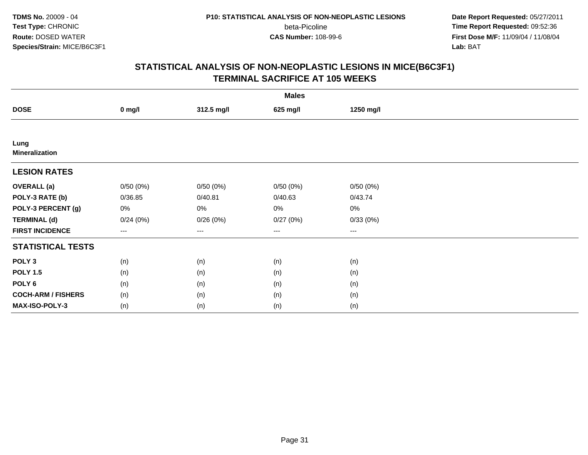**Date Report Requested:** 05/27/2011 **Time Report Requested:** 09:52:36 **First Dose M/F:** 11/09/04 / 11/08/04<br>Lab: BAT **Lab:** BAT

| <b>Males</b>                  |               |            |          |           |  |  |
|-------------------------------|---------------|------------|----------|-----------|--|--|
| <b>DOSE</b>                   | $0$ mg/l      | 312.5 mg/l | 625 mg/l | 1250 mg/l |  |  |
|                               |               |            |          |           |  |  |
| Lung<br><b>Mineralization</b> |               |            |          |           |  |  |
| <b>LESION RATES</b>           |               |            |          |           |  |  |
| <b>OVERALL</b> (a)            | 0/50(0%)      | 0/50(0%)   | 0/50(0%) | 0/50(0%)  |  |  |
| POLY-3 RATE (b)               | 0/36.85       | 0/40.81    | 0/40.63  | 0/43.74   |  |  |
| POLY-3 PERCENT (g)            | 0%            | $0\%$      | 0%       | 0%        |  |  |
| <b>TERMINAL (d)</b>           | 0/24(0%)      | 0/26(0%)   | 0/27(0%) | 0/33(0%)  |  |  |
| <b>FIRST INCIDENCE</b>        | $\sim$ $\sim$ | $\cdots$   | $\cdots$ | $\cdots$  |  |  |
| <b>STATISTICAL TESTS</b>      |               |            |          |           |  |  |
| POLY <sub>3</sub>             | (n)           | (n)        | (n)      | (n)       |  |  |
| <b>POLY 1.5</b>               | (n)           | (n)        | (n)      | (n)       |  |  |
| POLY <sub>6</sub>             | (n)           | (n)        | (n)      | (n)       |  |  |
| <b>COCH-ARM / FISHERS</b>     | (n)           | (n)        | (n)      | (n)       |  |  |
| MAX-ISO-POLY-3                | (n)           | (n)        | (n)      | (n)       |  |  |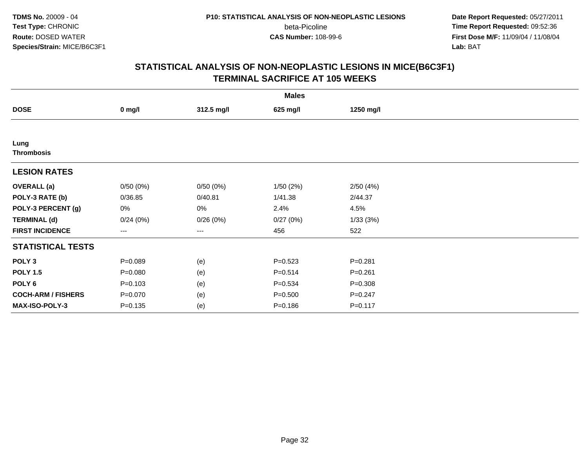**Date Report Requested:** 05/27/2011 **Time Report Requested:** 09:52:36 **First Dose M/F:** 11/09/04 / 11/08/04<br>Lab: BAT **Lab:** BAT

| <b>Males</b>              |             |            |             |             |  |  |
|---------------------------|-------------|------------|-------------|-------------|--|--|
| <b>DOSE</b>               | $0$ mg/l    | 312.5 mg/l | 625 mg/l    | 1250 mg/l   |  |  |
|                           |             |            |             |             |  |  |
| Lung                      |             |            |             |             |  |  |
| <b>Thrombosis</b>         |             |            |             |             |  |  |
| <b>LESION RATES</b>       |             |            |             |             |  |  |
| <b>OVERALL</b> (a)        | 0/50(0%)    | 0/50(0%)   | 1/50(2%)    | 2/50(4%)    |  |  |
| POLY-3 RATE (b)           | 0/36.85     | 0/40.81    | 1/41.38     | 2/44.37     |  |  |
| POLY-3 PERCENT (g)        | 0%          | 0%         | 2.4%        | 4.5%        |  |  |
| <b>TERMINAL (d)</b>       | 0/24(0%)    | 0/26(0%)   | 0/27(0%)    | 1/33(3%)    |  |  |
| <b>FIRST INCIDENCE</b>    | $---$       | ---        | 456         | 522         |  |  |
| <b>STATISTICAL TESTS</b>  |             |            |             |             |  |  |
| POLY <sub>3</sub>         | $P = 0.089$ | (e)        | $P = 0.523$ | $P = 0.281$ |  |  |
| <b>POLY 1.5</b>           | $P = 0.080$ | (e)        | $P = 0.514$ | $P = 0.261$ |  |  |
| POLY <sub>6</sub>         | $P = 0.103$ | (e)        | $P = 0.534$ | $P = 0.308$ |  |  |
| <b>COCH-ARM / FISHERS</b> | $P = 0.070$ | (e)        | $P = 0.500$ | $P = 0.247$ |  |  |
| <b>MAX-ISO-POLY-3</b>     | $P = 0.135$ | (e)        | $P = 0.186$ | $P = 0.117$ |  |  |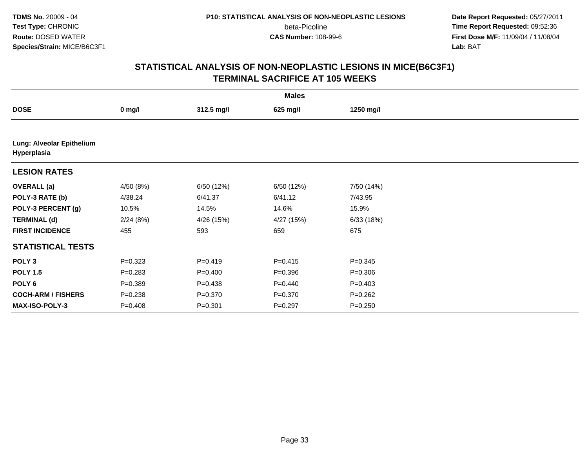**Date Report Requested:** 05/27/2011 **Time Report Requested:** 09:52:36 **First Dose M/F:** 11/09/04 / 11/08/04<br>Lab: BAT **Lab:** BAT

| <b>Males</b>                             |             |             |             |             |  |  |
|------------------------------------------|-------------|-------------|-------------|-------------|--|--|
| <b>DOSE</b>                              | $0$ mg/l    | 312.5 mg/l  | 625 mg/l    | 1250 mg/l   |  |  |
|                                          |             |             |             |             |  |  |
| Lung: Alveolar Epithelium<br>Hyperplasia |             |             |             |             |  |  |
| <b>LESION RATES</b>                      |             |             |             |             |  |  |
| <b>OVERALL</b> (a)                       | 4/50 (8%)   | 6/50 (12%)  | 6/50 (12%)  | 7/50 (14%)  |  |  |
| POLY-3 RATE (b)                          | 4/38.24     | 6/41.37     | 6/41.12     | 7/43.95     |  |  |
| POLY-3 PERCENT (g)                       | 10.5%       | 14.5%       | 14.6%       | 15.9%       |  |  |
| <b>TERMINAL (d)</b>                      | 2/24(8%)    | 4/26 (15%)  | 4/27 (15%)  | 6/33(18%)   |  |  |
| <b>FIRST INCIDENCE</b>                   | 455         | 593         | 659         | 675         |  |  |
| <b>STATISTICAL TESTS</b>                 |             |             |             |             |  |  |
| POLY <sub>3</sub>                        | $P=0.323$   | $P=0.419$   | $P = 0.415$ | $P = 0.345$ |  |  |
| <b>POLY 1.5</b>                          | $P = 0.283$ | $P = 0.400$ | $P = 0.396$ | $P = 0.306$ |  |  |
| POLY <sub>6</sub>                        | $P = 0.389$ | $P = 0.438$ | $P = 0.440$ | $P=0.403$   |  |  |
| <b>COCH-ARM / FISHERS</b>                | $P = 0.238$ | $P = 0.370$ | $P = 0.370$ | $P = 0.262$ |  |  |
| MAX-ISO-POLY-3                           | $P = 0.408$ | $P = 0.301$ | $P=0.297$   | $P = 0.250$ |  |  |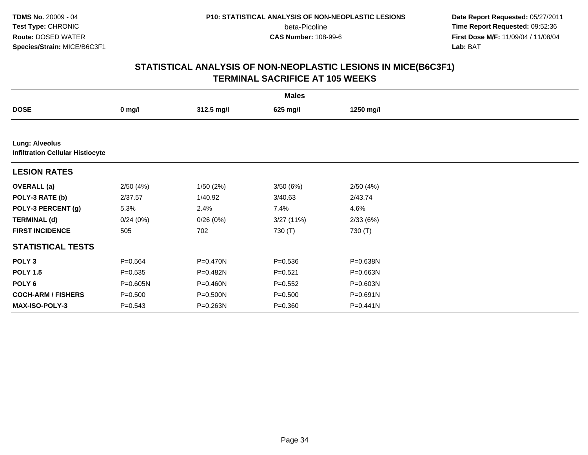**Date Report Requested:** 05/27/2011 **Time Report Requested:** 09:52:36 **First Dose M/F:** 11/09/04 / 11/08/04<br>Lab: BAT **Lab:** BAT

|                                                                  | <b>Males</b> |            |             |           |  |  |  |
|------------------------------------------------------------------|--------------|------------|-------------|-----------|--|--|--|
| <b>DOSE</b>                                                      | $0$ mg/l     | 312.5 mg/l | 625 mg/l    | 1250 mg/l |  |  |  |
|                                                                  |              |            |             |           |  |  |  |
| <b>Lung: Alveolus</b><br><b>Infiltration Cellular Histiocyte</b> |              |            |             |           |  |  |  |
| <b>LESION RATES</b>                                              |              |            |             |           |  |  |  |
| <b>OVERALL</b> (a)                                               | 2/50(4%)     | 1/50(2%)   | 3/50(6%)    | 2/50(4%)  |  |  |  |
| POLY-3 RATE (b)                                                  | 2/37.57      | 1/40.92    | 3/40.63     | 2/43.74   |  |  |  |
| POLY-3 PERCENT (g)                                               | 5.3%         | 2.4%       | 7.4%        | 4.6%      |  |  |  |
| <b>TERMINAL (d)</b>                                              | 0/24(0%)     | 0/26(0%)   | 3/27(11%)   | 2/33(6%)  |  |  |  |
| <b>FIRST INCIDENCE</b>                                           | 505          | 702        | 730 (T)     | 730 (T)   |  |  |  |
| <b>STATISTICAL TESTS</b>                                         |              |            |             |           |  |  |  |
| POLY <sub>3</sub>                                                | $P = 0.564$  | P=0.470N   | $P = 0.536$ | P=0.638N  |  |  |  |
| <b>POLY 1.5</b>                                                  | $P = 0.535$  | P=0.482N   | $P = 0.521$ | P=0.663N  |  |  |  |
| POLY 6                                                           | $P = 0.605N$ | P=0.460N   | $P = 0.552$ | P=0.603N  |  |  |  |
| <b>COCH-ARM / FISHERS</b>                                        | $P = 0.500$  | P=0.500N   | $P = 0.500$ | P=0.691N  |  |  |  |
| <b>MAX-ISO-POLY-3</b>                                            | $P = 0.543$  | P=0.263N   | $P = 0.360$ | P=0.441N  |  |  |  |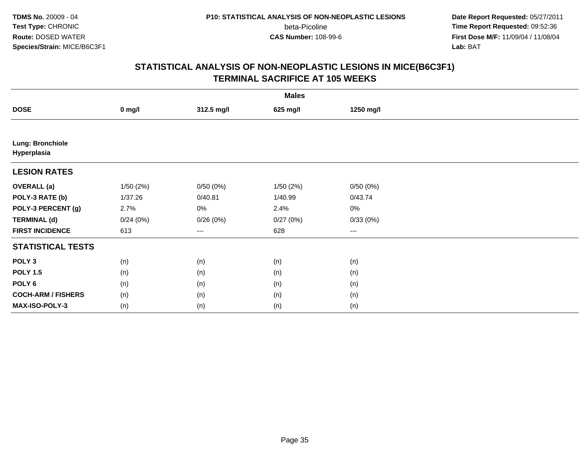**Date Report Requested:** 05/27/2011 **Time Report Requested:** 09:52:36 **First Dose M/F:** 11/09/04 / 11/08/04<br>Lab: BAT **Lab:** BAT

|                                        | <b>Males</b> |            |          |           |  |  |  |
|----------------------------------------|--------------|------------|----------|-----------|--|--|--|
| <b>DOSE</b>                            | $0$ mg/l     | 312.5 mg/l | 625 mg/l | 1250 mg/l |  |  |  |
|                                        |              |            |          |           |  |  |  |
| <b>Lung: Bronchiole</b><br>Hyperplasia |              |            |          |           |  |  |  |
| <b>LESION RATES</b>                    |              |            |          |           |  |  |  |
| <b>OVERALL</b> (a)                     | 1/50(2%)     | 0/50(0%)   | 1/50(2%) | 0/50(0%)  |  |  |  |
| POLY-3 RATE (b)                        | 1/37.26      | 0/40.81    | 1/40.99  | 0/43.74   |  |  |  |
| POLY-3 PERCENT (g)                     | 2.7%         | $0\%$      | 2.4%     | 0%        |  |  |  |
| <b>TERMINAL (d)</b>                    | 0/24(0%)     | 0/26(0%)   | 0/27(0%) | 0/33(0%)  |  |  |  |
| <b>FIRST INCIDENCE</b>                 | 613          | ---        | 628      | $--$      |  |  |  |
| <b>STATISTICAL TESTS</b>               |              |            |          |           |  |  |  |
| POLY <sub>3</sub>                      | (n)          | (n)        | (n)      | (n)       |  |  |  |
| <b>POLY 1.5</b>                        | (n)          | (n)        | (n)      | (n)       |  |  |  |
| POLY <sub>6</sub>                      | (n)          | (n)        | (n)      | (n)       |  |  |  |
| <b>COCH-ARM / FISHERS</b>              | (n)          | (n)        | (n)      | (n)       |  |  |  |
| MAX-ISO-POLY-3                         | (n)          | (n)        | (n)      | (n)       |  |  |  |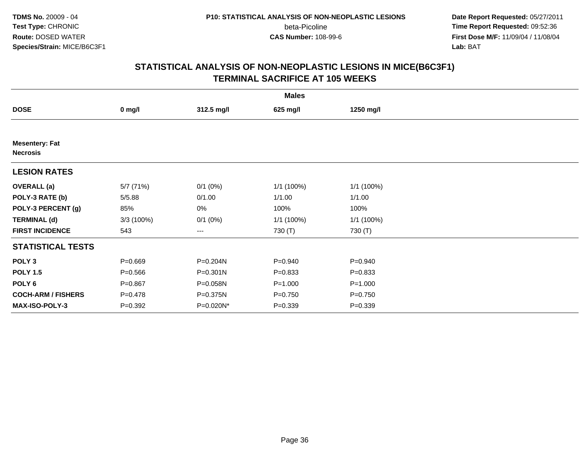**Date Report Requested:** 05/27/2011 **Time Report Requested:** 09:52:36 **First Dose M/F:** 11/09/04 / 11/08/04<br>Lab: BAT **Lab:** BAT

| <b>Males</b>                             |             |              |             |             |  |  |
|------------------------------------------|-------------|--------------|-------------|-------------|--|--|
| <b>DOSE</b>                              | $0$ mg/l    | 312.5 mg/l   | 625 mg/l    | 1250 mg/l   |  |  |
|                                          |             |              |             |             |  |  |
| <b>Mesentery: Fat</b><br><b>Necrosis</b> |             |              |             |             |  |  |
| <b>LESION RATES</b>                      |             |              |             |             |  |  |
| <b>OVERALL</b> (a)                       | 5/7 (71%)   | $0/1$ $(0%)$ | 1/1 (100%)  | 1/1 (100%)  |  |  |
| POLY-3 RATE (b)                          | 5/5.88      | 0/1.00       | 1/1.00      | 1/1.00      |  |  |
| POLY-3 PERCENT (g)                       | 85%         | $0\%$        | 100%        | 100%        |  |  |
| <b>TERMINAL (d)</b>                      | 3/3(100%)   | $0/1$ $(0%)$ | 1/1 (100%)  | 1/1 (100%)  |  |  |
| <b>FIRST INCIDENCE</b>                   | 543         | ---          | 730 (T)     | 730 (T)     |  |  |
| <b>STATISTICAL TESTS</b>                 |             |              |             |             |  |  |
| POLY <sub>3</sub>                        | $P = 0.669$ | P=0.204N     | $P = 0.940$ | $P = 0.940$ |  |  |
| <b>POLY 1.5</b>                          | $P = 0.566$ | $P = 0.301N$ | $P = 0.833$ | $P = 0.833$ |  |  |
| POLY <sub>6</sub>                        | $P = 0.867$ | P=0.058N     | $P = 1.000$ | $P = 1.000$ |  |  |
| <b>COCH-ARM / FISHERS</b>                | $P=0.478$   | P=0.375N     | $P = 0.750$ | $P = 0.750$ |  |  |
| MAX-ISO-POLY-3                           | $P = 0.392$ | P=0.020N*    | $P = 0.339$ | $P = 0.339$ |  |  |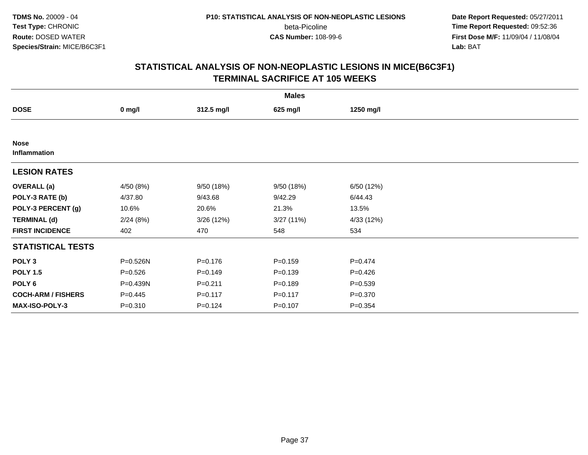**Date Report Requested:** 05/27/2011 **Time Report Requested:** 09:52:36 **First Dose M/F:** 11/09/04 / 11/08/04<br>Lab: BAT **Lab:** BAT

|                             |             |             | <b>Males</b> |             |  |
|-----------------------------|-------------|-------------|--------------|-------------|--|
| <b>DOSE</b>                 | $0$ mg/l    | 312.5 mg/l  | 625 mg/l     | 1250 mg/l   |  |
|                             |             |             |              |             |  |
| <b>Nose</b><br>Inflammation |             |             |              |             |  |
| <b>LESION RATES</b>         |             |             |              |             |  |
| <b>OVERALL</b> (a)          | 4/50 (8%)   | 9/50 (18%)  | 9/50 (18%)   | 6/50 (12%)  |  |
| POLY-3 RATE (b)             | 4/37.80     | 9/43.68     | 9/42.29      | 6/44.43     |  |
| POLY-3 PERCENT (g)          | 10.6%       | 20.6%       | 21.3%        | 13.5%       |  |
| <b>TERMINAL (d)</b>         | 2/24(8%)    | 3/26(12%)   | 3/27(11%)    | 4/33 (12%)  |  |
| <b>FIRST INCIDENCE</b>      | 402         | 470         | 548          | 534         |  |
| <b>STATISTICAL TESTS</b>    |             |             |              |             |  |
| POLY <sub>3</sub>           | P=0.526N    | $P = 0.176$ | $P=0.159$    | $P = 0.474$ |  |
| <b>POLY 1.5</b>             | $P = 0.526$ | $P=0.149$   | $P = 0.139$  | $P=0.426$   |  |
| POLY 6                      | P=0.439N    | $P = 0.211$ | $P = 0.189$  | $P = 0.539$ |  |
| <b>COCH-ARM / FISHERS</b>   | $P=0.445$   | $P = 0.117$ | $P = 0.117$  | $P = 0.370$ |  |
| MAX-ISO-POLY-3              | $P = 0.310$ | $P = 0.124$ | $P = 0.107$  | $P = 0.354$ |  |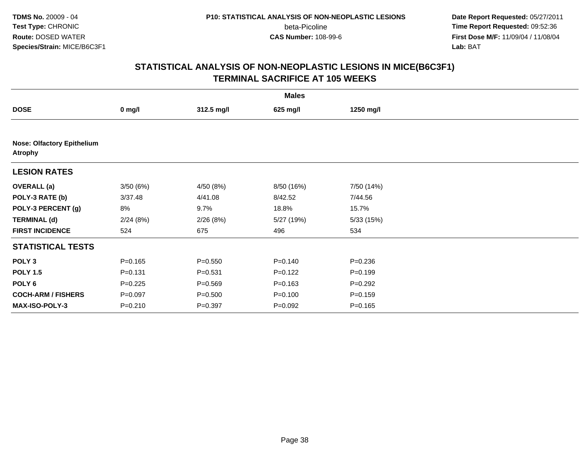**Date Report Requested:** 05/27/2011 **Time Report Requested:** 09:52:36 **First Dose M/F:** 11/09/04 / 11/08/04<br>Lab: BAT **Lab:** BAT

|                                                     |             |             | <b>Males</b> |             |  |
|-----------------------------------------------------|-------------|-------------|--------------|-------------|--|
| <b>DOSE</b>                                         | $0$ mg/l    | 312.5 mg/l  | 625 mg/l     | 1250 mg/l   |  |
|                                                     |             |             |              |             |  |
| <b>Nose: Olfactory Epithelium</b><br><b>Atrophy</b> |             |             |              |             |  |
| <b>LESION RATES</b>                                 |             |             |              |             |  |
| <b>OVERALL</b> (a)                                  | 3/50(6%)    | 4/50 (8%)   | 8/50 (16%)   | 7/50 (14%)  |  |
| POLY-3 RATE (b)                                     | 3/37.48     | 4/41.08     | 8/42.52      | 7/44.56     |  |
| POLY-3 PERCENT (g)                                  | 8%          | 9.7%        | 18.8%        | 15.7%       |  |
| <b>TERMINAL (d)</b>                                 | 2/24(8%)    | 2/26(8%)    | 5/27 (19%)   | 5/33(15%)   |  |
| <b>FIRST INCIDENCE</b>                              | 524         | 675         | 496          | 534         |  |
| <b>STATISTICAL TESTS</b>                            |             |             |              |             |  |
| POLY <sub>3</sub>                                   | $P = 0.165$ | $P = 0.550$ | $P = 0.140$  | $P = 0.236$ |  |
| <b>POLY 1.5</b>                                     | $P = 0.131$ | $P = 0.531$ | $P=0.122$    | $P = 0.199$ |  |
| POLY <sub>6</sub>                                   | $P = 0.225$ | $P = 0.569$ | $P = 0.163$  | $P=0.292$   |  |
| <b>COCH-ARM / FISHERS</b>                           | $P = 0.097$ | $P = 0.500$ | $P = 0.100$  | $P = 0.159$ |  |
| MAX-ISO-POLY-3                                      | $P = 0.210$ | $P=0.397$   | $P=0.092$    | $P = 0.165$ |  |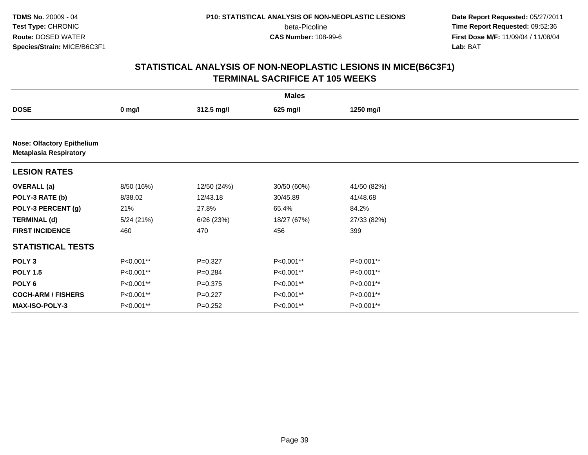**Date Report Requested:** 05/27/2011 **Time Report Requested:** 09:52:36 **First Dose M/F:** 11/09/04 / 11/08/04<br>Lab: BAT **Lab:** BAT

|                                                                    | <b>Males</b> |             |             |             |  |  |  |  |
|--------------------------------------------------------------------|--------------|-------------|-------------|-------------|--|--|--|--|
| <b>DOSE</b>                                                        | $0$ mg/l     | 312.5 mg/l  | 625 mg/l    | 1250 mg/l   |  |  |  |  |
|                                                                    |              |             |             |             |  |  |  |  |
| <b>Nose: Olfactory Epithelium</b><br><b>Metaplasia Respiratory</b> |              |             |             |             |  |  |  |  |
| <b>LESION RATES</b>                                                |              |             |             |             |  |  |  |  |
| <b>OVERALL</b> (a)                                                 | 8/50 (16%)   | 12/50 (24%) | 30/50 (60%) | 41/50 (82%) |  |  |  |  |
| POLY-3 RATE (b)                                                    | 8/38.02      | 12/43.18    | 30/45.89    | 41/48.68    |  |  |  |  |
| POLY-3 PERCENT (g)                                                 | 21%          | 27.8%       | 65.4%       | 84.2%       |  |  |  |  |
| <b>TERMINAL (d)</b>                                                | 5/24(21%)    | 6/26(23%)   | 18/27 (67%) | 27/33 (82%) |  |  |  |  |
| <b>FIRST INCIDENCE</b>                                             | 460          | 470         | 456         | 399         |  |  |  |  |
| <b>STATISTICAL TESTS</b>                                           |              |             |             |             |  |  |  |  |
| POLY <sub>3</sub>                                                  | P<0.001**    | $P=0.327$   | P<0.001**   | P<0.001**   |  |  |  |  |
| <b>POLY 1.5</b>                                                    | P<0.001**    | $P = 0.284$ | P<0.001**   | P<0.001**   |  |  |  |  |
| POLY 6                                                             | P<0.001**    | $P = 0.375$ | P<0.001**   | P<0.001**   |  |  |  |  |
| <b>COCH-ARM / FISHERS</b>                                          | P<0.001**    | $P=0.227$   | P<0.001**   | P<0.001**   |  |  |  |  |
| <b>MAX-ISO-POLY-3</b>                                              | P<0.001**    | $P = 0.252$ | P<0.001**   | P<0.001**   |  |  |  |  |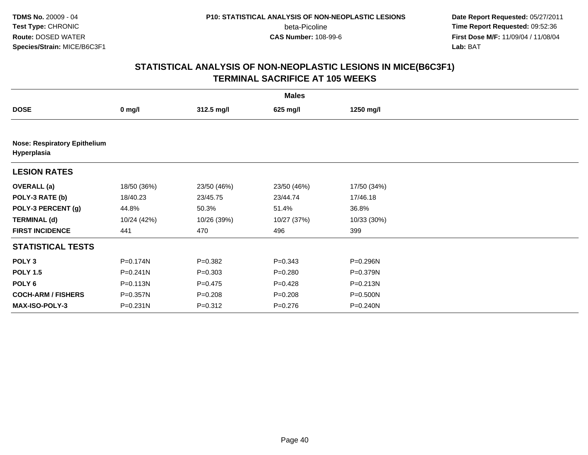**Date Report Requested:** 05/27/2011 **Time Report Requested:** 09:52:36 **First Dose M/F:** 11/09/04 / 11/08/04<br>Lab: BAT **Lab:** BAT

|                                                    | <b>Males</b> |             |             |             |  |  |  |  |
|----------------------------------------------------|--------------|-------------|-------------|-------------|--|--|--|--|
| <b>DOSE</b>                                        | $0$ mg/l     | 312.5 mg/l  | 625 mg/l    | 1250 mg/l   |  |  |  |  |
|                                                    |              |             |             |             |  |  |  |  |
| <b>Nose: Respiratory Epithelium</b><br>Hyperplasia |              |             |             |             |  |  |  |  |
| <b>LESION RATES</b>                                |              |             |             |             |  |  |  |  |
| <b>OVERALL</b> (a)                                 | 18/50 (36%)  | 23/50 (46%) | 23/50 (46%) | 17/50 (34%) |  |  |  |  |
| POLY-3 RATE (b)                                    | 18/40.23     | 23/45.75    | 23/44.74    | 17/46.18    |  |  |  |  |
| POLY-3 PERCENT (g)                                 | 44.8%        | 50.3%       | 51.4%       | 36.8%       |  |  |  |  |
| <b>TERMINAL (d)</b>                                | 10/24 (42%)  | 10/26 (39%) | 10/27 (37%) | 10/33 (30%) |  |  |  |  |
| <b>FIRST INCIDENCE</b>                             | 441          | 470         | 496         | 399         |  |  |  |  |
| <b>STATISTICAL TESTS</b>                           |              |             |             |             |  |  |  |  |
| POLY <sub>3</sub>                                  | P=0.174N     | $P = 0.382$ | $P = 0.343$ | P=0.296N    |  |  |  |  |
| <b>POLY 1.5</b>                                    | $P = 0.241N$ | $P = 0.303$ | $P = 0.280$ | P=0.379N    |  |  |  |  |
| POLY 6                                             | $P = 0.113N$ | $P=0.475$   | $P=0.428$   | P=0.213N    |  |  |  |  |
| <b>COCH-ARM / FISHERS</b>                          | P=0.357N     | $P = 0.208$ | $P = 0.208$ | P=0.500N    |  |  |  |  |
| MAX-ISO-POLY-3                                     | P=0.231N     | $P = 0.312$ | $P = 0.276$ | P=0.240N    |  |  |  |  |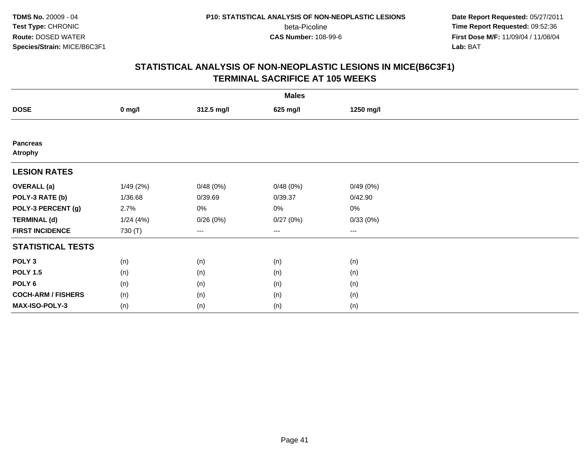**Date Report Requested:** 05/27/2011 **Time Report Requested:** 09:52:36 **First Dose M/F:** 11/09/04 / 11/08/04<br>Lab: BAT **Lab:** BAT

|                                   | <b>Males</b> |                   |          |           |  |  |  |  |
|-----------------------------------|--------------|-------------------|----------|-----------|--|--|--|--|
| <b>DOSE</b>                       | $0$ mg/l     | 312.5 mg/l        | 625 mg/l | 1250 mg/l |  |  |  |  |
|                                   |              |                   |          |           |  |  |  |  |
| <b>Pancreas</b><br><b>Atrophy</b> |              |                   |          |           |  |  |  |  |
| <b>LESION RATES</b>               |              |                   |          |           |  |  |  |  |
| <b>OVERALL</b> (a)                | 1/49(2%)     | 0/48(0%)          | 0/48(0%) | 0/49(0%)  |  |  |  |  |
| POLY-3 RATE (b)                   | 1/36.68      | 0/39.69           | 0/39.37  | 0/42.90   |  |  |  |  |
| POLY-3 PERCENT (g)                | 2.7%         | 0%                | 0%       | 0%        |  |  |  |  |
| <b>TERMINAL (d)</b>               | 1/24(4%)     | 0/26(0%)          | 0/27(0%) | 0/33(0%)  |  |  |  |  |
| <b>FIRST INCIDENCE</b>            | 730 (T)      | $\qquad \qquad -$ | $\cdots$ | $\cdots$  |  |  |  |  |
| <b>STATISTICAL TESTS</b>          |              |                   |          |           |  |  |  |  |
| POLY <sub>3</sub>                 | (n)          | (n)               | (n)      | (n)       |  |  |  |  |
| <b>POLY 1.5</b>                   | (n)          | (n)               | (n)      | (n)       |  |  |  |  |
| POLY <sub>6</sub>                 | (n)          | (n)               | (n)      | (n)       |  |  |  |  |
| <b>COCH-ARM / FISHERS</b>         | (n)          | (n)               | (n)      | (n)       |  |  |  |  |
| MAX-ISO-POLY-3                    | (n)          | (n)               | (n)      | (n)       |  |  |  |  |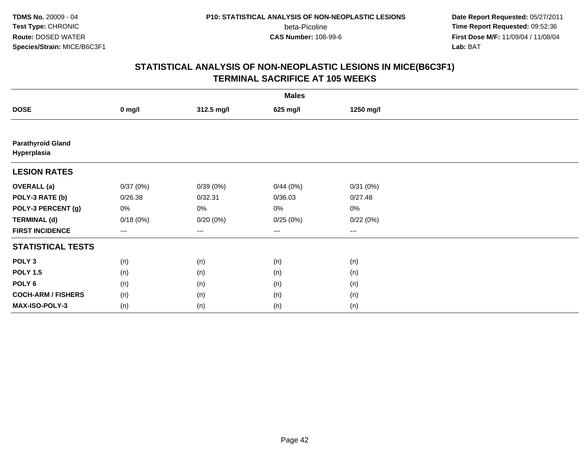**Date Report Requested:** 05/27/2011 **Time Report Requested:** 09:52:36 **First Dose M/F:** 11/09/04 / 11/08/04<br>Lab: BAT **Lab:** BAT

|                                         | <b>Males</b> |            |          |           |  |  |  |  |
|-----------------------------------------|--------------|------------|----------|-----------|--|--|--|--|
| <b>DOSE</b>                             | $0$ mg/l     | 312.5 mg/l | 625 mg/l | 1250 mg/l |  |  |  |  |
|                                         |              |            |          |           |  |  |  |  |
| <b>Parathyroid Gland</b><br>Hyperplasia |              |            |          |           |  |  |  |  |
| <b>LESION RATES</b>                     |              |            |          |           |  |  |  |  |
| <b>OVERALL</b> (a)                      | 0/37(0%)     | 0/39(0%)   | 0/44(0%) | 0/31(0%)  |  |  |  |  |
| POLY-3 RATE (b)                         | 0/26.38      | 0/32.31    | 0/36.03  | 0/27.48   |  |  |  |  |
| POLY-3 PERCENT (g)                      | 0%           | $0\%$      | 0%       | 0%        |  |  |  |  |
| <b>TERMINAL (d)</b>                     | 0/18(0%)     | 0/20(0%)   | 0/25(0%) | 0/22(0%)  |  |  |  |  |
| <b>FIRST INCIDENCE</b>                  | $--$         | ---        | ---      | $--$      |  |  |  |  |
| <b>STATISTICAL TESTS</b>                |              |            |          |           |  |  |  |  |
| POLY <sub>3</sub>                       | (n)          | (n)        | (n)      | (n)       |  |  |  |  |
| <b>POLY 1.5</b>                         | (n)          | (n)        | (n)      | (n)       |  |  |  |  |
| POLY <sub>6</sub>                       | (n)          | (n)        | (n)      | (n)       |  |  |  |  |
| <b>COCH-ARM / FISHERS</b>               | (n)          | (n)        | (n)      | (n)       |  |  |  |  |
| MAX-ISO-POLY-3                          | (n)          | (n)        | (n)      | (n)       |  |  |  |  |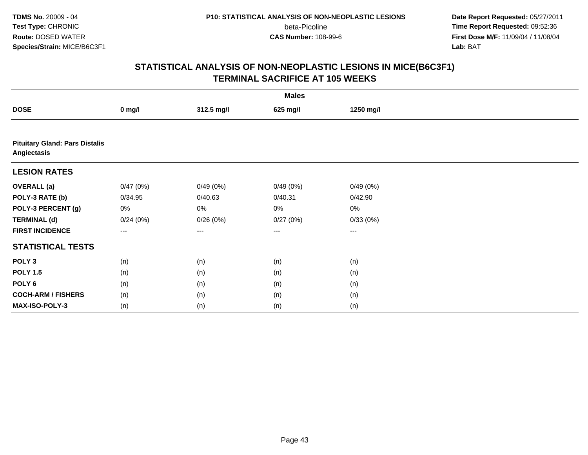**Date Report Requested:** 05/27/2011 **Time Report Requested:** 09:52:36 **First Dose M/F:** 11/09/04 / 11/08/04<br>Lab: BAT **Lab:** BAT

|                                                      | <b>Males</b> |            |                        |           |  |  |  |  |
|------------------------------------------------------|--------------|------------|------------------------|-----------|--|--|--|--|
| <b>DOSE</b>                                          | $0$ mg/l     | 312.5 mg/l | 625 mg/l               | 1250 mg/l |  |  |  |  |
|                                                      |              |            |                        |           |  |  |  |  |
| <b>Pituitary Gland: Pars Distalis</b><br>Angiectasis |              |            |                        |           |  |  |  |  |
| <b>LESION RATES</b>                                  |              |            |                        |           |  |  |  |  |
| <b>OVERALL</b> (a)                                   | 0/47(0%)     | 0/49(0%)   | 0/49(0%)               | 0/49(0%)  |  |  |  |  |
| POLY-3 RATE (b)                                      | 0/34.95      | 0/40.63    | 0/40.31                | 0/42.90   |  |  |  |  |
| POLY-3 PERCENT (g)                                   | 0%           | 0%         | 0%                     | $0\%$     |  |  |  |  |
| <b>TERMINAL (d)</b>                                  | 0/24(0%)     | 0/26(0%)   | 0/27(0%)               | 0/33(0%)  |  |  |  |  |
| <b>FIRST INCIDENCE</b>                               | $---$        | ---        | $\qquad \qquad \cdots$ | $\cdots$  |  |  |  |  |
| <b>STATISTICAL TESTS</b>                             |              |            |                        |           |  |  |  |  |
| POLY <sub>3</sub>                                    | (n)          | (n)        | (n)                    | (n)       |  |  |  |  |
| <b>POLY 1.5</b>                                      | (n)          | (n)        | (n)                    | (n)       |  |  |  |  |
| POLY 6                                               | (n)          | (n)        | (n)                    | (n)       |  |  |  |  |
| <b>COCH-ARM / FISHERS</b>                            | (n)          | (n)        | (n)                    | (n)       |  |  |  |  |
| MAX-ISO-POLY-3                                       | (n)          | (n)        | (n)                    | (n)       |  |  |  |  |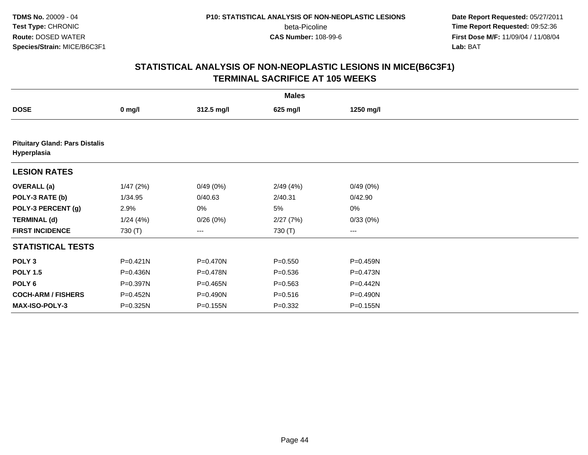**Date Report Requested:** 05/27/2011 **Time Report Requested:** 09:52:36 **First Dose M/F:** 11/09/04 / 11/08/04<br>Lab: BAT **Lab:** BAT

|                           |                                       |            | <b>Males</b> |                        |  |  |  |  |  |
|---------------------------|---------------------------------------|------------|--------------|------------------------|--|--|--|--|--|
| <b>DOSE</b>               | $0$ mg/l                              | 312.5 mg/l | 625 mg/l     | 1250 mg/l              |  |  |  |  |  |
|                           |                                       |            |              |                        |  |  |  |  |  |
| Hyperplasia               | <b>Pituitary Gland: Pars Distalis</b> |            |              |                        |  |  |  |  |  |
| <b>LESION RATES</b>       |                                       |            |              |                        |  |  |  |  |  |
| <b>OVERALL</b> (a)        | 1/47(2%)                              | 0/49(0%)   | 2/49(4%)     | 0/49(0%)               |  |  |  |  |  |
| POLY-3 RATE (b)           | 1/34.95                               | 0/40.63    | 2/40.31      | 0/42.90                |  |  |  |  |  |
| POLY-3 PERCENT (g)        | 2.9%                                  | 0%         | 5%           | $0\%$                  |  |  |  |  |  |
| <b>TERMINAL (d)</b>       | 1/24(4%)                              | 0/26(0%)   | 2/27(7%)     | 0/33(0%)               |  |  |  |  |  |
| <b>FIRST INCIDENCE</b>    | 730 (T)                               | ---        | 730 (T)      | $\qquad \qquad \cdots$ |  |  |  |  |  |
| <b>STATISTICAL TESTS</b>  |                                       |            |              |                        |  |  |  |  |  |
| POLY <sub>3</sub>         | P=0.421N                              | P=0.470N   | $P = 0.550$  | P=0.459N               |  |  |  |  |  |
| <b>POLY 1.5</b>           | P=0.436N                              | P=0.478N   | $P = 0.536$  | P=0.473N               |  |  |  |  |  |
| POLY <sub>6</sub>         | P=0.397N                              | P=0.465N   | $P = 0.563$  | P=0.442N               |  |  |  |  |  |
| <b>COCH-ARM / FISHERS</b> | P=0.452N                              | P=0.490N   | $P = 0.516$  | P=0.490N               |  |  |  |  |  |
| <b>MAX-ISO-POLY-3</b>     | P=0.325N                              | P=0.155N   | $P = 0.332$  | P=0.155N               |  |  |  |  |  |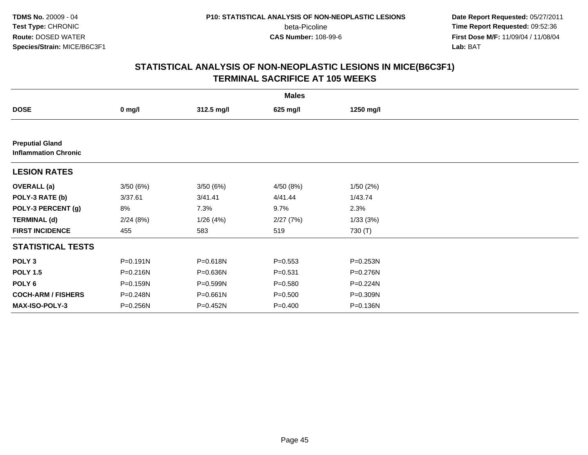**Date Report Requested:** 05/27/2011 **Time Report Requested:** 09:52:36 **First Dose M/F:** 11/09/04 / 11/08/04<br>Lab: BAT **Lab:** BAT

|                                                       |          |            | <b>Males</b> |           |  |
|-------------------------------------------------------|----------|------------|--------------|-----------|--|
| <b>DOSE</b>                                           | $0$ mg/l | 312.5 mg/l | 625 mg/l     | 1250 mg/l |  |
|                                                       |          |            |              |           |  |
| <b>Preputial Gland</b><br><b>Inflammation Chronic</b> |          |            |              |           |  |
| <b>LESION RATES</b>                                   |          |            |              |           |  |
| <b>OVERALL</b> (a)                                    | 3/50(6%) | 3/50(6%)   | 4/50 (8%)    | 1/50(2%)  |  |
| POLY-3 RATE (b)                                       | 3/37.61  | 3/41.41    | 4/41.44      | 1/43.74   |  |
| POLY-3 PERCENT (g)                                    | 8%       | 7.3%       | 9.7%         | 2.3%      |  |
| <b>TERMINAL (d)</b>                                   | 2/24(8%) | 1/26(4%)   | 2/27(7%)     | 1/33(3%)  |  |
| <b>FIRST INCIDENCE</b>                                | 455      | 583        | 519          | 730 (T)   |  |
| <b>STATISTICAL TESTS</b>                              |          |            |              |           |  |
| POLY <sub>3</sub>                                     | P=0.191N | P=0.618N   | $P = 0.553$  | P=0.253N  |  |
| <b>POLY 1.5</b>                                       | P=0.216N | P=0.636N   | $P = 0.531$  | P=0.276N  |  |
| POLY 6                                                | P=0.159N | P=0.599N   | $P = 0.580$  | P=0.224N  |  |
| <b>COCH-ARM / FISHERS</b>                             | P=0.248N | P=0.661N   | $P = 0.500$  | P=0.309N  |  |
| <b>MAX-ISO-POLY-3</b>                                 | P=0.256N | P=0.452N   | $P = 0.400$  | P=0.136N  |  |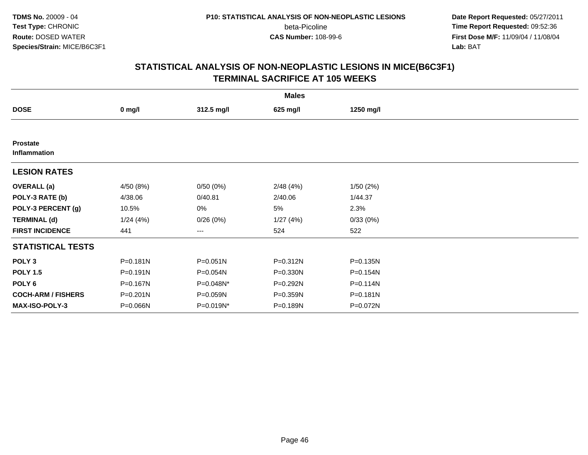**Date Report Requested:** 05/27/2011 **Time Report Requested:** 09:52:36 **First Dose M/F:** 11/09/04 / 11/08/04<br>Lab: BAT **Lab:** BAT

|                                 |              |              | <b>Males</b> |              |  |
|---------------------------------|--------------|--------------|--------------|--------------|--|
| <b>DOSE</b>                     | $0$ mg/l     | 312.5 mg/l   | 625 mg/l     | 1250 mg/l    |  |
|                                 |              |              |              |              |  |
| <b>Prostate</b><br>Inflammation |              |              |              |              |  |
| <b>LESION RATES</b>             |              |              |              |              |  |
| <b>OVERALL</b> (a)              | 4/50 (8%)    | 0/50(0%)     | 2/48(4%)     | 1/50(2%)     |  |
| POLY-3 RATE (b)                 | 4/38.06      | 0/40.81      | 2/40.06      | 1/44.37      |  |
| POLY-3 PERCENT (g)              | 10.5%        | 0%           | 5%           | 2.3%         |  |
| <b>TERMINAL (d)</b>             | 1/24(4%)     | 0/26(0%)     | 1/27(4%)     | 0/33(0%)     |  |
| <b>FIRST INCIDENCE</b>          | 441          | $--$         | 524          | 522          |  |
| <b>STATISTICAL TESTS</b>        |              |              |              |              |  |
| POLY <sub>3</sub>               | $P = 0.181N$ | $P = 0.051N$ | $P = 0.312N$ | P=0.135N     |  |
| <b>POLY 1.5</b>                 | $P = 0.191N$ | P=0.054N     | $P = 0.330N$ | P=0.154N     |  |
| POLY <sub>6</sub>               | P=0.167N     | P=0.048N*    | P=0.292N     | $P = 0.114N$ |  |
| <b>COCH-ARM / FISHERS</b>       | P=0.201N     | P=0.059N     | P=0.359N     | $P = 0.181N$ |  |
| MAX-ISO-POLY-3                  | P=0.066N     | P=0.019N*    | P=0.189N     | P=0.072N     |  |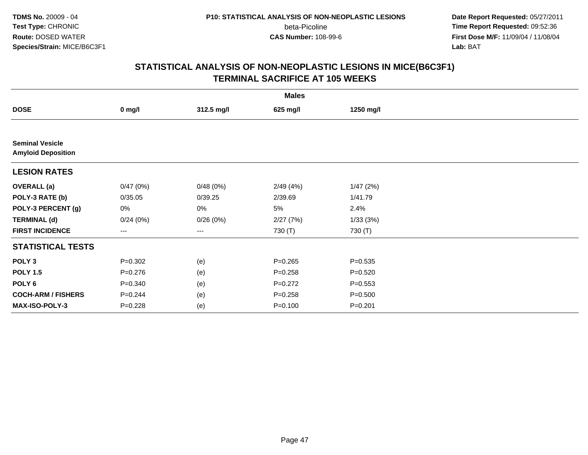**Date Report Requested:** 05/27/2011 **Time Report Requested:** 09:52:36 **First Dose M/F:** 11/09/04 / 11/08/04<br>Lab: BAT **Lab:** BAT

|                                                     |             |            | <b>Males</b> |             |  |
|-----------------------------------------------------|-------------|------------|--------------|-------------|--|
| <b>DOSE</b>                                         | $0$ mg/l    | 312.5 mg/l | 625 mg/l     | 1250 mg/l   |  |
|                                                     |             |            |              |             |  |
| <b>Seminal Vesicle</b><br><b>Amyloid Deposition</b> |             |            |              |             |  |
| <b>LESION RATES</b>                                 |             |            |              |             |  |
| <b>OVERALL</b> (a)                                  | 0/47(0%)    | 0/48(0%)   | 2/49(4%)     | 1/47(2%)    |  |
| POLY-3 RATE (b)                                     | 0/35.05     | 0/39.25    | 2/39.69      | 1/41.79     |  |
| POLY-3 PERCENT (g)                                  | 0%          | 0%         | 5%           | 2.4%        |  |
| <b>TERMINAL (d)</b>                                 | 0/24(0%)    | 0/26(0%)   | 2/27(7%)     | 1/33(3%)    |  |
| <b>FIRST INCIDENCE</b>                              | ---         | ---        | 730 (T)      | 730 (T)     |  |
| <b>STATISTICAL TESTS</b>                            |             |            |              |             |  |
| POLY <sub>3</sub>                                   | $P = 0.302$ | (e)        | $P = 0.265$  | $P = 0.535$ |  |
| <b>POLY 1.5</b>                                     | $P = 0.276$ | (e)        | $P = 0.258$  | $P = 0.520$ |  |
| POLY 6                                              | $P = 0.340$ | (e)        | $P=0.272$    | $P = 0.553$ |  |
| <b>COCH-ARM / FISHERS</b>                           | $P = 0.244$ | (e)        | $P = 0.258$  | $P = 0.500$ |  |
| MAX-ISO-POLY-3                                      | $P=0.228$   | (e)        | $P = 0.100$  | $P=0.201$   |  |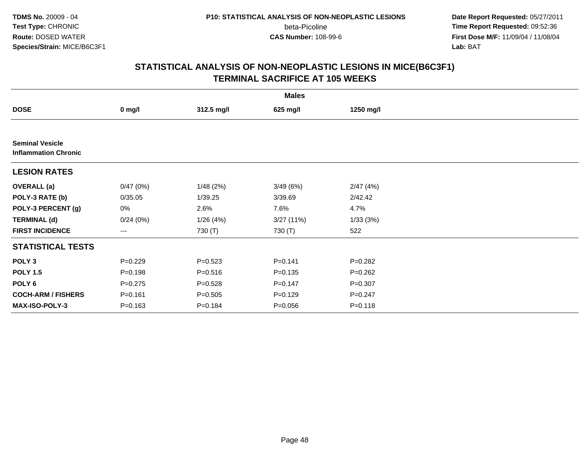**Date Report Requested:** 05/27/2011 **Time Report Requested:** 09:52:36 **First Dose M/F:** 11/09/04 / 11/08/04<br>Lab: BAT **Lab:** BAT

|                                                       |             |             | <b>Males</b> |             |  |
|-------------------------------------------------------|-------------|-------------|--------------|-------------|--|
| <b>DOSE</b>                                           | $0$ mg/l    | 312.5 mg/l  | 625 mg/l     | 1250 mg/l   |  |
|                                                       |             |             |              |             |  |
| <b>Seminal Vesicle</b><br><b>Inflammation Chronic</b> |             |             |              |             |  |
| <b>LESION RATES</b>                                   |             |             |              |             |  |
| <b>OVERALL (a)</b>                                    | 0/47(0%)    | 1/48(2%)    | 3/49(6%)     | 2/47(4%)    |  |
| POLY-3 RATE (b)                                       | 0/35.05     | 1/39.25     | 3/39.69      | 2/42.42     |  |
| POLY-3 PERCENT (g)                                    | 0%          | 2.6%        | 7.6%         | 4.7%        |  |
| <b>TERMINAL (d)</b>                                   | 0/24(0%)    | 1/26(4%)    | 3/27(11%)    | 1/33(3%)    |  |
| <b>FIRST INCIDENCE</b>                                | ---         | 730 (T)     | 730 (T)      | 522         |  |
| <b>STATISTICAL TESTS</b>                              |             |             |              |             |  |
| POLY <sub>3</sub>                                     | $P=0.229$   | $P = 0.523$ | $P = 0.141$  | $P=0.282$   |  |
| <b>POLY 1.5</b>                                       | $P = 0.198$ | $P = 0.516$ | $P = 0.135$  | $P = 0.262$ |  |
| POLY 6                                                | $P = 0.275$ | $P = 0.528$ | $P=0.147$    | $P = 0.307$ |  |
| <b>COCH-ARM / FISHERS</b>                             | $P = 0.161$ | $P = 0.505$ | $P = 0.129$  | $P = 0.247$ |  |
| MAX-ISO-POLY-3                                        | $P = 0.163$ | $P = 0.184$ | $P = 0.056$  | $P = 0.118$ |  |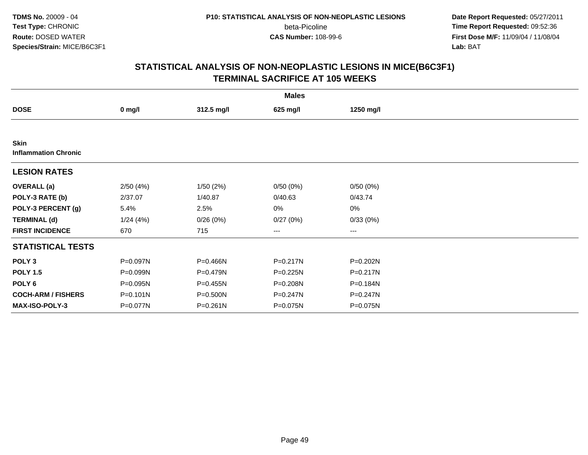**Date Report Requested:** 05/27/2011 **Time Report Requested:** 09:52:36 **First Dose M/F:** 11/09/04 / 11/08/04<br>Lab: BAT **Lab:** BAT

|                                            |              |              | <b>Males</b> |              |  |
|--------------------------------------------|--------------|--------------|--------------|--------------|--|
| <b>DOSE</b>                                | $0$ mg/l     | 312.5 mg/l   | 625 mg/l     | 1250 mg/l    |  |
|                                            |              |              |              |              |  |
| <b>Skin</b><br><b>Inflammation Chronic</b> |              |              |              |              |  |
| <b>LESION RATES</b>                        |              |              |              |              |  |
| <b>OVERALL</b> (a)                         | 2/50(4%)     | 1/50(2%)     | 0/50(0%)     | 0/50(0%)     |  |
| POLY-3 RATE (b)                            | 2/37.07      | 1/40.87      | 0/40.63      | 0/43.74      |  |
| POLY-3 PERCENT (g)                         | 5.4%         | 2.5%         | 0%           | 0%           |  |
| <b>TERMINAL (d)</b>                        | 1/24(4%)     | 0/26(0%)     | 0/27(0%)     | 0/33(0%)     |  |
| <b>FIRST INCIDENCE</b>                     | 670          | 715          | ---          | $---$        |  |
| <b>STATISTICAL TESTS</b>                   |              |              |              |              |  |
| POLY <sub>3</sub>                          | P=0.097N     | P=0.466N     | P=0.217N     | P=0.202N     |  |
| <b>POLY 1.5</b>                            | P=0.099N     | P=0.479N     | P=0.225N     | $P = 0.217N$ |  |
| POLY <sub>6</sub>                          | P=0.095N     | $P = 0.455N$ | P=0.208N     | P=0.184N     |  |
| <b>COCH-ARM / FISHERS</b>                  | $P = 0.101N$ | P=0.500N     | P=0.247N     | $P = 0.247N$ |  |
| <b>MAX-ISO-POLY-3</b>                      | P=0.077N     | P=0.261N     | P=0.075N     | P=0.075N     |  |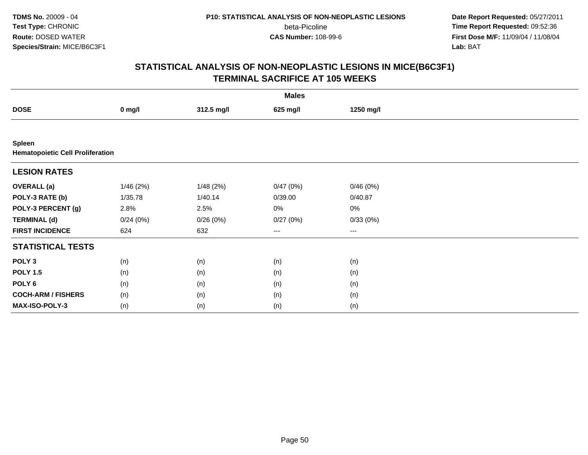**TDMS No.** 20009 - 04**Test Type:** CHRONIC**Route:** DOSED WATER**Species/Strain:** MICE/B6C3F1

beta-Picoline<br>CAS Number: 108-99-6

 **Date Report Requested:** 05/27/2011 **Time Report Requested:** 09:52:36 **First Dose M/F:** 11/09/04 / 11/08/04<br>Lab: BAT **Lab:** BAT

|                                                   | <b>Males</b> |            |          |           |  |  |  |  |
|---------------------------------------------------|--------------|------------|----------|-----------|--|--|--|--|
| <b>DOSE</b>                                       | $0$ mg/l     | 312.5 mg/l | 625 mg/l | 1250 mg/l |  |  |  |  |
|                                                   |              |            |          |           |  |  |  |  |
| Spleen<br><b>Hematopoietic Cell Proliferation</b> |              |            |          |           |  |  |  |  |
| <b>LESION RATES</b>                               |              |            |          |           |  |  |  |  |
| <b>OVERALL</b> (a)                                | 1/46(2%)     | 1/48(2%)   | 0/47(0%) | 0/46(0%)  |  |  |  |  |
| POLY-3 RATE (b)                                   | 1/35.78      | 1/40.14    | 0/39.00  | 0/40.87   |  |  |  |  |
| POLY-3 PERCENT (g)                                | 2.8%         | 2.5%       | 0%       | 0%        |  |  |  |  |
| <b>TERMINAL (d)</b>                               | 0/24(0%)     | 0/26(0%)   | 0/27(0%) | 0/33(0%)  |  |  |  |  |
| <b>FIRST INCIDENCE</b>                            | 624          | 632        | $--$     | $--$      |  |  |  |  |
| <b>STATISTICAL TESTS</b>                          |              |            |          |           |  |  |  |  |
| POLY <sub>3</sub>                                 | (n)          | (n)        | (n)      | (n)       |  |  |  |  |
| <b>POLY 1.5</b>                                   | (n)          | (n)        | (n)      | (n)       |  |  |  |  |
| POLY <sub>6</sub>                                 | (n)          | (n)        | (n)      | (n)       |  |  |  |  |
| <b>COCH-ARM / FISHERS</b>                         | (n)          | (n)        | (n)      | (n)       |  |  |  |  |
| MAX-ISO-POLY-3                                    | (n)          | (n)        | (n)      | (n)       |  |  |  |  |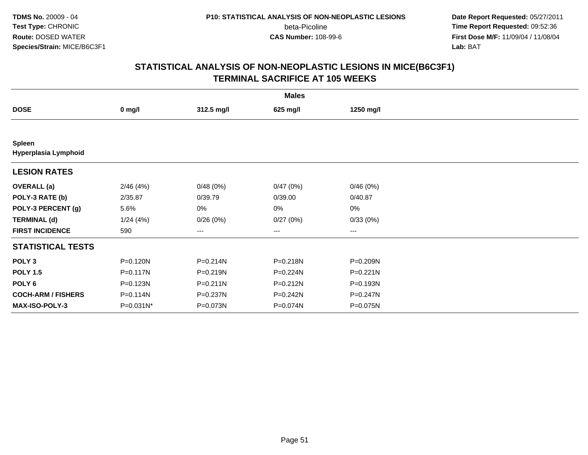**Date Report Requested:** 05/27/2011 **Time Report Requested:** 09:52:36 **First Dose M/F:** 11/09/04 / 11/08/04<br>Lab: BAT **Lab:** BAT

|                                |              |              | <b>Males</b> |              |  |
|--------------------------------|--------------|--------------|--------------|--------------|--|
| <b>DOSE</b>                    | $0$ mg/l     | 312.5 mg/l   | 625 mg/l     | 1250 mg/l    |  |
|                                |              |              |              |              |  |
| Spleen<br>Hyperplasia Lymphoid |              |              |              |              |  |
| <b>LESION RATES</b>            |              |              |              |              |  |
| <b>OVERALL</b> (a)             | 2/46(4%)     | 0/48(0%)     | 0/47(0%)     | 0/46(0%)     |  |
| POLY-3 RATE (b)                | 2/35.87      | 0/39.79      | 0/39.00      | 0/40.87      |  |
| POLY-3 PERCENT (g)             | 5.6%         | 0%           | 0%           | 0%           |  |
| <b>TERMINAL (d)</b>            | 1/24(4%)     | 0/26(0%)     | 0/27(0%)     | 0/33(0%)     |  |
| <b>FIRST INCIDENCE</b>         | 590          | ---          | ---          | $---$        |  |
| <b>STATISTICAL TESTS</b>       |              |              |              |              |  |
| POLY <sub>3</sub>              | P=0.120N     | P=0.214N     | P=0.218N     | P=0.209N     |  |
| <b>POLY 1.5</b>                | $P = 0.117N$ | $P = 0.219N$ | P=0.224N     | $P = 0.221N$ |  |
| POLY <sub>6</sub>              | $P = 0.123N$ | $P = 0.211N$ | P=0.212N     | P=0.193N     |  |
| <b>COCH-ARM / FISHERS</b>      | P=0.114N     | P=0.237N     | P=0.242N     | $P = 0.247N$ |  |
| MAX-ISO-POLY-3                 | P=0.031N*    | P=0.073N     | P=0.074N     | P=0.075N     |  |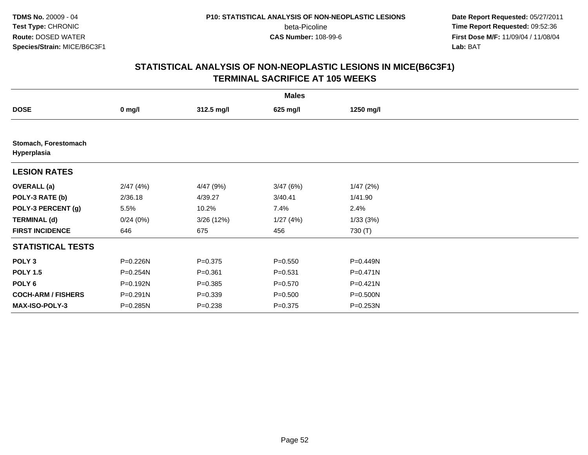**Date Report Requested:** 05/27/2011 **Time Report Requested:** 09:52:36 **First Dose M/F:** 11/09/04 / 11/08/04<br>Lab: BAT **Lab:** BAT

|                                     |          |             | <b>Males</b> |           |  |
|-------------------------------------|----------|-------------|--------------|-----------|--|
| <b>DOSE</b>                         | $0$ mg/l | 312.5 mg/l  | 625 mg/l     | 1250 mg/l |  |
|                                     |          |             |              |           |  |
| Stomach, Forestomach<br>Hyperplasia |          |             |              |           |  |
| <b>LESION RATES</b>                 |          |             |              |           |  |
| <b>OVERALL</b> (a)                  | 2/47(4%) | 4/47 (9%)   | 3/47(6%)     | 1/47(2%)  |  |
| POLY-3 RATE (b)                     | 2/36.18  | 4/39.27     | 3/40.41      | 1/41.90   |  |
| POLY-3 PERCENT (g)                  | 5.5%     | 10.2%       | 7.4%         | 2.4%      |  |
| <b>TERMINAL (d)</b>                 | 0/24(0%) | 3/26 (12%)  | 1/27(4%)     | 1/33(3%)  |  |
| <b>FIRST INCIDENCE</b>              | 646      | 675         | 456          | 730 (T)   |  |
| <b>STATISTICAL TESTS</b>            |          |             |              |           |  |
| POLY <sub>3</sub>                   | P=0.226N | $P = 0.375$ | $P = 0.550$  | P=0.449N  |  |
| <b>POLY 1.5</b>                     | P=0.254N | $P = 0.361$ | $P = 0.531$  | P=0.471N  |  |
| POLY <sub>6</sub>                   | P=0.192N | $P = 0.385$ | $P = 0.570$  | P=0.421N  |  |
| <b>COCH-ARM / FISHERS</b>           | P=0.291N | $P = 0.339$ | $P = 0.500$  | P=0.500N  |  |
| <b>MAX-ISO-POLY-3</b>               | P=0.285N | $P = 0.238$ | $P = 0.375$  | P=0.253N  |  |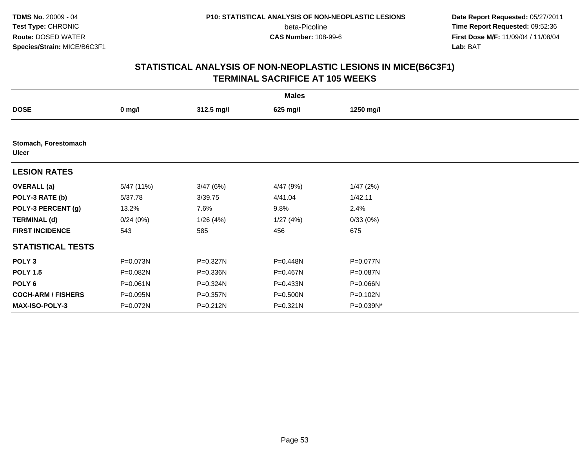**Date Report Requested:** 05/27/2011 **Time Report Requested:** 09:52:36 **First Dose M/F:** 11/09/04 / 11/08/04<br>Lab: BAT **Lab:** BAT

|                                      |              |            | <b>Males</b> |           |  |
|--------------------------------------|--------------|------------|--------------|-----------|--|
| <b>DOSE</b>                          | $0$ mg/l     | 312.5 mg/l | 625 mg/l     | 1250 mg/l |  |
|                                      |              |            |              |           |  |
| Stomach, Forestomach<br><b>Ulcer</b> |              |            |              |           |  |
| <b>LESION RATES</b>                  |              |            |              |           |  |
| <b>OVERALL</b> (a)                   | 5/47 (11%)   | 3/47(6%)   | 4/47 (9%)    | 1/47(2%)  |  |
| POLY-3 RATE (b)                      | 5/37.78      | 3/39.75    | 4/41.04      | 1/42.11   |  |
| POLY-3 PERCENT (g)                   | 13.2%        | 7.6%       | 9.8%         | 2.4%      |  |
| <b>TERMINAL (d)</b>                  | 0/24(0%)     | 1/26(4%)   | 1/27(4%)     | 0/33(0%)  |  |
| <b>FIRST INCIDENCE</b>               | 543          | 585        | 456          | 675       |  |
| <b>STATISTICAL TESTS</b>             |              |            |              |           |  |
| POLY <sub>3</sub>                    | P=0.073N     | P=0.327N   | P=0.448N     | P=0.077N  |  |
| <b>POLY 1.5</b>                      | P=0.082N     | P=0.336N   | P=0.467N     | P=0.087N  |  |
| POLY <sub>6</sub>                    | $P = 0.061N$ | P=0.324N   | P=0.433N     | P=0.066N  |  |
| <b>COCH-ARM / FISHERS</b>            | P=0.095N     | P=0.357N   | P=0.500N     | P=0.102N  |  |
| <b>MAX-ISO-POLY-3</b>                | P=0.072N     | P=0.212N   | $P = 0.321N$ | P=0.039N* |  |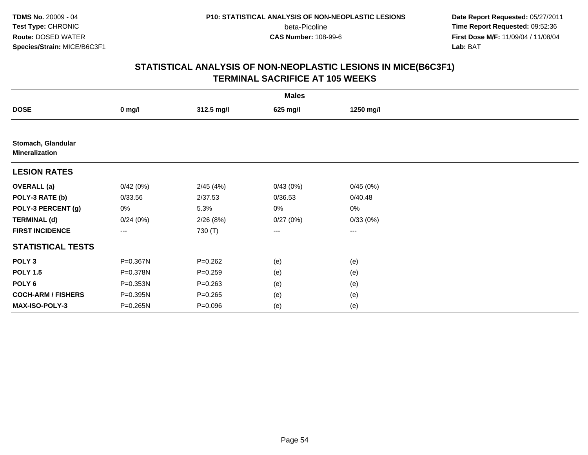**Date Report Requested:** 05/27/2011 **Time Report Requested:** 09:52:36 **First Dose M/F:** 11/09/04 / 11/08/04<br>Lab: BAT **Lab:** BAT

|                                             |          |             | <b>Males</b>           |           |  |
|---------------------------------------------|----------|-------------|------------------------|-----------|--|
| <b>DOSE</b>                                 | $0$ mg/l | 312.5 mg/l  | 625 mg/l               | 1250 mg/l |  |
|                                             |          |             |                        |           |  |
| Stomach, Glandular<br><b>Mineralization</b> |          |             |                        |           |  |
| <b>LESION RATES</b>                         |          |             |                        |           |  |
| <b>OVERALL</b> (a)                          | 0/42(0%) | 2/45(4%)    | 0/43(0%)               | 0/45(0%)  |  |
| POLY-3 RATE (b)                             | 0/33.56  | 2/37.53     | 0/36.53                | 0/40.48   |  |
| POLY-3 PERCENT (g)                          | 0%       | 5.3%        | $0\%$                  | 0%        |  |
| <b>TERMINAL (d)</b>                         | 0/24(0%) | 2/26(8%)    | 0/27(0%)               | 0/33(0%)  |  |
| <b>FIRST INCIDENCE</b>                      | ---      | 730 (T)     | $\qquad \qquad \cdots$ | $---$     |  |
| <b>STATISTICAL TESTS</b>                    |          |             |                        |           |  |
| POLY <sub>3</sub>                           | P=0.367N | $P = 0.262$ | (e)                    | (e)       |  |
| <b>POLY 1.5</b>                             | P=0.378N | $P = 0.259$ | (e)                    | (e)       |  |
| POLY 6                                      | P=0.353N | $P = 0.263$ | (e)                    | (e)       |  |
| <b>COCH-ARM / FISHERS</b>                   | P=0.395N | $P = 0.265$ | (e)                    | (e)       |  |
| MAX-ISO-POLY-3                              | P=0.265N | $P = 0.096$ | (e)                    | (e)       |  |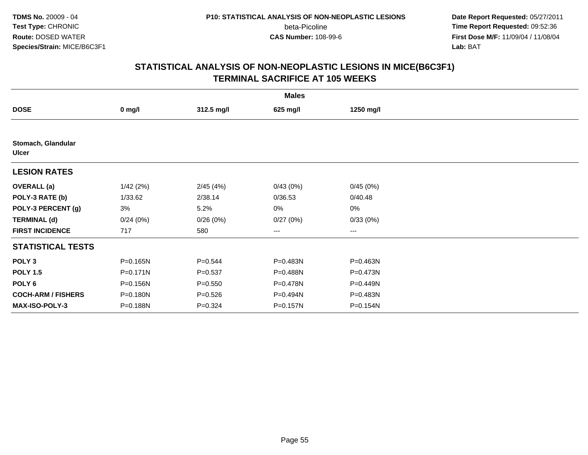**Date Report Requested:** 05/27/2011 **Time Report Requested:** 09:52:36 **First Dose M/F:** 11/09/04 / 11/08/04<br>Lab: BAT **Lab:** BAT

|                                    |              |             | <b>Males</b> |           |  |
|------------------------------------|--------------|-------------|--------------|-----------|--|
| <b>DOSE</b>                        | $0$ mg/l     | 312.5 mg/l  | 625 mg/l     | 1250 mg/l |  |
|                                    |              |             |              |           |  |
| Stomach, Glandular<br><b>Ulcer</b> |              |             |              |           |  |
| <b>LESION RATES</b>                |              |             |              |           |  |
| <b>OVERALL</b> (a)                 | 1/42(2%)     | 2/45(4%)    | 0/43(0%)     | 0/45(0%)  |  |
| POLY-3 RATE (b)                    | 1/33.62      | 2/38.14     | 0/36.53      | 0/40.48   |  |
| POLY-3 PERCENT (g)                 | 3%           | 5.2%        | 0%           | 0%        |  |
| <b>TERMINAL (d)</b>                | 0/24(0%)     | 0/26(0%)    | 0/27(0%)     | 0/33(0%)  |  |
| <b>FIRST INCIDENCE</b>             | 717          | 580         | ---          | $--$      |  |
| <b>STATISTICAL TESTS</b>           |              |             |              |           |  |
| POLY <sub>3</sub>                  | P=0.165N     | $P = 0.544$ | P=0.483N     | P=0.463N  |  |
| <b>POLY 1.5</b>                    | $P = 0.171N$ | $P = 0.537$ | P=0.488N     | P=0.473N  |  |
| POLY <sub>6</sub>                  | P=0.156N     | $P = 0.550$ | P=0.478N     | P=0.449N  |  |
| <b>COCH-ARM / FISHERS</b>          | P=0.180N     | $P = 0.526$ | P=0.494N     | P=0.483N  |  |
| <b>MAX-ISO-POLY-3</b>              | P=0.188N     | $P = 0.324$ | P=0.157N     | P=0.154N  |  |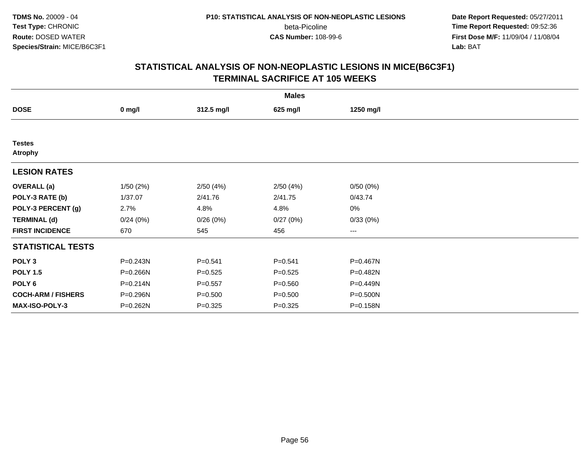**Date Report Requested:** 05/27/2011 **Time Report Requested:** 09:52:36 **First Dose M/F:** 11/09/04 / 11/08/04<br>Lab: BAT **Lab:** BAT

|                                 |          |             | <b>Males</b> |                        |  |
|---------------------------------|----------|-------------|--------------|------------------------|--|
| <b>DOSE</b>                     | $0$ mg/l | 312.5 mg/l  | 625 mg/l     | 1250 mg/l              |  |
|                                 |          |             |              |                        |  |
| <b>Testes</b><br><b>Atrophy</b> |          |             |              |                        |  |
| <b>LESION RATES</b>             |          |             |              |                        |  |
| <b>OVERALL</b> (a)              | 1/50(2%) | 2/50(4%)    | 2/50(4%)     | 0/50(0%)               |  |
| POLY-3 RATE (b)                 | 1/37.07  | 2/41.76     | 2/41.75      | 0/43.74                |  |
| POLY-3 PERCENT (g)              | 2.7%     | 4.8%        | 4.8%         | 0%                     |  |
| <b>TERMINAL (d)</b>             | 0/24(0%) | 0/26(0%)    | 0/27(0%)     | 0/33(0%)               |  |
| <b>FIRST INCIDENCE</b>          | 670      | 545         | 456          | $\qquad \qquad \cdots$ |  |
| <b>STATISTICAL TESTS</b>        |          |             |              |                        |  |
| POLY <sub>3</sub>               | P=0.243N | $P = 0.541$ | $P = 0.541$  | P=0.467N               |  |
| <b>POLY 1.5</b>                 | P=0.266N | $P = 0.525$ | $P = 0.525$  | P=0.482N               |  |
| POLY <sub>6</sub>               | P=0.214N | $P = 0.557$ | $P = 0.560$  | P=0.449N               |  |
| <b>COCH-ARM / FISHERS</b>       | P=0.296N | $P = 0.500$ | $P = 0.500$  | P=0.500N               |  |
| MAX-ISO-POLY-3                  | P=0.262N | $P = 0.325$ | $P = 0.325$  | P=0.158N               |  |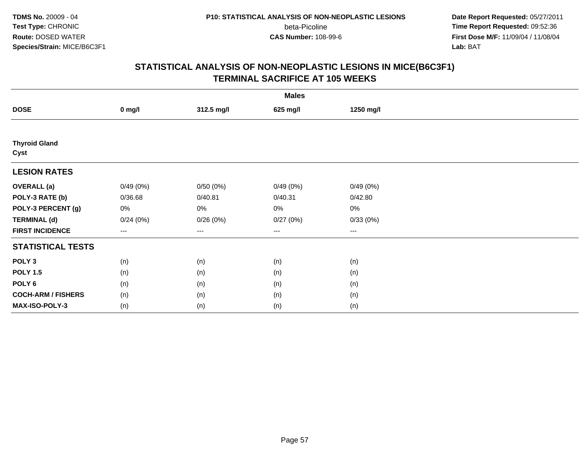**Date Report Requested:** 05/27/2011 **Time Report Requested:** 09:52:36 **First Dose M/F:** 11/09/04 / 11/08/04<br>Lab: BAT **Lab:** BAT

|                              | <b>Males</b>                             |            |          |           |  |  |  |  |
|------------------------------|------------------------------------------|------------|----------|-----------|--|--|--|--|
| <b>DOSE</b>                  | $0$ mg/l                                 | 312.5 mg/l | 625 mg/l | 1250 mg/l |  |  |  |  |
|                              |                                          |            |          |           |  |  |  |  |
| <b>Thyroid Gland</b><br>Cyst |                                          |            |          |           |  |  |  |  |
| <b>LESION RATES</b>          |                                          |            |          |           |  |  |  |  |
| <b>OVERALL</b> (a)           | 0/49(0%)                                 | 0/50(0%)   | 0/49(0%) | 0/49(0%)  |  |  |  |  |
| POLY-3 RATE (b)              | 0/36.68                                  | 0/40.81    | 0/40.31  | 0/42.80   |  |  |  |  |
| POLY-3 PERCENT (g)           | 0%                                       | 0%         | 0%       | 0%        |  |  |  |  |
| <b>TERMINAL (d)</b>          | 0/24(0%)                                 | 0/26(0%)   | 0/27(0%) | 0/33(0%)  |  |  |  |  |
| <b>FIRST INCIDENCE</b>       | $\hspace{0.05cm} \ldots \hspace{0.05cm}$ | $\cdots$   | $\cdots$ | $\cdots$  |  |  |  |  |
| <b>STATISTICAL TESTS</b>     |                                          |            |          |           |  |  |  |  |
| POLY <sub>3</sub>            | (n)                                      | (n)        | (n)      | (n)       |  |  |  |  |
| <b>POLY 1.5</b>              | (n)                                      | (n)        | (n)      | (n)       |  |  |  |  |
| POLY <sub>6</sub>            | (n)                                      | (n)        | (n)      | (n)       |  |  |  |  |
| <b>COCH-ARM / FISHERS</b>    | (n)                                      | (n)        | (n)      | (n)       |  |  |  |  |
| MAX-ISO-POLY-3               | (n)                                      | (n)        | (n)      | (n)       |  |  |  |  |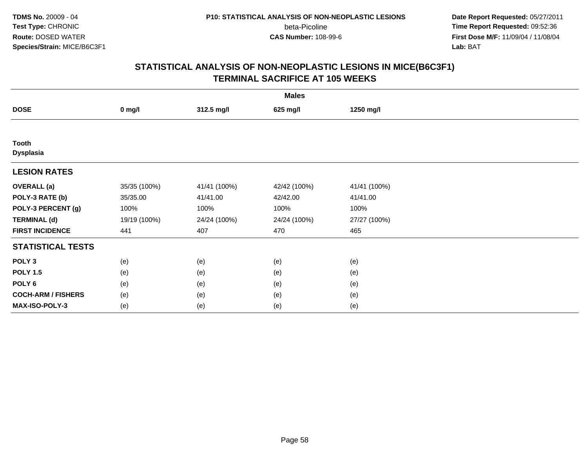**Date Report Requested:** 05/27/2011 **Time Report Requested:** 09:52:36 **First Dose M/F:** 11/09/04 / 11/08/04<br>Lab: BAT **Lab:** BAT

| <b>Males</b>              |              |              |              |              |  |  |  |
|---------------------------|--------------|--------------|--------------|--------------|--|--|--|
| <b>DOSE</b>               | $0$ mg/l     | 312.5 mg/l   | 625 mg/l     | 1250 mg/l    |  |  |  |
|                           |              |              |              |              |  |  |  |
| Tooth<br><b>Dysplasia</b> |              |              |              |              |  |  |  |
| <b>LESION RATES</b>       |              |              |              |              |  |  |  |
| <b>OVERALL</b> (a)        | 35/35 (100%) | 41/41 (100%) | 42/42 (100%) | 41/41 (100%) |  |  |  |
| POLY-3 RATE (b)           | 35/35.00     | 41/41.00     | 42/42.00     | 41/41.00     |  |  |  |
| POLY-3 PERCENT (g)        | 100%         | 100%         | 100%         | 100%         |  |  |  |
| <b>TERMINAL (d)</b>       | 19/19 (100%) | 24/24 (100%) | 24/24 (100%) | 27/27 (100%) |  |  |  |
| <b>FIRST INCIDENCE</b>    | 441          | 407          | 470          | 465          |  |  |  |
| <b>STATISTICAL TESTS</b>  |              |              |              |              |  |  |  |
| POLY <sub>3</sub>         | (e)          | (e)          | (e)          | (e)          |  |  |  |
| <b>POLY 1.5</b>           | (e)          | (e)          | (e)          | (e)          |  |  |  |
| POLY <sub>6</sub>         | (e)          | (e)          | (e)          | (e)          |  |  |  |
| <b>COCH-ARM / FISHERS</b> | (e)          | (e)          | (e)          | (e)          |  |  |  |
| MAX-ISO-POLY-3            | (e)          | (e)          | (e)          | (e)          |  |  |  |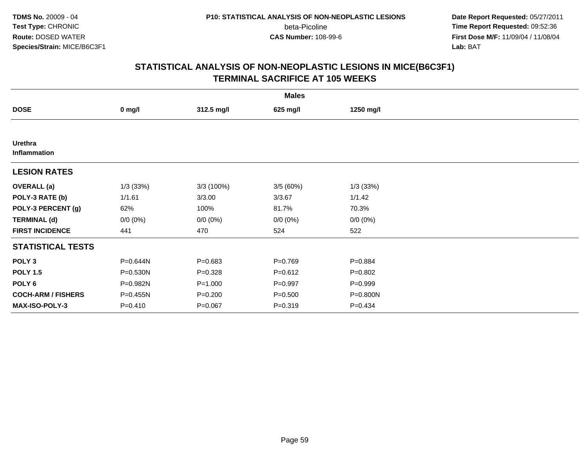**Date Report Requested:** 05/27/2011 **Time Report Requested:** 09:52:36 **First Dose M/F:** 11/09/04 / 11/08/04<br>Lab: BAT **Lab:** BAT

|                                |             |             | <b>Males</b> |             |  |
|--------------------------------|-------------|-------------|--------------|-------------|--|
| <b>DOSE</b>                    | $0$ mg/l    | 312.5 mg/l  | 625 mg/l     | 1250 mg/l   |  |
|                                |             |             |              |             |  |
| <b>Urethra</b><br>Inflammation |             |             |              |             |  |
| <b>LESION RATES</b>            |             |             |              |             |  |
| <b>OVERALL</b> (a)             | 1/3(33%)    | 3/3 (100%)  | 3/5 (60%)    | 1/3(33%)    |  |
| POLY-3 RATE (b)                | 1/1.61      | 3/3.00      | 3/3.67       | 1/1.42      |  |
| POLY-3 PERCENT (g)             | 62%         | 100%        | 81.7%        | 70.3%       |  |
| <b>TERMINAL (d)</b>            | $0/0 (0\%)$ | $0/0 (0\%)$ | $0/0 (0\%)$  | $0/0 (0\%)$ |  |
| <b>FIRST INCIDENCE</b>         | 441         | 470         | 524          | 522         |  |
| <b>STATISTICAL TESTS</b>       |             |             |              |             |  |
| POLY <sub>3</sub>              | P=0.644N    | $P = 0.683$ | $P = 0.769$  | $P = 0.884$ |  |
| <b>POLY 1.5</b>                | P=0.530N    | $P = 0.328$ | $P = 0.612$  | $P=0.802$   |  |
| POLY <sub>6</sub>              | P=0.982N    | $P = 1.000$ | $P = 0.997$  | $P = 0.999$ |  |
| <b>COCH-ARM / FISHERS</b>      | P=0.455N    | $P = 0.200$ | $P = 0.500$  | P=0.800N    |  |
| MAX-ISO-POLY-3                 | $P = 0.410$ | $P = 0.067$ | $P = 0.319$  | $P=0.434$   |  |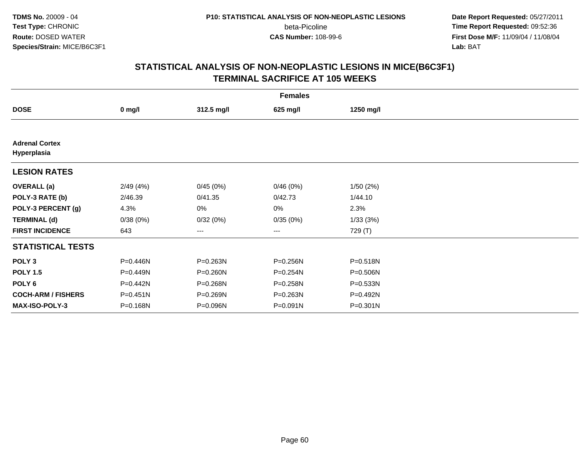**Date Report Requested:** 05/27/2011 **Time Report Requested:** 09:52:36 **First Dose M/F:** 11/09/04 / 11/08/04<br>Lab: BAT **Lab:** BAT

|                                      | <b>Females</b> |            |          |              |  |  |  |  |
|--------------------------------------|----------------|------------|----------|--------------|--|--|--|--|
| <b>DOSE</b>                          | $0$ mg/l       | 312.5 mg/l | 625 mg/l | 1250 mg/l    |  |  |  |  |
|                                      |                |            |          |              |  |  |  |  |
| <b>Adrenal Cortex</b><br>Hyperplasia |                |            |          |              |  |  |  |  |
| <b>LESION RATES</b>                  |                |            |          |              |  |  |  |  |
| <b>OVERALL</b> (a)                   | 2/49 (4%)      | 0/45(0%)   | 0/46(0%) | 1/50(2%)     |  |  |  |  |
| POLY-3 RATE (b)                      | 2/46.39        | 0/41.35    | 0/42.73  | 1/44.10      |  |  |  |  |
| POLY-3 PERCENT (g)                   | 4.3%           | 0%         | 0%       | 2.3%         |  |  |  |  |
| <b>TERMINAL (d)</b>                  | 0/38(0%)       | 0/32(0%)   | 0/35(0%) | 1/33(3%)     |  |  |  |  |
| <b>FIRST INCIDENCE</b>               | 643            | ---        | ---      | 729 (T)      |  |  |  |  |
| <b>STATISTICAL TESTS</b>             |                |            |          |              |  |  |  |  |
| POLY <sub>3</sub>                    | P=0.446N       | P=0.263N   | P=0.256N | P=0.518N     |  |  |  |  |
| <b>POLY 1.5</b>                      | P=0.449N       | P=0.260N   | P=0.254N | $P = 0.506N$ |  |  |  |  |
| POLY 6                               | P=0.442N       | P=0.268N   | P=0.258N | $P = 0.533N$ |  |  |  |  |
| <b>COCH-ARM / FISHERS</b>            | $P = 0.451N$   | P=0.269N   | P=0.263N | P=0.492N     |  |  |  |  |
| MAX-ISO-POLY-3                       | P=0.168N       | P=0.096N   | P=0.091N | P=0.301N     |  |  |  |  |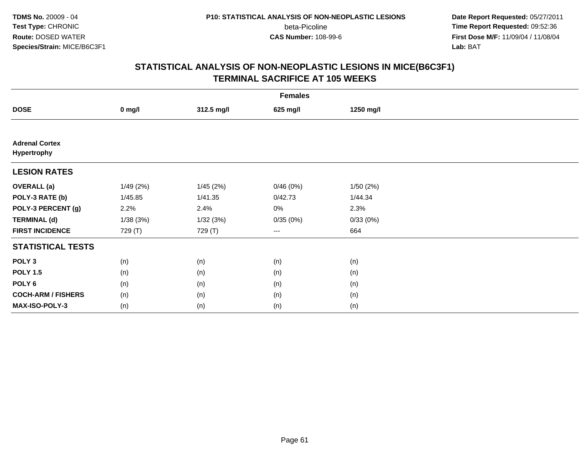**Date Report Requested:** 05/27/2011 **Time Report Requested:** 09:52:36 **First Dose M/F:** 11/09/04 / 11/08/04<br>Lab: BAT **Lab:** BAT

|                                      | <b>Females</b> |            |          |           |  |  |  |  |
|--------------------------------------|----------------|------------|----------|-----------|--|--|--|--|
| <b>DOSE</b>                          | $0$ mg/l       | 312.5 mg/l | 625 mg/l | 1250 mg/l |  |  |  |  |
|                                      |                |            |          |           |  |  |  |  |
| <b>Adrenal Cortex</b><br>Hypertrophy |                |            |          |           |  |  |  |  |
| <b>LESION RATES</b>                  |                |            |          |           |  |  |  |  |
| <b>OVERALL</b> (a)                   | 1/49(2%)       | 1/45(2%)   | 0/46(0%) | 1/50(2%)  |  |  |  |  |
| POLY-3 RATE (b)                      | 1/45.85        | 1/41.35    | 0/42.73  | 1/44.34   |  |  |  |  |
| POLY-3 PERCENT (g)                   | 2.2%           | 2.4%       | 0%       | 2.3%      |  |  |  |  |
| <b>TERMINAL (d)</b>                  | 1/38(3%)       | 1/32(3%)   | 0/35(0%) | 0/33(0%)  |  |  |  |  |
| <b>FIRST INCIDENCE</b>               | 729 (T)        | 729 (T)    | $\cdots$ | 664       |  |  |  |  |
| <b>STATISTICAL TESTS</b>             |                |            |          |           |  |  |  |  |
| POLY <sub>3</sub>                    | (n)            | (n)        | (n)      | (n)       |  |  |  |  |
| <b>POLY 1.5</b>                      | (n)            | (n)        | (n)      | (n)       |  |  |  |  |
| POLY <sub>6</sub>                    | (n)            | (n)        | (n)      | (n)       |  |  |  |  |
| <b>COCH-ARM / FISHERS</b>            | (n)            | (n)        | (n)      | (n)       |  |  |  |  |
| MAX-ISO-POLY-3                       | (n)            | (n)        | (n)      | (n)       |  |  |  |  |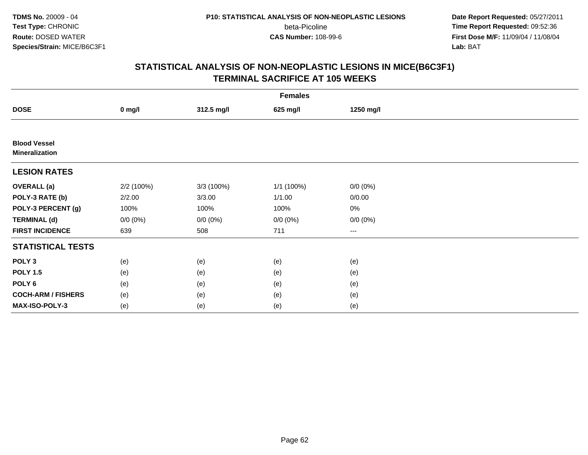**Date Report Requested:** 05/27/2011 **Time Report Requested:** 09:52:36 **First Dose M/F:** 11/09/04 / 11/08/04<br>Lab: BAT **Lab:** BAT

|                                              | <b>Females</b> |             |             |                        |  |  |  |  |
|----------------------------------------------|----------------|-------------|-------------|------------------------|--|--|--|--|
| <b>DOSE</b>                                  | $0$ mg/l       | 312.5 mg/l  | 625 mg/l    | 1250 mg/l              |  |  |  |  |
|                                              |                |             |             |                        |  |  |  |  |
| <b>Blood Vessel</b><br><b>Mineralization</b> |                |             |             |                        |  |  |  |  |
| <b>LESION RATES</b>                          |                |             |             |                        |  |  |  |  |
| <b>OVERALL</b> (a)                           | 2/2 (100%)     | 3/3 (100%)  | 1/1 (100%)  | $0/0 (0\%)$            |  |  |  |  |
| POLY-3 RATE (b)                              | 2/2.00         | 3/3.00      | 1/1.00      | 0/0.00                 |  |  |  |  |
| POLY-3 PERCENT (g)                           | 100%           | 100%        | 100%        | $0\%$                  |  |  |  |  |
| <b>TERMINAL (d)</b>                          | $0/0 (0\%)$    | $0/0 (0\%)$ | $0/0 (0\%)$ | $0/0 (0\%)$            |  |  |  |  |
| <b>FIRST INCIDENCE</b>                       | 639            | 508         | 711         | $\qquad \qquad \cdots$ |  |  |  |  |
| <b>STATISTICAL TESTS</b>                     |                |             |             |                        |  |  |  |  |
| POLY <sub>3</sub>                            | (e)            | (e)         | (e)         | (e)                    |  |  |  |  |
| <b>POLY 1.5</b>                              | (e)            | (e)         | (e)         | (e)                    |  |  |  |  |
| POLY <sub>6</sub>                            | (e)            | (e)         | (e)         | (e)                    |  |  |  |  |
| <b>COCH-ARM / FISHERS</b>                    | (e)            | (e)         | (e)         | (e)                    |  |  |  |  |
| MAX-ISO-POLY-3                               | (e)            | (e)         | (e)         | (e)                    |  |  |  |  |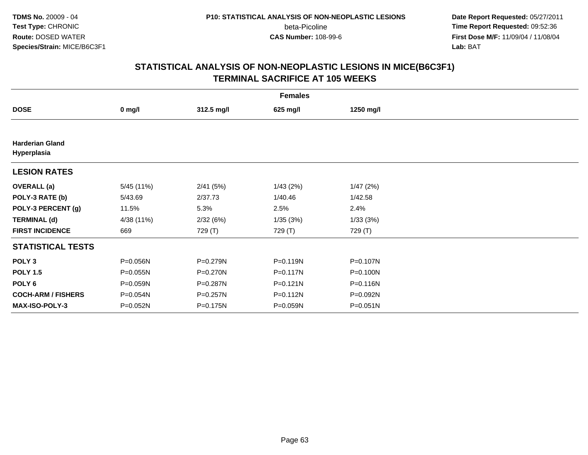**Date Report Requested:** 05/27/2011 **Time Report Requested:** 09:52:36 **First Dose M/F:** 11/09/04 / 11/08/04<br>Lab: BAT **Lab:** BAT

|                                       | <b>Females</b> |            |              |           |  |  |  |  |
|---------------------------------------|----------------|------------|--------------|-----------|--|--|--|--|
| <b>DOSE</b>                           | $0$ mg/l       | 312.5 mg/l | 625 mg/l     | 1250 mg/l |  |  |  |  |
|                                       |                |            |              |           |  |  |  |  |
| <b>Harderian Gland</b><br>Hyperplasia |                |            |              |           |  |  |  |  |
| <b>LESION RATES</b>                   |                |            |              |           |  |  |  |  |
| <b>OVERALL</b> (a)                    | 5/45 (11%)     | 2/41(5%)   | 1/43(2%)     | 1/47(2%)  |  |  |  |  |
| POLY-3 RATE (b)                       | 5/43.69        | 2/37.73    | 1/40.46      | 1/42.58   |  |  |  |  |
| POLY-3 PERCENT (g)                    | 11.5%          | 5.3%       | 2.5%         | 2.4%      |  |  |  |  |
| <b>TERMINAL (d)</b>                   | 4/38 (11%)     | 2/32(6%)   | 1/35(3%)     | 1/33(3%)  |  |  |  |  |
| <b>FIRST INCIDENCE</b>                | 669            | 729 (T)    | 729 (T)      | 729 (T)   |  |  |  |  |
| <b>STATISTICAL TESTS</b>              |                |            |              |           |  |  |  |  |
| POLY <sub>3</sub>                     | P=0.056N       | P=0.279N   | P=0.119N     | P=0.107N  |  |  |  |  |
| <b>POLY 1.5</b>                       | P=0.055N       | P=0.270N   | P=0.117N     | P=0.100N  |  |  |  |  |
| POLY 6                                | P=0.059N       | P=0.287N   | $P = 0.121N$ | P=0.116N  |  |  |  |  |
| <b>COCH-ARM / FISHERS</b>             | P=0.054N       | P=0.257N   | P=0.112N     | P=0.092N  |  |  |  |  |
| <b>MAX-ISO-POLY-3</b>                 | P=0.052N       | P=0.175N   | P=0.059N     | P=0.051N  |  |  |  |  |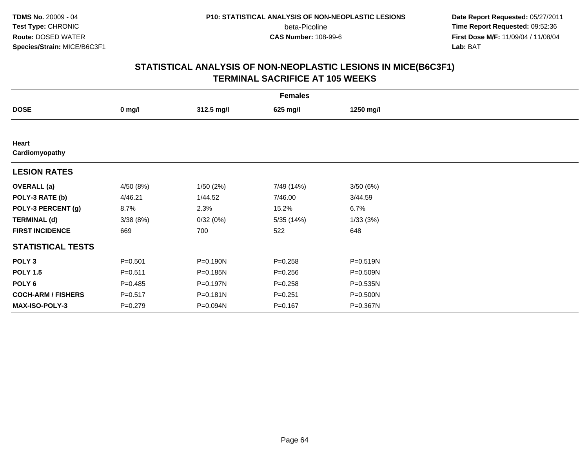**Date Report Requested:** 05/27/2011 **Time Report Requested:** 09:52:36 **First Dose M/F:** 11/09/04 / 11/08/04<br>Lab: BAT **Lab:** BAT

|                           | <b>Females</b> |              |             |              |  |  |  |  |
|---------------------------|----------------|--------------|-------------|--------------|--|--|--|--|
| <b>DOSE</b>               | $0$ mg/l       | 312.5 mg/l   | 625 mg/l    | 1250 mg/l    |  |  |  |  |
|                           |                |              |             |              |  |  |  |  |
| Heart<br>Cardiomyopathy   |                |              |             |              |  |  |  |  |
| <b>LESION RATES</b>       |                |              |             |              |  |  |  |  |
| <b>OVERALL</b> (a)        | 4/50 (8%)      | 1/50(2%)     | 7/49 (14%)  | 3/50(6%)     |  |  |  |  |
| POLY-3 RATE (b)           | 4/46.21        | 1/44.52      | 7/46.00     | 3/44.59      |  |  |  |  |
| POLY-3 PERCENT (g)        | 8.7%           | 2.3%         | 15.2%       | 6.7%         |  |  |  |  |
| <b>TERMINAL (d)</b>       | 3/38(8%)       | 0/32(0%)     | 5/35 (14%)  | 1/33(3%)     |  |  |  |  |
| <b>FIRST INCIDENCE</b>    | 669            | 700          | 522         | 648          |  |  |  |  |
| <b>STATISTICAL TESTS</b>  |                |              |             |              |  |  |  |  |
| POLY <sub>3</sub>         | $P = 0.501$    | P=0.190N     | $P = 0.258$ | $P = 0.519N$ |  |  |  |  |
| <b>POLY 1.5</b>           | $P = 0.511$    | P=0.185N     | $P = 0.256$ | P=0.509N     |  |  |  |  |
| POLY <sub>6</sub>         | $P=0.485$      | P=0.197N     | $P = 0.258$ | P=0.535N     |  |  |  |  |
| <b>COCH-ARM / FISHERS</b> | $P = 0.517$    | $P = 0.181N$ | $P = 0.251$ | P=0.500N     |  |  |  |  |
| MAX-ISO-POLY-3            | $P = 0.279$    | P=0.094N     | $P = 0.167$ | P=0.367N     |  |  |  |  |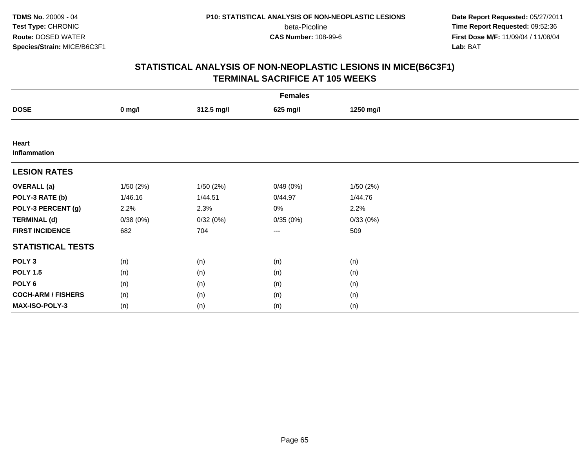**Date Report Requested:** 05/27/2011 **Time Report Requested:** 09:52:36 **First Dose M/F:** 11/09/04 / 11/08/04<br>Lab: BAT **Lab:** BAT

|                           | <b>Females</b> |            |          |           |  |  |  |  |
|---------------------------|----------------|------------|----------|-----------|--|--|--|--|
| <b>DOSE</b>               | $0$ mg/l       | 312.5 mg/l | 625 mg/l | 1250 mg/l |  |  |  |  |
|                           |                |            |          |           |  |  |  |  |
| Heart<br>Inflammation     |                |            |          |           |  |  |  |  |
| <b>LESION RATES</b>       |                |            |          |           |  |  |  |  |
| <b>OVERALL</b> (a)        | 1/50(2%)       | 1/50 (2%)  | 0/49(0%) | 1/50(2%)  |  |  |  |  |
| POLY-3 RATE (b)           | 1/46.16        | 1/44.51    | 0/44.97  | 1/44.76   |  |  |  |  |
| POLY-3 PERCENT (g)        | 2.2%           | 2.3%       | 0%       | 2.2%      |  |  |  |  |
| <b>TERMINAL (d)</b>       | 0/38(0%)       | 0/32(0%)   | 0/35(0%) | 0/33(0%)  |  |  |  |  |
| <b>FIRST INCIDENCE</b>    | 682            | 704        | $---$    | 509       |  |  |  |  |
| <b>STATISTICAL TESTS</b>  |                |            |          |           |  |  |  |  |
| POLY <sub>3</sub>         | (n)            | (n)        | (n)      | (n)       |  |  |  |  |
| <b>POLY 1.5</b>           | (n)            | (n)        | (n)      | (n)       |  |  |  |  |
| POLY <sub>6</sub>         | (n)            | (n)        | (n)      | (n)       |  |  |  |  |
| <b>COCH-ARM / FISHERS</b> | (n)            | (n)        | (n)      | (n)       |  |  |  |  |
| MAX-ISO-POLY-3            | (n)            | (n)        | (n)      | (n)       |  |  |  |  |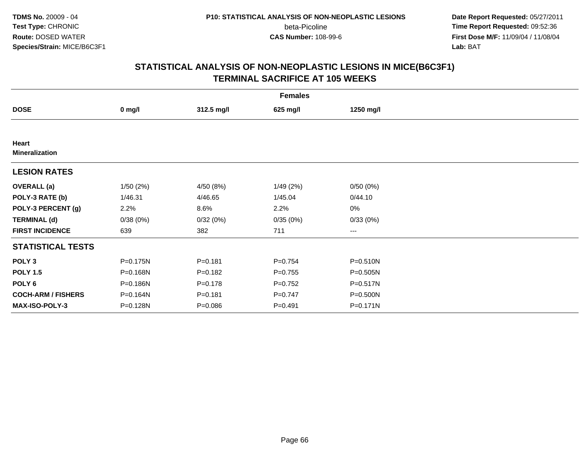**Date Report Requested:** 05/27/2011 **Time Report Requested:** 09:52:36 **First Dose M/F:** 11/09/04 / 11/08/04<br>Lab: BAT **Lab:** BAT

|                                | <b>Females</b> |             |             |              |  |  |  |  |
|--------------------------------|----------------|-------------|-------------|--------------|--|--|--|--|
| <b>DOSE</b>                    | $0$ mg/l       | 312.5 mg/l  | 625 mg/l    | 1250 mg/l    |  |  |  |  |
|                                |                |             |             |              |  |  |  |  |
| Heart<br><b>Mineralization</b> |                |             |             |              |  |  |  |  |
| <b>LESION RATES</b>            |                |             |             |              |  |  |  |  |
| <b>OVERALL</b> (a)             | 1/50(2%)       | 4/50 (8%)   | 1/49(2%)    | 0/50(0%)     |  |  |  |  |
| POLY-3 RATE (b)                | 1/46.31        | 4/46.65     | 1/45.04     | 0/44.10      |  |  |  |  |
| POLY-3 PERCENT (g)             | 2.2%           | 8.6%        | 2.2%        | $0\%$        |  |  |  |  |
| <b>TERMINAL (d)</b>            | 0/38(0%)       | 0/32(0%)    | 0/35(0%)    | 0/33(0%)     |  |  |  |  |
| <b>FIRST INCIDENCE</b>         | 639            | 382         | 711         | ---          |  |  |  |  |
| <b>STATISTICAL TESTS</b>       |                |             |             |              |  |  |  |  |
| POLY <sub>3</sub>              | P=0.175N       | $P = 0.181$ | $P=0.754$   | P=0.510N     |  |  |  |  |
| <b>POLY 1.5</b>                | P=0.168N       | $P = 0.182$ | $P=0.755$   | P=0.505N     |  |  |  |  |
| POLY 6                         | P=0.186N       | $P = 0.178$ | $P=0.752$   | $P = 0.517N$ |  |  |  |  |
| <b>COCH-ARM / FISHERS</b>      | P=0.164N       | $P = 0.181$ | $P = 0.747$ | P=0.500N     |  |  |  |  |
| MAX-ISO-POLY-3                 | P=0.128N       | $P = 0.086$ | $P=0.491$   | P=0.171N     |  |  |  |  |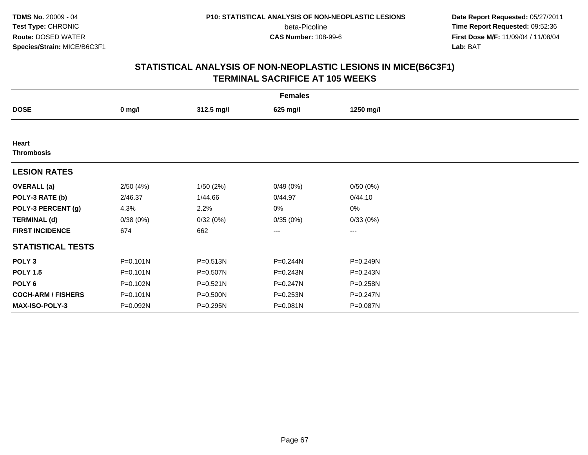**Date Report Requested:** 05/27/2011 **Time Report Requested:** 09:52:36 **First Dose M/F:** 11/09/04 / 11/08/04<br>Lab: BAT **Lab:** BAT

| <b>Females</b>            |              |            |          |              |  |  |  |
|---------------------------|--------------|------------|----------|--------------|--|--|--|
| <b>DOSE</b>               | $0$ mg/l     | 312.5 mg/l | 625 mg/l | 1250 mg/l    |  |  |  |
|                           |              |            |          |              |  |  |  |
| Heart                     |              |            |          |              |  |  |  |
| <b>Thrombosis</b>         |              |            |          |              |  |  |  |
| <b>LESION RATES</b>       |              |            |          |              |  |  |  |
| <b>OVERALL</b> (a)        | 2/50(4%)     | 1/50(2%)   | 0/49(0%) | 0/50(0%)     |  |  |  |
| POLY-3 RATE (b)           | 2/46.37      | 1/44.66    | 0/44.97  | 0/44.10      |  |  |  |
| POLY-3 PERCENT (g)        | 4.3%         | 2.2%       | 0%       | 0%           |  |  |  |
| <b>TERMINAL (d)</b>       | 0/38(0%)     | 0/32(0%)   | 0/35(0%) | 0/33(0%)     |  |  |  |
| <b>FIRST INCIDENCE</b>    | 674          | 662        | ---      | $---$        |  |  |  |
| <b>STATISTICAL TESTS</b>  |              |            |          |              |  |  |  |
| POLY <sub>3</sub>         | $P = 0.101N$ | P=0.513N   | P=0.244N | P=0.249N     |  |  |  |
| <b>POLY 1.5</b>           | $P = 0.101N$ | P=0.507N   | P=0.243N | $P = 0.243N$ |  |  |  |
| POLY <sub>6</sub>         | P=0.102N     | P=0.521N   | P=0.247N | P=0.258N     |  |  |  |
| <b>COCH-ARM / FISHERS</b> | $P = 0.101N$ | P=0.500N   | P=0.253N | P=0.247N     |  |  |  |
| <b>MAX-ISO-POLY-3</b>     | P=0.092N     | P=0.295N   | P=0.081N | P=0.087N     |  |  |  |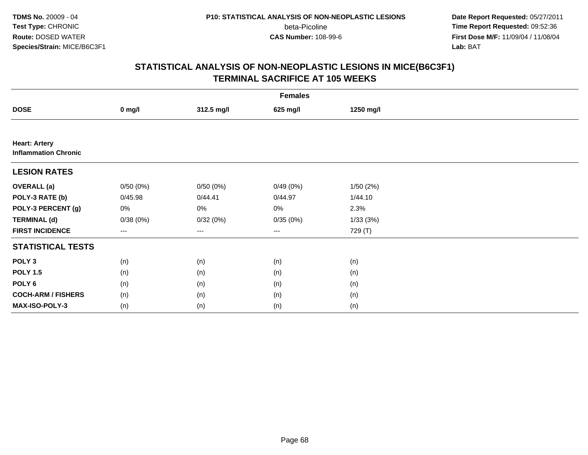**Date Report Requested:** 05/27/2011 **Time Report Requested:** 09:52:36 **First Dose M/F:** 11/09/04 / 11/08/04<br>Lab: BAT **Lab:** BAT

|                                                     | <b>Females</b> |            |                                          |           |  |  |  |  |
|-----------------------------------------------------|----------------|------------|------------------------------------------|-----------|--|--|--|--|
| <b>DOSE</b>                                         | $0$ mg/l       | 312.5 mg/l | 625 mg/l                                 | 1250 mg/l |  |  |  |  |
|                                                     |                |            |                                          |           |  |  |  |  |
| <b>Heart: Artery</b><br><b>Inflammation Chronic</b> |                |            |                                          |           |  |  |  |  |
| <b>LESION RATES</b>                                 |                |            |                                          |           |  |  |  |  |
| <b>OVERALL (a)</b>                                  | 0/50(0%)       | 0/50(0%)   | 0/49(0%)                                 | 1/50(2%)  |  |  |  |  |
| POLY-3 RATE (b)                                     | 0/45.98        | 0/44.41    | 0/44.97                                  | 1/44.10   |  |  |  |  |
| POLY-3 PERCENT (g)                                  | 0%             | 0%         | 0%                                       | 2.3%      |  |  |  |  |
| <b>TERMINAL (d)</b>                                 | 0/38(0%)       | 0/32(0%)   | 0/35(0%)                                 | 1/33(3%)  |  |  |  |  |
| <b>FIRST INCIDENCE</b>                              | ---            | $\cdots$   | $\hspace{0.05cm} \ldots \hspace{0.05cm}$ | 729 (T)   |  |  |  |  |
| <b>STATISTICAL TESTS</b>                            |                |            |                                          |           |  |  |  |  |
| POLY <sub>3</sub>                                   | (n)            | (n)        | (n)                                      | (n)       |  |  |  |  |
| <b>POLY 1.5</b>                                     | (n)            | (n)        | (n)                                      | (n)       |  |  |  |  |
| POLY <sub>6</sub>                                   | (n)            | (n)        | (n)                                      | (n)       |  |  |  |  |
| <b>COCH-ARM / FISHERS</b>                           | (n)            | (n)        | (n)                                      | (n)       |  |  |  |  |
| MAX-ISO-POLY-3                                      | (n)            | (n)        | (n)                                      | (n)       |  |  |  |  |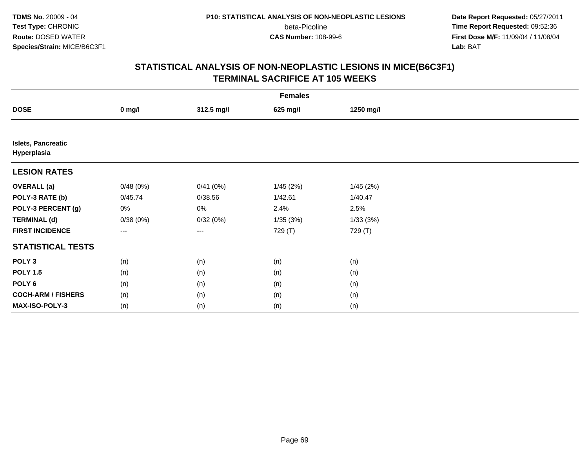**Date Report Requested:** 05/27/2011 **Time Report Requested:** 09:52:36 **First Dose M/F:** 11/09/04 / 11/08/04<br>Lab: BAT **Lab:** BAT

|                                          | <b>Females</b> |            |          |           |  |  |  |  |
|------------------------------------------|----------------|------------|----------|-----------|--|--|--|--|
| <b>DOSE</b>                              | $0$ mg/l       | 312.5 mg/l | 625 mg/l | 1250 mg/l |  |  |  |  |
|                                          |                |            |          |           |  |  |  |  |
| <b>Islets, Pancreatic</b><br>Hyperplasia |                |            |          |           |  |  |  |  |
| <b>LESION RATES</b>                      |                |            |          |           |  |  |  |  |
| <b>OVERALL</b> (a)                       | 0/48(0%)       | 0/41(0%)   | 1/45(2%) | 1/45(2%)  |  |  |  |  |
| POLY-3 RATE (b)                          | 0/45.74        | 0/38.56    | 1/42.61  | 1/40.47   |  |  |  |  |
| POLY-3 PERCENT (g)                       | 0%             | 0%         | 2.4%     | 2.5%      |  |  |  |  |
| <b>TERMINAL (d)</b>                      | 0/38(0%)       | 0/32(0%)   | 1/35(3%) | 1/33(3%)  |  |  |  |  |
| <b>FIRST INCIDENCE</b>                   | ---            | $--$       | 729 (T)  | 729 (T)   |  |  |  |  |
| <b>STATISTICAL TESTS</b>                 |                |            |          |           |  |  |  |  |
| POLY <sub>3</sub>                        | (n)            | (n)        | (n)      | (n)       |  |  |  |  |
| <b>POLY 1.5</b>                          | (n)            | (n)        | (n)      | (n)       |  |  |  |  |
| POLY <sub>6</sub>                        | (n)            | (n)        | (n)      | (n)       |  |  |  |  |
| <b>COCH-ARM / FISHERS</b>                | (n)            | (n)        | (n)      | (n)       |  |  |  |  |
| MAX-ISO-POLY-3                           | (n)            | (n)        | (n)      | (n)       |  |  |  |  |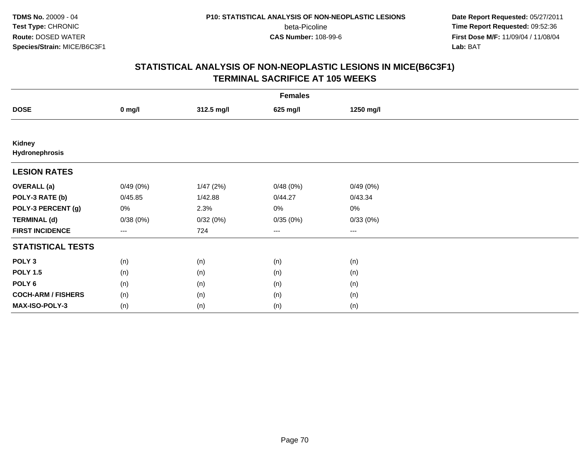**Date Report Requested:** 05/27/2011 **Time Report Requested:** 09:52:36 **First Dose M/F:** 11/09/04 / 11/08/04<br>Lab: BAT **Lab:** BAT

|                           | <b>Females</b>                           |            |          |           |  |  |  |  |
|---------------------------|------------------------------------------|------------|----------|-----------|--|--|--|--|
| <b>DOSE</b>               | $0$ mg/l                                 | 312.5 mg/l | 625 mg/l | 1250 mg/l |  |  |  |  |
|                           |                                          |            |          |           |  |  |  |  |
| Kidney<br>Hydronephrosis  |                                          |            |          |           |  |  |  |  |
| <b>LESION RATES</b>       |                                          |            |          |           |  |  |  |  |
| <b>OVERALL</b> (a)        | 0/49(0%)                                 | 1/47(2%)   | 0/48(0%) | 0/49(0%)  |  |  |  |  |
| POLY-3 RATE (b)           | 0/45.85                                  | 1/42.88    | 0/44.27  | 0/43.34   |  |  |  |  |
| POLY-3 PERCENT (g)        | 0%                                       | 2.3%       | 0%       | 0%        |  |  |  |  |
| <b>TERMINAL (d)</b>       | 0/38(0%)                                 | 0/32(0%)   | 0/35(0%) | 0/33(0%)  |  |  |  |  |
| <b>FIRST INCIDENCE</b>    | $\hspace{0.05cm} \ldots \hspace{0.05cm}$ | 724        | $\cdots$ | $\cdots$  |  |  |  |  |
| <b>STATISTICAL TESTS</b>  |                                          |            |          |           |  |  |  |  |
| POLY <sub>3</sub>         | (n)                                      | (n)        | (n)      | (n)       |  |  |  |  |
| <b>POLY 1.5</b>           | (n)                                      | (n)        | (n)      | (n)       |  |  |  |  |
| POLY <sub>6</sub>         | (n)                                      | (n)        | (n)      | (n)       |  |  |  |  |
| <b>COCH-ARM / FISHERS</b> | (n)                                      | (n)        | (n)      | (n)       |  |  |  |  |
| MAX-ISO-POLY-3            | (n)                                      | (n)        | (n)      | (n)       |  |  |  |  |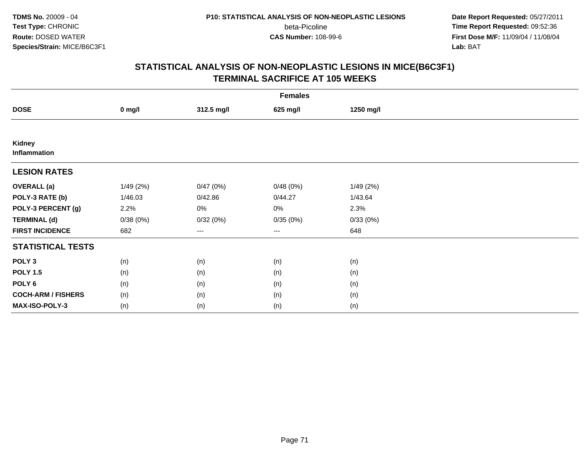**Date Report Requested:** 05/27/2011 **Time Report Requested:** 09:52:36 **First Dose M/F:** 11/09/04 / 11/08/04<br>Lab: BAT **Lab:** BAT

|                           | <b>Females</b> |            |                                          |           |  |  |  |  |
|---------------------------|----------------|------------|------------------------------------------|-----------|--|--|--|--|
| <b>DOSE</b>               | $0$ mg/l       | 312.5 mg/l | 625 mg/l                                 | 1250 mg/l |  |  |  |  |
|                           |                |            |                                          |           |  |  |  |  |
| Kidney<br>Inflammation    |                |            |                                          |           |  |  |  |  |
| <b>LESION RATES</b>       |                |            |                                          |           |  |  |  |  |
| <b>OVERALL (a)</b>        | 1/49(2%)       | 0/47(0%)   | 0/48(0%)                                 | 1/49(2%)  |  |  |  |  |
| POLY-3 RATE (b)           | 1/46.03        | 0/42.86    | 0/44.27                                  | 1/43.64   |  |  |  |  |
| POLY-3 PERCENT (g)        | 2.2%           | 0%         | 0%                                       | 2.3%      |  |  |  |  |
| <b>TERMINAL (d)</b>       | 0/38(0%)       | 0/32(0%)   | 0/35(0%)                                 | 0/33(0%)  |  |  |  |  |
| <b>FIRST INCIDENCE</b>    | 682            | $\cdots$   | $\hspace{0.05cm} \ldots \hspace{0.05cm}$ | 648       |  |  |  |  |
| <b>STATISTICAL TESTS</b>  |                |            |                                          |           |  |  |  |  |
| POLY <sub>3</sub>         | (n)            | (n)        | (n)                                      | (n)       |  |  |  |  |
| <b>POLY 1.5</b>           | (n)            | (n)        | (n)                                      | (n)       |  |  |  |  |
| POLY <sub>6</sub>         | (n)            | (n)        | (n)                                      | (n)       |  |  |  |  |
| <b>COCH-ARM / FISHERS</b> | (n)            | (n)        | (n)                                      | (n)       |  |  |  |  |
| MAX-ISO-POLY-3            | (n)            | (n)        | (n)                                      | (n)       |  |  |  |  |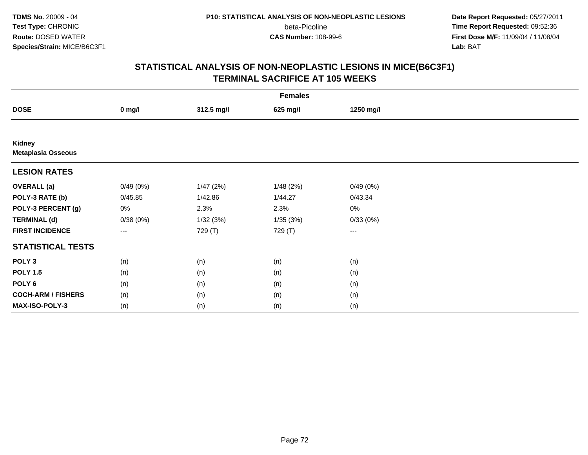**Date Report Requested:** 05/27/2011 **Time Report Requested:** 09:52:36 **First Dose M/F:** 11/09/04 / 11/08/04<br>Lab: BAT **Lab:** BAT

|                                     | <b>Females</b> |            |          |           |  |  |  |  |
|-------------------------------------|----------------|------------|----------|-----------|--|--|--|--|
| <b>DOSE</b>                         | $0$ mg/l       | 312.5 mg/l | 625 mg/l | 1250 mg/l |  |  |  |  |
|                                     |                |            |          |           |  |  |  |  |
| Kidney<br><b>Metaplasia Osseous</b> |                |            |          |           |  |  |  |  |
| <b>LESION RATES</b>                 |                |            |          |           |  |  |  |  |
| <b>OVERALL</b> (a)                  | 0/49(0%)       | 1/47(2%)   | 1/48(2%) | 0/49(0%)  |  |  |  |  |
| POLY-3 RATE (b)                     | 0/45.85        | 1/42.86    | 1/44.27  | 0/43.34   |  |  |  |  |
| POLY-3 PERCENT (g)                  | 0%             | 2.3%       | 2.3%     | 0%        |  |  |  |  |
| <b>TERMINAL (d)</b>                 | 0/38(0%)       | 1/32(3%)   | 1/35(3%) | 0/33(0%)  |  |  |  |  |
| <b>FIRST INCIDENCE</b>              | $--$           | 729 (T)    | 729 (T)  | $--$      |  |  |  |  |
| <b>STATISTICAL TESTS</b>            |                |            |          |           |  |  |  |  |
| POLY <sub>3</sub>                   | (n)            | (n)        | (n)      | (n)       |  |  |  |  |
| <b>POLY 1.5</b>                     | (n)            | (n)        | (n)      | (n)       |  |  |  |  |
| POLY <sub>6</sub>                   | (n)            | (n)        | (n)      | (n)       |  |  |  |  |
| <b>COCH-ARM / FISHERS</b>           | (n)            | (n)        | (n)      | (n)       |  |  |  |  |
| MAX-ISO-POLY-3                      | (n)            | (n)        | (n)      | (n)       |  |  |  |  |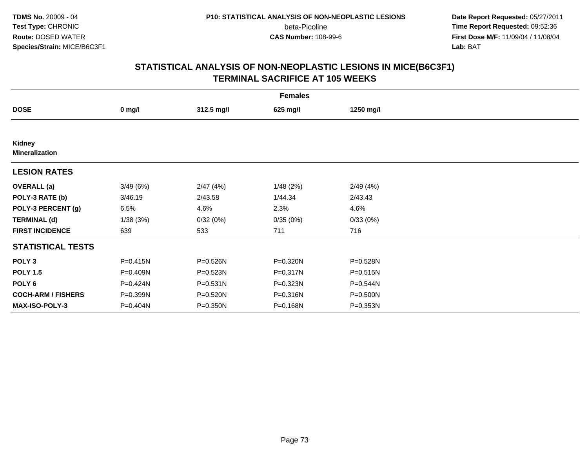**Date Report Requested:** 05/27/2011 **Time Report Requested:** 09:52:36 **First Dose M/F:** 11/09/04 / 11/08/04<br>Lab: BAT **Lab:** BAT

| <b>Females</b>                  |              |              |          |              |  |  |  |
|---------------------------------|--------------|--------------|----------|--------------|--|--|--|
| <b>DOSE</b>                     | $0$ mg/l     | 312.5 mg/l   | 625 mg/l | 1250 mg/l    |  |  |  |
|                                 |              |              |          |              |  |  |  |
| Kidney<br><b>Mineralization</b> |              |              |          |              |  |  |  |
| <b>LESION RATES</b>             |              |              |          |              |  |  |  |
| <b>OVERALL</b> (a)              | 3/49(6%)     | 2/47(4%)     | 1/48(2%) | 2/49(4%)     |  |  |  |
| POLY-3 RATE (b)                 | 3/46.19      | 2/43.58      | 1/44.34  | 2/43.43      |  |  |  |
| POLY-3 PERCENT (g)              | 6.5%         | 4.6%         | 2.3%     | 4.6%         |  |  |  |
| <b>TERMINAL (d)</b>             | 1/38(3%)     | 0/32(0%)     | 0/35(0%) | 0/33(0%)     |  |  |  |
| <b>FIRST INCIDENCE</b>          | 639          | 533          | 711      | 716          |  |  |  |
| <b>STATISTICAL TESTS</b>        |              |              |          |              |  |  |  |
| POLY <sub>3</sub>               | $P = 0.415N$ | P=0.526N     | P=0.320N | P=0.528N     |  |  |  |
| <b>POLY 1.5</b>                 | P=0.409N     | $P = 0.523N$ | P=0.317N | $P = 0.515N$ |  |  |  |
| POLY <sub>6</sub>               | P=0.424N     | $P = 0.531N$ | P=0.323N | P=0.544N     |  |  |  |
| <b>COCH-ARM / FISHERS</b>       | P=0.399N     | P=0.520N     | P=0.316N | P=0.500N     |  |  |  |
| MAX-ISO-POLY-3                  | P=0.404N     | P=0.350N     | P=0.168N | P=0.353N     |  |  |  |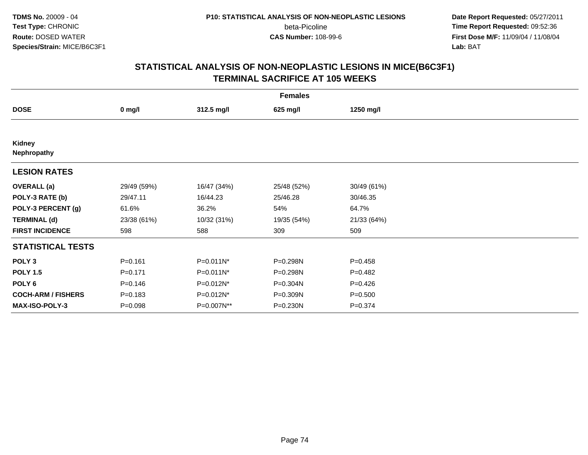**Date Report Requested:** 05/27/2011 **Time Report Requested:** 09:52:36 **First Dose M/F:** 11/09/04 / 11/08/04<br>Lab: BAT **Lab:** BAT

|                           | <b>Females</b>   |             |             |             |  |  |  |  |
|---------------------------|------------------|-------------|-------------|-------------|--|--|--|--|
| <b>DOSE</b>               | $0 \text{ mg/l}$ | 312.5 mg/l  | 625 mg/l    | 1250 mg/l   |  |  |  |  |
|                           |                  |             |             |             |  |  |  |  |
| Kidney<br>Nephropathy     |                  |             |             |             |  |  |  |  |
| <b>LESION RATES</b>       |                  |             |             |             |  |  |  |  |
| <b>OVERALL</b> (a)        | 29/49 (59%)      | 16/47 (34%) | 25/48 (52%) | 30/49 (61%) |  |  |  |  |
| POLY-3 RATE (b)           | 29/47.11         | 16/44.23    | 25/46.28    | 30/46.35    |  |  |  |  |
| POLY-3 PERCENT (g)        | 61.6%            | 36.2%       | 54%         | 64.7%       |  |  |  |  |
| <b>TERMINAL (d)</b>       | 23/38 (61%)      | 10/32 (31%) | 19/35 (54%) | 21/33 (64%) |  |  |  |  |
| <b>FIRST INCIDENCE</b>    | 598              | 588         | 309         | 509         |  |  |  |  |
| <b>STATISTICAL TESTS</b>  |                  |             |             |             |  |  |  |  |
| POLY <sub>3</sub>         | $P = 0.161$      | P=0.011N*   | P=0.298N    | $P=0.458$   |  |  |  |  |
| <b>POLY 1.5</b>           | $P = 0.171$      | P=0.011N*   | P=0.298N    | $P=0.482$   |  |  |  |  |
| POLY <sub>6</sub>         | $P = 0.146$      | P=0.012N*   | P=0.304N    | $P=0.426$   |  |  |  |  |
| <b>COCH-ARM / FISHERS</b> | $P = 0.183$      | P=0.012N*   | P=0.309N    | $P = 0.500$ |  |  |  |  |
| <b>MAX-ISO-POLY-3</b>     | $P = 0.098$      | P=0.007N**  | P=0.230N    | $P = 0.374$ |  |  |  |  |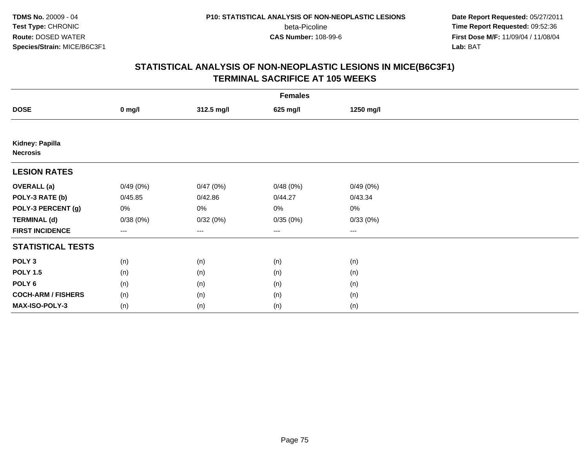**Date Report Requested:** 05/27/2011 **Time Report Requested:** 09:52:36 **First Dose M/F:** 11/09/04 / 11/08/04<br>Lab: BAT **Lab:** BAT

|                                    | <b>Females</b> |            |          |           |  |  |  |  |
|------------------------------------|----------------|------------|----------|-----------|--|--|--|--|
| <b>DOSE</b>                        | $0$ mg/l       | 312.5 mg/l | 625 mg/l | 1250 mg/l |  |  |  |  |
|                                    |                |            |          |           |  |  |  |  |
| Kidney: Papilla<br><b>Necrosis</b> |                |            |          |           |  |  |  |  |
| <b>LESION RATES</b>                |                |            |          |           |  |  |  |  |
| <b>OVERALL</b> (a)                 | 0/49(0%)       | 0/47(0%)   | 0/48(0%) | 0/49(0%)  |  |  |  |  |
| POLY-3 RATE (b)                    | 0/45.85        | 0/42.86    | 0/44.27  | 0/43.34   |  |  |  |  |
| POLY-3 PERCENT (g)                 | 0%             | $0\%$      | 0%       | 0%        |  |  |  |  |
| <b>TERMINAL (d)</b>                | 0/38(0%)       | 0/32(0%)   | 0/35(0%) | 0/33(0%)  |  |  |  |  |
| <b>FIRST INCIDENCE</b>             | ---            | $--$       | $---$    | ---       |  |  |  |  |
| <b>STATISTICAL TESTS</b>           |                |            |          |           |  |  |  |  |
| POLY <sub>3</sub>                  | (n)            | (n)        | (n)      | (n)       |  |  |  |  |
| <b>POLY 1.5</b>                    | (n)            | (n)        | (n)      | (n)       |  |  |  |  |
| POLY <sub>6</sub>                  | (n)            | (n)        | (n)      | (n)       |  |  |  |  |
| <b>COCH-ARM / FISHERS</b>          | (n)            | (n)        | (n)      | (n)       |  |  |  |  |
| MAX-ISO-POLY-3                     | (n)            | (n)        | (n)      | (n)       |  |  |  |  |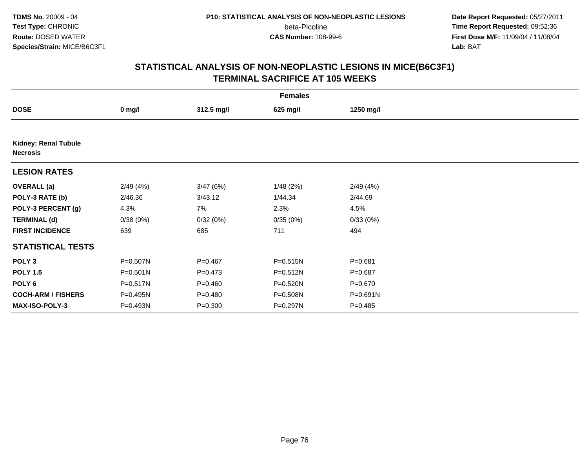**Date Report Requested:** 05/27/2011 **Time Report Requested:** 09:52:36 **First Dose M/F:** 11/09/04 / 11/08/04<br>Lab: BAT **Lab:** BAT

| <b>Females</b>                                 |              |             |          |             |  |  |  |
|------------------------------------------------|--------------|-------------|----------|-------------|--|--|--|
| <b>DOSE</b>                                    | $0$ mg/l     | 312.5 mg/l  | 625 mg/l | 1250 mg/l   |  |  |  |
|                                                |              |             |          |             |  |  |  |
| <b>Kidney: Renal Tubule</b><br><b>Necrosis</b> |              |             |          |             |  |  |  |
| <b>LESION RATES</b>                            |              |             |          |             |  |  |  |
| <b>OVERALL</b> (a)                             | 2/49(4%)     | 3/47(6%)    | 1/48(2%) | 2/49(4%)    |  |  |  |
| POLY-3 RATE (b)                                | 2/46.36      | 3/43.12     | 1/44.34  | 2/44.69     |  |  |  |
| POLY-3 PERCENT (g)                             | 4.3%         | 7%          | 2.3%     | 4.5%        |  |  |  |
| <b>TERMINAL (d)</b>                            | 0/38(0%)     | 0/32(0%)    | 0/35(0%) | 0/33(0%)    |  |  |  |
| <b>FIRST INCIDENCE</b>                         | 639          | 685         | 711      | 494         |  |  |  |
| <b>STATISTICAL TESTS</b>                       |              |             |          |             |  |  |  |
| POLY <sub>3</sub>                              | P=0.507N     | $P = 0.467$ | P=0.515N | $P = 0.681$ |  |  |  |
| <b>POLY 1.5</b>                                | $P = 0.501N$ | $P = 0.473$ | P=0.512N | $P = 0.687$ |  |  |  |
| POLY 6                                         | P=0.517N     | $P = 0.460$ | P=0.520N | $P = 0.670$ |  |  |  |
| <b>COCH-ARM / FISHERS</b>                      | P=0.495N     | $P = 0.480$ | P=0.508N | P=0.691N    |  |  |  |
| <b>MAX-ISO-POLY-3</b>                          | P=0.493N     | $P = 0.300$ | P=0.297N | $P = 0.485$ |  |  |  |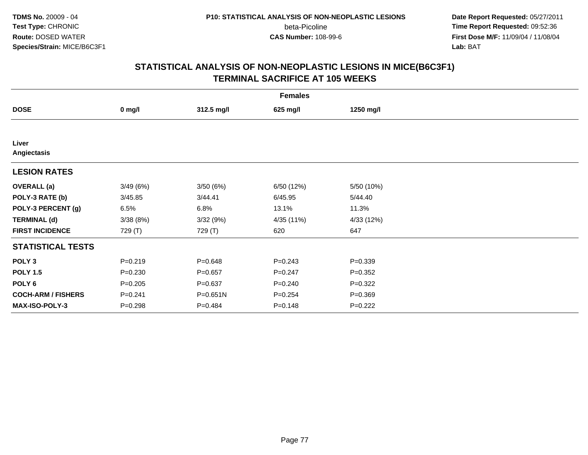**Date Report Requested:** 05/27/2011 **Time Report Requested:** 09:52:36 **First Dose M/F:** 11/09/04 / 11/08/04<br>Lab: BAT **Lab:** BAT

|                           | <b>Females</b> |             |             |             |  |  |  |  |
|---------------------------|----------------|-------------|-------------|-------------|--|--|--|--|
| <b>DOSE</b>               | $0$ mg/l       | 312.5 mg/l  | 625 mg/l    | 1250 mg/l   |  |  |  |  |
|                           |                |             |             |             |  |  |  |  |
| Liver<br>Angiectasis      |                |             |             |             |  |  |  |  |
| <b>LESION RATES</b>       |                |             |             |             |  |  |  |  |
| <b>OVERALL</b> (a)        | 3/49(6%)       | 3/50(6%)    | 6/50 (12%)  | 5/50 (10%)  |  |  |  |  |
| POLY-3 RATE (b)           | 3/45.85        | 3/44.41     | 6/45.95     | 5/44.40     |  |  |  |  |
| POLY-3 PERCENT (g)        | 6.5%           | 6.8%        | 13.1%       | 11.3%       |  |  |  |  |
| <b>TERMINAL (d)</b>       | 3/38(8%)       | 3/32(9%)    | 4/35 (11%)  | 4/33 (12%)  |  |  |  |  |
| <b>FIRST INCIDENCE</b>    | 729 (T)        | 729 (T)     | 620         | 647         |  |  |  |  |
| <b>STATISTICAL TESTS</b>  |                |             |             |             |  |  |  |  |
| POLY <sub>3</sub>         | $P = 0.219$    | $P = 0.648$ | $P=0.243$   | $P = 0.339$ |  |  |  |  |
| <b>POLY 1.5</b>           | $P = 0.230$    | $P = 0.657$ | $P=0.247$   | $P=0.352$   |  |  |  |  |
| POLY <sub>6</sub>         | $P = 0.205$    | $P = 0.637$ | $P = 0.240$ | $P=0.322$   |  |  |  |  |
| <b>COCH-ARM / FISHERS</b> | $P = 0.241$    | P=0.651N    | $P = 0.254$ | $P = 0.369$ |  |  |  |  |
| MAX-ISO-POLY-3            | $P = 0.298$    | $P = 0.484$ | $P = 0.148$ | $P=0.222$   |  |  |  |  |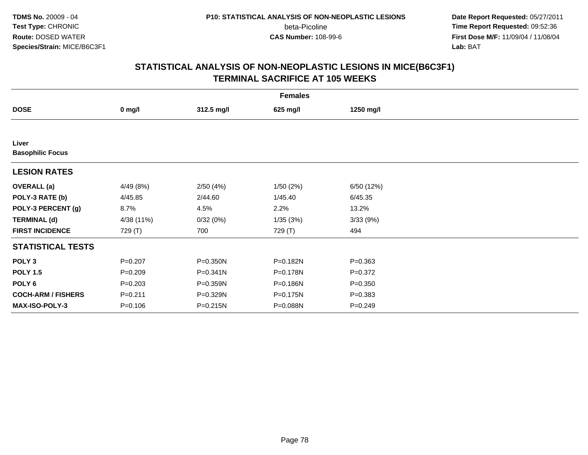**Date Report Requested:** 05/27/2011 **Time Report Requested:** 09:52:36 **First Dose M/F:** 11/09/04 / 11/08/04<br>Lab: BAT **Lab:** BAT

|                                  | <b>Females</b> |              |          |             |  |  |  |  |
|----------------------------------|----------------|--------------|----------|-------------|--|--|--|--|
| <b>DOSE</b>                      | $0$ mg/l       | 312.5 mg/l   | 625 mg/l | 1250 mg/l   |  |  |  |  |
|                                  |                |              |          |             |  |  |  |  |
| Liver<br><b>Basophilic Focus</b> |                |              |          |             |  |  |  |  |
| <b>LESION RATES</b>              |                |              |          |             |  |  |  |  |
| <b>OVERALL</b> (a)               | 4/49 (8%)      | 2/50(4%)     | 1/50(2%) | 6/50 (12%)  |  |  |  |  |
| POLY-3 RATE (b)                  | 4/45.85        | 2/44.60      | 1/45.40  | 6/45.35     |  |  |  |  |
| POLY-3 PERCENT (g)               | 8.7%           | 4.5%         | 2.2%     | 13.2%       |  |  |  |  |
| <b>TERMINAL (d)</b>              | 4/38 (11%)     | 0/32(0%)     | 1/35(3%) | 3/33(9%)    |  |  |  |  |
| <b>FIRST INCIDENCE</b>           | 729 (T)        | 700          | 729 (T)  | 494         |  |  |  |  |
| <b>STATISTICAL TESTS</b>         |                |              |          |             |  |  |  |  |
| POLY <sub>3</sub>                | $P = 0.207$    | P=0.350N     | P=0.182N | $P = 0.363$ |  |  |  |  |
| <b>POLY 1.5</b>                  | $P = 0.209$    | $P = 0.341N$ | P=0.178N | $P = 0.372$ |  |  |  |  |
| POLY 6                           | $P = 0.203$    | P=0.359N     | P=0.186N | $P = 0.350$ |  |  |  |  |
| <b>COCH-ARM / FISHERS</b>        | $P = 0.211$    | P=0.329N     | P=0.175N | $P = 0.383$ |  |  |  |  |
| <b>MAX-ISO-POLY-3</b>            | $P = 0.106$    | P=0.215N     | P=0.088N | $P = 0.249$ |  |  |  |  |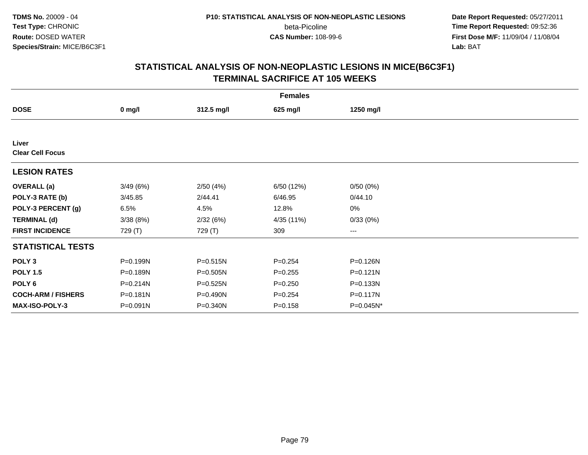**Date Report Requested:** 05/27/2011 **Time Report Requested:** 09:52:36 **First Dose M/F:** 11/09/04 / 11/08/04<br>Lab: BAT **Lab:** BAT

|                           |              |            | <b>Females</b> |              |  |
|---------------------------|--------------|------------|----------------|--------------|--|
| <b>DOSE</b>               | $0$ mg/l     | 312.5 mg/l | 625 mg/l       | 1250 mg/l    |  |
|                           |              |            |                |              |  |
| Liver                     |              |            |                |              |  |
| <b>Clear Cell Focus</b>   |              |            |                |              |  |
| <b>LESION RATES</b>       |              |            |                |              |  |
| <b>OVERALL</b> (a)        | 3/49(6%)     | 2/50(4%)   | 6/50 (12%)     | 0/50(0%)     |  |
| POLY-3 RATE (b)           | 3/45.85      | 2/44.41    | 6/46.95        | 0/44.10      |  |
| POLY-3 PERCENT (g)        | 6.5%         | 4.5%       | 12.8%          | 0%           |  |
| <b>TERMINAL (d)</b>       | 3/38(8%)     | 2/32(6%)   | 4/35 (11%)     | 0/33(0%)     |  |
| <b>FIRST INCIDENCE</b>    | 729 (T)      | 729 (T)    | 309            | ---          |  |
| <b>STATISTICAL TESTS</b>  |              |            |                |              |  |
| POLY <sub>3</sub>         | P=0.199N     | P=0.515N   | $P = 0.254$    | P=0.126N     |  |
| <b>POLY 1.5</b>           | P=0.189N     | P=0.505N   | $P = 0.255$    | P=0.121N     |  |
| POLY <sub>6</sub>         | $P = 0.214N$ | P=0.525N   | $P = 0.250$    | P=0.133N     |  |
| <b>COCH-ARM / FISHERS</b> | P=0.181N     | P=0.490N   | $P = 0.254$    | P=0.117N     |  |
| <b>MAX-ISO-POLY-3</b>     | $P = 0.091N$ | P=0.340N   | $P = 0.158$    | $P=0.045N^*$ |  |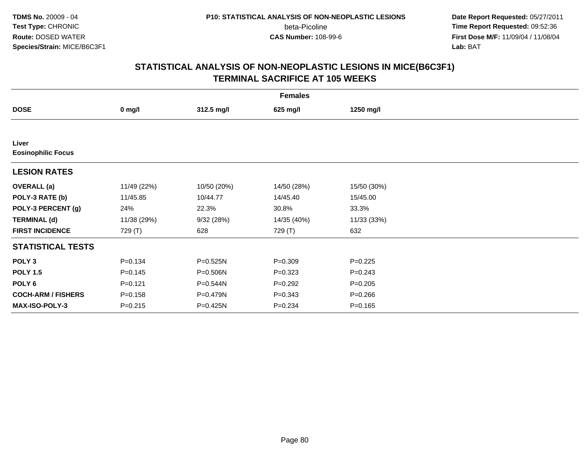**Date Report Requested:** 05/27/2011 **Time Report Requested:** 09:52:36 **First Dose M/F:** 11/09/04 / 11/08/04<br>Lab: BAT **Lab:** BAT

|                                    | <b>Females</b> |             |             |             |  |  |  |  |
|------------------------------------|----------------|-------------|-------------|-------------|--|--|--|--|
| <b>DOSE</b>                        | $0$ mg/l       | 312.5 mg/l  | 625 mg/l    | 1250 mg/l   |  |  |  |  |
|                                    |                |             |             |             |  |  |  |  |
| Liver<br><b>Eosinophilic Focus</b> |                |             |             |             |  |  |  |  |
| <b>LESION RATES</b>                |                |             |             |             |  |  |  |  |
| <b>OVERALL</b> (a)                 | 11/49 (22%)    | 10/50 (20%) | 14/50 (28%) | 15/50 (30%) |  |  |  |  |
| POLY-3 RATE (b)                    | 11/45.85       | 10/44.77    | 14/45.40    | 15/45.00    |  |  |  |  |
| POLY-3 PERCENT (g)                 | 24%            | 22.3%       | 30.8%       | 33.3%       |  |  |  |  |
| <b>TERMINAL (d)</b>                | 11/38 (29%)    | 9/32(28%)   | 14/35 (40%) | 11/33 (33%) |  |  |  |  |
| <b>FIRST INCIDENCE</b>             | 729 (T)        | 628         | 729 (T)     | 632         |  |  |  |  |
| <b>STATISTICAL TESTS</b>           |                |             |             |             |  |  |  |  |
| POLY <sub>3</sub>                  | $P = 0.134$    | P=0.525N    | $P = 0.309$ | $P=0.225$   |  |  |  |  |
| <b>POLY 1.5</b>                    | $P = 0.145$    | P=0.506N    | $P=0.323$   | $P=0.243$   |  |  |  |  |
| POLY 6                             | $P=0.121$      | P=0.544N    | $P=0.292$   | $P = 0.205$ |  |  |  |  |
| <b>COCH-ARM / FISHERS</b>          | $P = 0.158$    | P=0.479N    | $P = 0.343$ | $P = 0.266$ |  |  |  |  |
| MAX-ISO-POLY-3                     | $P = 0.215$    | P=0.425N    | $P = 0.234$ | $P = 0.165$ |  |  |  |  |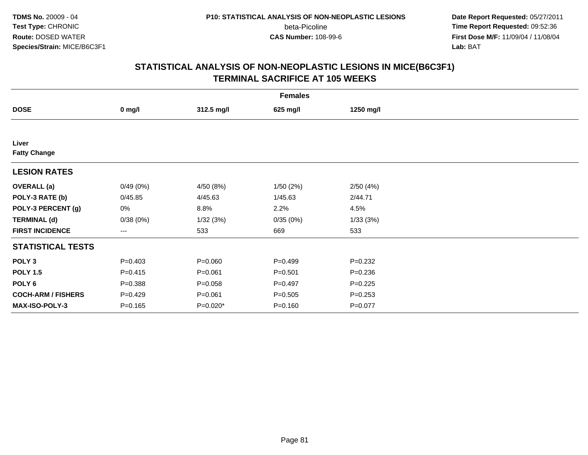**Date Report Requested:** 05/27/2011 **Time Report Requested:** 09:52:36 **First Dose M/F:** 11/09/04 / 11/08/04<br>Lab: BAT **Lab:** BAT

|                           | <b>Females</b>    |             |             |             |  |  |  |  |
|---------------------------|-------------------|-------------|-------------|-------------|--|--|--|--|
| <b>DOSE</b>               | $0$ mg/l          | 312.5 mg/l  | 625 mg/l    | 1250 mg/l   |  |  |  |  |
|                           |                   |             |             |             |  |  |  |  |
| Liver                     |                   |             |             |             |  |  |  |  |
| <b>Fatty Change</b>       |                   |             |             |             |  |  |  |  |
| <b>LESION RATES</b>       |                   |             |             |             |  |  |  |  |
| <b>OVERALL</b> (a)        | 0/49(0%)          | 4/50 (8%)   | 1/50(2%)    | 2/50(4%)    |  |  |  |  |
| POLY-3 RATE (b)           | 0/45.85           | 4/45.63     | 1/45.63     | 2/44.71     |  |  |  |  |
| POLY-3 PERCENT (g)        | 0%                | 8.8%        | 2.2%        | 4.5%        |  |  |  |  |
| <b>TERMINAL (d)</b>       | 0/38(0%)          | 1/32(3%)    | 0/35(0%)    | 1/33(3%)    |  |  |  |  |
| <b>FIRST INCIDENCE</b>    | $\qquad \qquad -$ | 533         | 669         | 533         |  |  |  |  |
| <b>STATISTICAL TESTS</b>  |                   |             |             |             |  |  |  |  |
| POLY <sub>3</sub>         | $P = 0.403$       | $P = 0.060$ | $P=0.499$   | $P=0.232$   |  |  |  |  |
| <b>POLY 1.5</b>           | $P = 0.415$       | $P = 0.061$ | $P = 0.501$ | $P = 0.236$ |  |  |  |  |
| POLY <sub>6</sub>         | $P = 0.388$       | $P = 0.058$ | $P=0.497$   | $P=0.225$   |  |  |  |  |
| <b>COCH-ARM / FISHERS</b> | $P=0.429$         | $P = 0.061$ | $P = 0.505$ | $P = 0.253$ |  |  |  |  |
| MAX-ISO-POLY-3            | $P = 0.165$       | P=0.020*    | $P = 0.160$ | $P=0.077$   |  |  |  |  |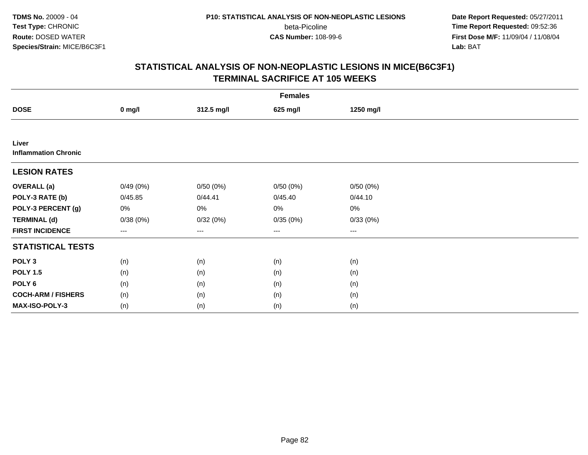**Date Report Requested:** 05/27/2011 **Time Report Requested:** 09:52:36 **First Dose M/F:** 11/09/04 / 11/08/04<br>Lab: BAT **Lab:** BAT

|                                      | <b>Females</b> |            |          |           |  |  |  |  |
|--------------------------------------|----------------|------------|----------|-----------|--|--|--|--|
| <b>DOSE</b>                          | $0$ mg/l       | 312.5 mg/l | 625 mg/l | 1250 mg/l |  |  |  |  |
|                                      |                |            |          |           |  |  |  |  |
| Liver<br><b>Inflammation Chronic</b> |                |            |          |           |  |  |  |  |
| <b>LESION RATES</b>                  |                |            |          |           |  |  |  |  |
| <b>OVERALL</b> (a)                   | 0/49(0%)       | 0/50(0%)   | 0/50(0%) | 0/50(0%)  |  |  |  |  |
| POLY-3 RATE (b)                      | 0/45.85        | 0/44.41    | 0/45.40  | 0/44.10   |  |  |  |  |
| POLY-3 PERCENT (g)                   | 0%             | 0%         | 0%       | 0%        |  |  |  |  |
| <b>TERMINAL (d)</b>                  | 0/38(0%)       | 0/32(0%)   | 0/35(0%) | 0/33(0%)  |  |  |  |  |
| <b>FIRST INCIDENCE</b>               | $\cdots$       | ---        | $---$    | $\cdots$  |  |  |  |  |
| <b>STATISTICAL TESTS</b>             |                |            |          |           |  |  |  |  |
| POLY <sub>3</sub>                    | (n)            | (n)        | (n)      | (n)       |  |  |  |  |
| <b>POLY 1.5</b>                      | (n)            | (n)        | (n)      | (n)       |  |  |  |  |
| POLY <sub>6</sub>                    | (n)            | (n)        | (n)      | (n)       |  |  |  |  |
| <b>COCH-ARM / FISHERS</b>            | (n)            | (n)        | (n)      | (n)       |  |  |  |  |
| <b>MAX-ISO-POLY-3</b>                | (n)            | (n)        | (n)      | (n)       |  |  |  |  |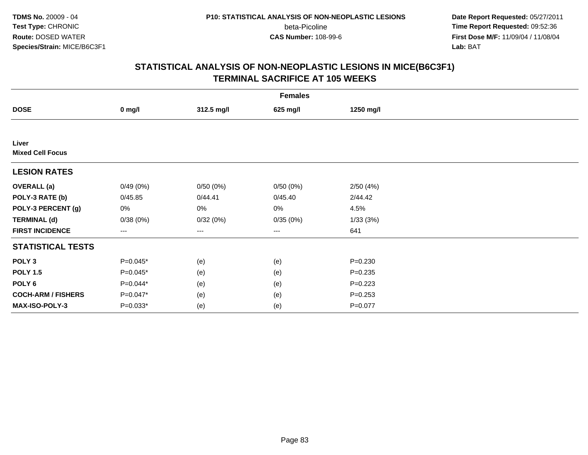**Date Report Requested:** 05/27/2011 **Time Report Requested:** 09:52:36 **First Dose M/F:** 11/09/04 / 11/08/04<br>Lab: BAT **Lab:** BAT

|                                  | <b>Females</b>    |                   |          |             |  |  |  |  |
|----------------------------------|-------------------|-------------------|----------|-------------|--|--|--|--|
| <b>DOSE</b>                      | $0$ mg/l          | 312.5 mg/l        | 625 mg/l | 1250 mg/l   |  |  |  |  |
|                                  |                   |                   |          |             |  |  |  |  |
| Liver<br><b>Mixed Cell Focus</b> |                   |                   |          |             |  |  |  |  |
| <b>LESION RATES</b>              |                   |                   |          |             |  |  |  |  |
| <b>OVERALL</b> (a)               | 0/49(0%)          | 0/50(0%)          | 0/50(0%) | 2/50(4%)    |  |  |  |  |
| POLY-3 RATE (b)                  | 0/45.85           | 0/44.41           | 0/45.40  | 2/44.42     |  |  |  |  |
| POLY-3 PERCENT (g)               | 0%                | $0\%$             | 0%       | 4.5%        |  |  |  |  |
| <b>TERMINAL (d)</b>              | 0/38(0%)          | 0/32(0%)          | 0/35(0%) | 1/33(3%)    |  |  |  |  |
| <b>FIRST INCIDENCE</b>           | $\qquad \qquad -$ | $\qquad \qquad -$ | ---      | 641         |  |  |  |  |
| <b>STATISTICAL TESTS</b>         |                   |                   |          |             |  |  |  |  |
| POLY <sub>3</sub>                | $P=0.045*$        | (e)               | (e)      | $P = 0.230$ |  |  |  |  |
| <b>POLY 1.5</b>                  | $P=0.045*$        | (e)               | (e)      | $P = 0.235$ |  |  |  |  |
| POLY <sub>6</sub>                | $P=0.044*$        | (e)               | (e)      | $P=0.223$   |  |  |  |  |
| <b>COCH-ARM / FISHERS</b>        | $P=0.047*$        | (e)               | (e)      | $P = 0.253$ |  |  |  |  |
| MAX-ISO-POLY-3                   | $P=0.033*$        | (e)               | (e)      | $P=0.077$   |  |  |  |  |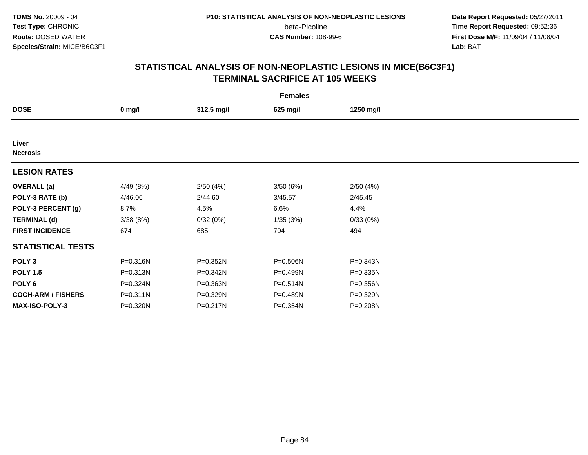**Date Report Requested:** 05/27/2011 **Time Report Requested:** 09:52:36 **First Dose M/F:** 11/09/04 / 11/08/04<br>Lab: BAT **Lab:** BAT

|                           | <b>Females</b> |              |          |              |  |  |  |  |
|---------------------------|----------------|--------------|----------|--------------|--|--|--|--|
| <b>DOSE</b>               | $0$ mg/l       | 312.5 mg/l   | 625 mg/l | 1250 mg/l    |  |  |  |  |
|                           |                |              |          |              |  |  |  |  |
| Liver<br><b>Necrosis</b>  |                |              |          |              |  |  |  |  |
| <b>LESION RATES</b>       |                |              |          |              |  |  |  |  |
| <b>OVERALL</b> (a)        | 4/49 (8%)      | 2/50(4%)     | 3/50(6%) | 2/50(4%)     |  |  |  |  |
| POLY-3 RATE (b)           | 4/46.06        | 2/44.60      | 3/45.57  | 2/45.45      |  |  |  |  |
| POLY-3 PERCENT (g)        | 8.7%           | 4.5%         | 6.6%     | 4.4%         |  |  |  |  |
| <b>TERMINAL (d)</b>       | 3/38(8%)       | 0/32(0%)     | 1/35(3%) | 0/33(0%)     |  |  |  |  |
| <b>FIRST INCIDENCE</b>    | 674            | 685          | 704      | 494          |  |  |  |  |
| <b>STATISTICAL TESTS</b>  |                |              |          |              |  |  |  |  |
| POLY <sub>3</sub>         | P=0.316N       | $P = 0.352N$ | P=0.506N | $P = 0.343N$ |  |  |  |  |
| <b>POLY 1.5</b>           | P=0.313N       | P=0.342N     | P=0.499N | $P = 0.335N$ |  |  |  |  |
| POLY <sub>6</sub>         | P=0.324N       | P=0.363N     | P=0.514N | P=0.356N     |  |  |  |  |
| <b>COCH-ARM / FISHERS</b> | $P = 0.311N$   | P=0.329N     | P=0.489N | P=0.329N     |  |  |  |  |
| MAX-ISO-POLY-3            | P=0.320N       | P=0.217N     | P=0.354N | P=0.208N     |  |  |  |  |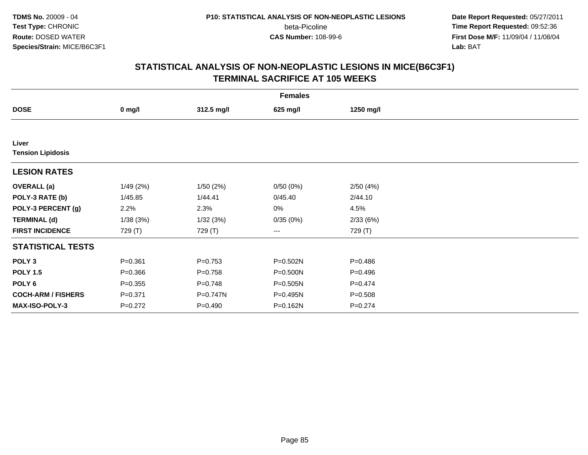**Date Report Requested:** 05/27/2011 **Time Report Requested:** 09:52:36 **First Dose M/F:** 11/09/04 / 11/08/04<br>Lab: BAT **Lab:** BAT

|                                   | <b>Females</b> |             |          |             |  |  |  |  |
|-----------------------------------|----------------|-------------|----------|-------------|--|--|--|--|
| <b>DOSE</b>                       | $0$ mg/l       | 312.5 mg/l  | 625 mg/l | 1250 mg/l   |  |  |  |  |
|                                   |                |             |          |             |  |  |  |  |
| Liver<br><b>Tension Lipidosis</b> |                |             |          |             |  |  |  |  |
| <b>LESION RATES</b>               |                |             |          |             |  |  |  |  |
| <b>OVERALL</b> (a)                | 1/49(2%)       | 1/50(2%)    | 0/50(0%) | 2/50(4%)    |  |  |  |  |
| POLY-3 RATE (b)                   | 1/45.85        | 1/44.41     | 0/45.40  | 2/44.10     |  |  |  |  |
| POLY-3 PERCENT (g)                | 2.2%           | 2.3%        | 0%       | 4.5%        |  |  |  |  |
| <b>TERMINAL (d)</b>               | 1/38(3%)       | 1/32(3%)    | 0/35(0%) | 2/33(6%)    |  |  |  |  |
| <b>FIRST INCIDENCE</b>            | 729 (T)        | 729 (T)     | $--$     | 729 (T)     |  |  |  |  |
| <b>STATISTICAL TESTS</b>          |                |             |          |             |  |  |  |  |
| POLY <sub>3</sub>                 | $P = 0.361$    | $P = 0.753$ | P=0.502N | $P = 0.486$ |  |  |  |  |
| <b>POLY 1.5</b>                   | $P = 0.366$    | $P = 0.758$ | P=0.500N | $P = 0.496$ |  |  |  |  |
| POLY 6                            | $P = 0.355$    | $P = 0.748$ | P=0.505N | $P = 0.474$ |  |  |  |  |
| <b>COCH-ARM / FISHERS</b>         | $P = 0.371$    | P=0.747N    | P=0.495N | $P = 0.508$ |  |  |  |  |
| MAX-ISO-POLY-3                    | $P=0.272$      | $P=0.490$   | P=0.162N | $P = 0.274$ |  |  |  |  |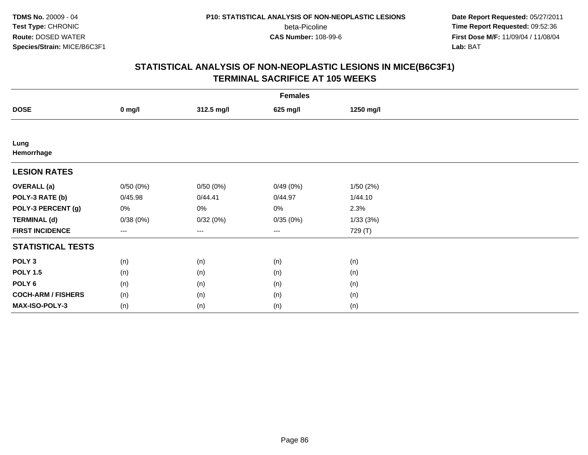**Date Report Requested:** 05/27/2011 **Time Report Requested:** 09:52:36 **First Dose M/F:** 11/09/04 / 11/08/04<br>Lab: BAT **Lab:** BAT

|                           | <b>Females</b> |                   |          |           |  |  |  |  |
|---------------------------|----------------|-------------------|----------|-----------|--|--|--|--|
| <b>DOSE</b>               | $0$ mg/l       | 312.5 mg/l        | 625 mg/l | 1250 mg/l |  |  |  |  |
|                           |                |                   |          |           |  |  |  |  |
| Lung<br>Hemorrhage        |                |                   |          |           |  |  |  |  |
| <b>LESION RATES</b>       |                |                   |          |           |  |  |  |  |
| <b>OVERALL</b> (a)        | 0/50(0%)       | 0/50(0%)          | 0/49(0%) | 1/50(2%)  |  |  |  |  |
| POLY-3 RATE (b)           | 0/45.98        | 0/44.41           | 0/44.97  | 1/44.10   |  |  |  |  |
| POLY-3 PERCENT (g)        | 0%             | 0%                | 0%       | 2.3%      |  |  |  |  |
| <b>TERMINAL (d)</b>       | 0/38(0%)       | 0/32(0%)          | 0/35(0%) | 1/33(3%)  |  |  |  |  |
| <b>FIRST INCIDENCE</b>    | $--$           | $\qquad \qquad -$ | ---      | 729 (T)   |  |  |  |  |
| <b>STATISTICAL TESTS</b>  |                |                   |          |           |  |  |  |  |
| POLY <sub>3</sub>         | (n)            | (n)               | (n)      | (n)       |  |  |  |  |
| <b>POLY 1.5</b>           | (n)            | (n)               | (n)      | (n)       |  |  |  |  |
| POLY <sub>6</sub>         | (n)            | (n)               | (n)      | (n)       |  |  |  |  |
| <b>COCH-ARM / FISHERS</b> | (n)            | (n)               | (n)      | (n)       |  |  |  |  |
| MAX-ISO-POLY-3            | (n)            | (n)               | (n)      | (n)       |  |  |  |  |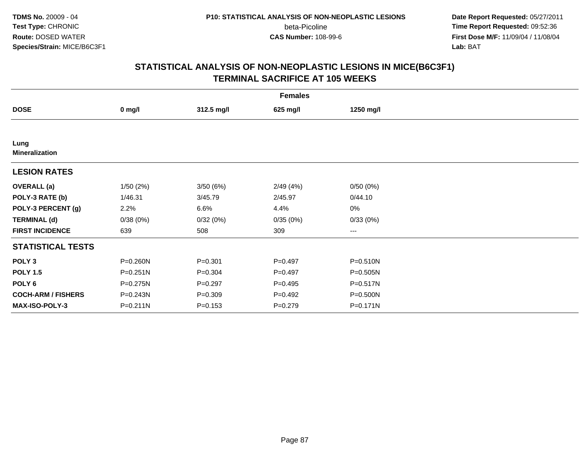**Date Report Requested:** 05/27/2011 **Time Report Requested:** 09:52:36 **First Dose M/F:** 11/09/04 / 11/08/04<br>Lab: BAT **Lab:** BAT

| <b>Females</b>                |                  |             |             |              |  |  |  |
|-------------------------------|------------------|-------------|-------------|--------------|--|--|--|
| <b>DOSE</b>                   | $0 \text{ mg/l}$ | 312.5 mg/l  | 625 mg/l    | 1250 mg/l    |  |  |  |
|                               |                  |             |             |              |  |  |  |
| Lung<br><b>Mineralization</b> |                  |             |             |              |  |  |  |
| <b>LESION RATES</b>           |                  |             |             |              |  |  |  |
| <b>OVERALL</b> (a)            | 1/50(2%)         | 3/50(6%)    | 2/49(4%)    | 0/50(0%)     |  |  |  |
| POLY-3 RATE (b)               | 1/46.31          | 3/45.79     | 2/45.97     | 0/44.10      |  |  |  |
| POLY-3 PERCENT (g)            | 2.2%             | 6.6%        | 4.4%        | 0%           |  |  |  |
| <b>TERMINAL (d)</b>           | 0/38(0%)         | 0/32(0%)    | 0/35(0%)    | 0/33(0%)     |  |  |  |
| <b>FIRST INCIDENCE</b>        | 639              | 508         | 309         | $\cdots$     |  |  |  |
| <b>STATISTICAL TESTS</b>      |                  |             |             |              |  |  |  |
| POLY <sub>3</sub>             | P=0.260N         | $P = 0.301$ | $P=0.497$   | P=0.510N     |  |  |  |
| <b>POLY 1.5</b>               | P=0.251N         | $P = 0.304$ | $P=0.497$   | P=0.505N     |  |  |  |
| POLY <sub>6</sub>             | P=0.275N         | $P=0.297$   | $P = 0.495$ | $P = 0.517N$ |  |  |  |
| <b>COCH-ARM / FISHERS</b>     | P=0.243N         | $P = 0.309$ | $P=0.492$   | P=0.500N     |  |  |  |
| <b>MAX-ISO-POLY-3</b>         | P=0.211N         | $P = 0.153$ | $P=0.279$   | $P = 0.171N$ |  |  |  |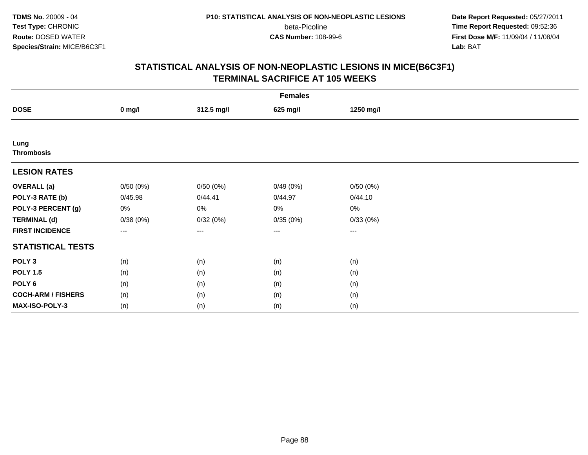**Date Report Requested:** 05/27/2011 **Time Report Requested:** 09:52:36 **First Dose M/F:** 11/09/04 / 11/08/04<br>Lab: BAT **Lab:** BAT

|                           | <b>Females</b> |                   |                        |           |  |  |  |  |
|---------------------------|----------------|-------------------|------------------------|-----------|--|--|--|--|
| <b>DOSE</b>               | $0$ mg/l       | 312.5 mg/l        | 625 mg/l               | 1250 mg/l |  |  |  |  |
|                           |                |                   |                        |           |  |  |  |  |
| Lung<br><b>Thrombosis</b> |                |                   |                        |           |  |  |  |  |
| <b>LESION RATES</b>       |                |                   |                        |           |  |  |  |  |
| <b>OVERALL</b> (a)        | 0/50(0%)       | 0/50(0%)          | 0/49(0%)               | 0/50(0%)  |  |  |  |  |
| POLY-3 RATE (b)           | 0/45.98        | 0/44.41           | 0/44.97                | 0/44.10   |  |  |  |  |
| POLY-3 PERCENT (g)        | 0%             | 0%                | 0%                     | $0\%$     |  |  |  |  |
| <b>TERMINAL (d)</b>       | 0/38(0%)       | 0/32(0%)          | 0/35(0%)               | 0/33(0%)  |  |  |  |  |
| <b>FIRST INCIDENCE</b>    | $---$          | $\qquad \qquad -$ | $\qquad \qquad \cdots$ | ---       |  |  |  |  |
| <b>STATISTICAL TESTS</b>  |                |                   |                        |           |  |  |  |  |
| POLY <sub>3</sub>         | (n)            | (n)               | (n)                    | (n)       |  |  |  |  |
| <b>POLY 1.5</b>           | (n)            | (n)               | (n)                    | (n)       |  |  |  |  |
| POLY <sub>6</sub>         | (n)            | (n)               | (n)                    | (n)       |  |  |  |  |
| <b>COCH-ARM / FISHERS</b> | (n)            | (n)               | (n)                    | (n)       |  |  |  |  |
| MAX-ISO-POLY-3            | (n)            | (n)               | (n)                    | (n)       |  |  |  |  |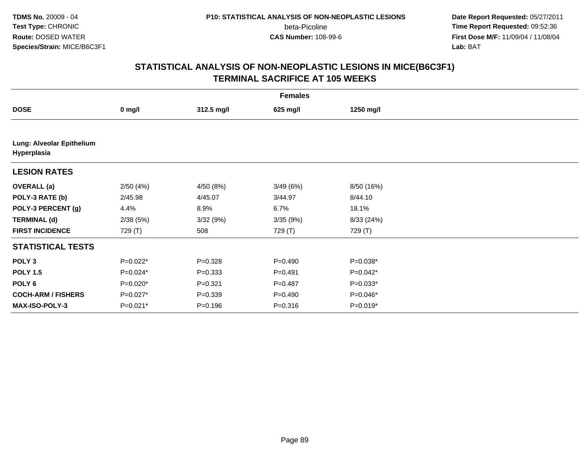**Date Report Requested:** 05/27/2011 **Time Report Requested:** 09:52:36 **First Dose M/F:** 11/09/04 / 11/08/04<br>Lab: BAT **Lab:** BAT

|                                          | <b>Females</b> |             |             |            |  |  |  |  |
|------------------------------------------|----------------|-------------|-------------|------------|--|--|--|--|
| <b>DOSE</b>                              | $0$ mg/l       | 312.5 mg/l  | 625 mg/l    | 1250 mg/l  |  |  |  |  |
|                                          |                |             |             |            |  |  |  |  |
| Lung: Alveolar Epithelium<br>Hyperplasia |                |             |             |            |  |  |  |  |
| <b>LESION RATES</b>                      |                |             |             |            |  |  |  |  |
| <b>OVERALL (a)</b>                       | 2/50(4%)       | 4/50 (8%)   | 3/49(6%)    | 8/50 (16%) |  |  |  |  |
| POLY-3 RATE (b)                          | 2/45.98        | 4/45.07     | 3/44.97     | 8/44.10    |  |  |  |  |
| POLY-3 PERCENT (g)                       | 4.4%           | 8.9%        | 6.7%        | 18.1%      |  |  |  |  |
| <b>TERMINAL (d)</b>                      | 2/38(5%)       | 3/32(9%)    | 3/35(9%)    | 8/33 (24%) |  |  |  |  |
| <b>FIRST INCIDENCE</b>                   | 729 (T)        | 508         | 729 (T)     | 729 (T)    |  |  |  |  |
| <b>STATISTICAL TESTS</b>                 |                |             |             |            |  |  |  |  |
| POLY <sub>3</sub>                        | $P=0.022*$     | $P = 0.328$ | $P = 0.490$ | P=0.038*   |  |  |  |  |
| <b>POLY 1.5</b>                          | $P=0.024*$     | $P = 0.333$ | $P=0.491$   | P=0.042*   |  |  |  |  |
| POLY 6                                   | $P=0.020*$     | $P = 0.321$ | $P=0.487$   | $P=0.033*$ |  |  |  |  |
| <b>COCH-ARM / FISHERS</b>                | P=0.027*       | $P = 0.339$ | $P = 0.490$ | P=0.046*   |  |  |  |  |
| MAX-ISO-POLY-3                           | $P=0.021*$     | $P = 0.196$ | $P = 0.316$ | $P=0.019*$ |  |  |  |  |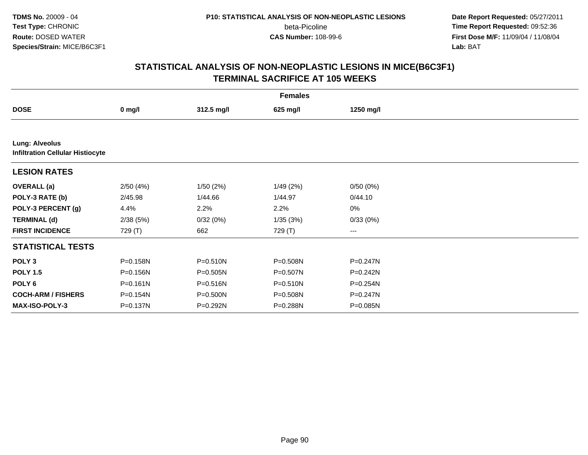**Date Report Requested:** 05/27/2011 **Time Report Requested:** 09:52:36 **First Dose M/F:** 11/09/04 / 11/08/04<br>Lab: BAT **Lab:** BAT

|                                                                  | <b>Females</b> |            |              |           |  |  |  |  |
|------------------------------------------------------------------|----------------|------------|--------------|-----------|--|--|--|--|
| <b>DOSE</b>                                                      | $0$ mg/l       | 312.5 mg/l | 625 mg/l     | 1250 mg/l |  |  |  |  |
|                                                                  |                |            |              |           |  |  |  |  |
| <b>Lung: Alveolus</b><br><b>Infiltration Cellular Histiocyte</b> |                |            |              |           |  |  |  |  |
| <b>LESION RATES</b>                                              |                |            |              |           |  |  |  |  |
| <b>OVERALL</b> (a)                                               | 2/50(4%)       | 1/50(2%)   | 1/49(2%)     | 0/50(0%)  |  |  |  |  |
| POLY-3 RATE (b)                                                  | 2/45.98        | 1/44.66    | 1/44.97      | 0/44.10   |  |  |  |  |
| POLY-3 PERCENT (g)                                               | 4.4%           | 2.2%       | 2.2%         | $0\%$     |  |  |  |  |
| <b>TERMINAL (d)</b>                                              | 2/38(5%)       | 0/32(0%)   | 1/35(3%)     | 0/33(0%)  |  |  |  |  |
| <b>FIRST INCIDENCE</b>                                           | 729 (T)        | 662        | 729 (T)      | $\cdots$  |  |  |  |  |
| <b>STATISTICAL TESTS</b>                                         |                |            |              |           |  |  |  |  |
| POLY <sub>3</sub>                                                | P=0.158N       | P=0.510N   | P=0.508N     | P=0.247N  |  |  |  |  |
| <b>POLY 1.5</b>                                                  | P=0.156N       | P=0.505N   | P=0.507N     | P=0.242N  |  |  |  |  |
| POLY 6                                                           | $P = 0.161N$   | P=0.516N   | $P = 0.510N$ | P=0.254N  |  |  |  |  |
| <b>COCH-ARM / FISHERS</b>                                        | P=0.154N       | P=0.500N   | P=0.508N     | P=0.247N  |  |  |  |  |
| <b>MAX-ISO-POLY-3</b>                                            | P=0.137N       | P=0.292N   | P=0.288N     | P=0.085N  |  |  |  |  |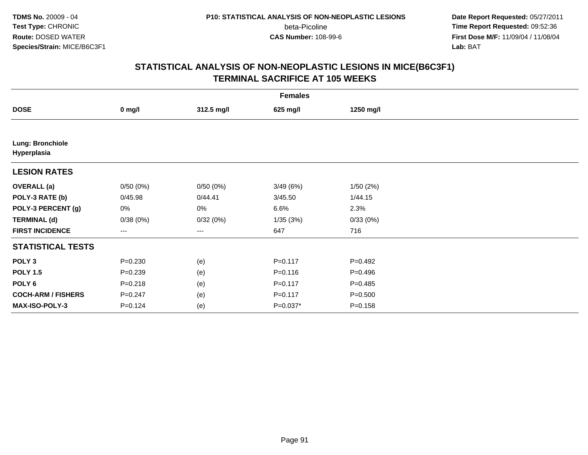**Date Report Requested:** 05/27/2011 **Time Report Requested:** 09:52:36 **First Dose M/F:** 11/09/04 / 11/08/04<br>Lab: BAT **Lab:** BAT

|                                 | <b>Females</b> |            |             |             |  |  |  |  |
|---------------------------------|----------------|------------|-------------|-------------|--|--|--|--|
| <b>DOSE</b>                     | $0$ mg/l       | 312.5 mg/l | 625 mg/l    | 1250 mg/l   |  |  |  |  |
|                                 |                |            |             |             |  |  |  |  |
| Lung: Bronchiole<br>Hyperplasia |                |            |             |             |  |  |  |  |
| <b>LESION RATES</b>             |                |            |             |             |  |  |  |  |
| <b>OVERALL (a)</b>              | 0/50(0%)       | 0/50(0%)   | 3/49(6%)    | 1/50(2%)    |  |  |  |  |
| POLY-3 RATE (b)                 | 0/45.98        | 0/44.41    | 3/45.50     | 1/44.15     |  |  |  |  |
| POLY-3 PERCENT (g)              | 0%             | 0%         | 6.6%        | 2.3%        |  |  |  |  |
| <b>TERMINAL (d)</b>             | 0/38(0%)       | 0/32(0%)   | 1/35(3%)    | 0/33(0%)    |  |  |  |  |
| <b>FIRST INCIDENCE</b>          | ---            | ---        | 647         | 716         |  |  |  |  |
| <b>STATISTICAL TESTS</b>        |                |            |             |             |  |  |  |  |
| POLY <sub>3</sub>               | $P = 0.230$    | (e)        | $P = 0.117$ | $P = 0.492$ |  |  |  |  |
| <b>POLY 1.5</b>                 | $P = 0.239$    | (e)        | $P = 0.116$ | $P = 0.496$ |  |  |  |  |
| POLY 6                          | $P = 0.218$    | (e)        | $P = 0.117$ | $P = 0.485$ |  |  |  |  |
| <b>COCH-ARM / FISHERS</b>       | $P = 0.247$    | (e)        | $P = 0.117$ | $P = 0.500$ |  |  |  |  |
| MAX-ISO-POLY-3                  | $P=0.124$      | (e)        | $P=0.037*$  | $P = 0.158$ |  |  |  |  |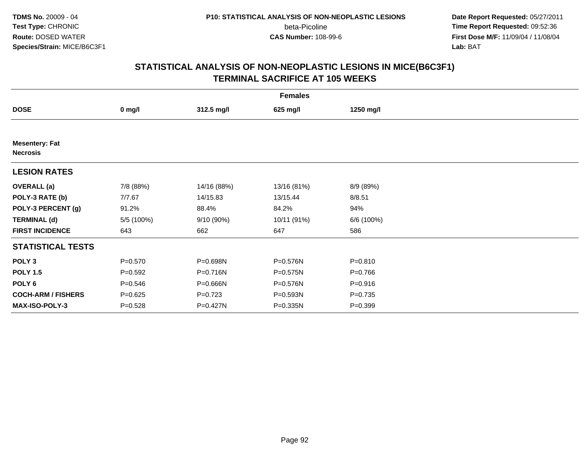**Date Report Requested:** 05/27/2011 **Time Report Requested:** 09:52:36 **First Dose M/F:** 11/09/04 / 11/08/04<br>Lab: BAT **Lab:** BAT

|                                          | <b>Females</b> |             |              |             |  |  |  |  |
|------------------------------------------|----------------|-------------|--------------|-------------|--|--|--|--|
| <b>DOSE</b>                              | $0$ mg/l       | 312.5 mg/l  | 625 mg/l     | 1250 mg/l   |  |  |  |  |
|                                          |                |             |              |             |  |  |  |  |
| <b>Mesentery: Fat</b><br><b>Necrosis</b> |                |             |              |             |  |  |  |  |
| <b>LESION RATES</b>                      |                |             |              |             |  |  |  |  |
| <b>OVERALL</b> (a)                       | 7/8 (88%)      | 14/16 (88%) | 13/16 (81%)  | 8/9 (89%)   |  |  |  |  |
| POLY-3 RATE (b)                          | 7/7.67         | 14/15.83    | 13/15.44     | 8/8.51      |  |  |  |  |
| POLY-3 PERCENT (g)                       | 91.2%          | 88.4%       | 84.2%        | 94%         |  |  |  |  |
| <b>TERMINAL (d)</b>                      | 5/5 (100%)     | 9/10 (90%)  | 10/11 (91%)  | 6/6 (100%)  |  |  |  |  |
| <b>FIRST INCIDENCE</b>                   | 643            | 662         | 647          | 586         |  |  |  |  |
| <b>STATISTICAL TESTS</b>                 |                |             |              |             |  |  |  |  |
| POLY <sub>3</sub>                        | $P = 0.570$    | P=0.698N    | P=0.576N     | $P = 0.810$ |  |  |  |  |
| <b>POLY 1.5</b>                          | $P=0.592$      | P=0.716N    | $P = 0.575N$ | $P = 0.766$ |  |  |  |  |
| POLY <sub>6</sub>                        | $P = 0.546$    | P=0.666N    | P=0.576N     | $P = 0.916$ |  |  |  |  |
| <b>COCH-ARM / FISHERS</b>                | $P = 0.625$    | $P=0.723$   | P=0.593N     | $P=0.735$   |  |  |  |  |
| MAX-ISO-POLY-3                           | $P = 0.528$    | P=0.427N    | P=0.335N     | $P = 0.399$ |  |  |  |  |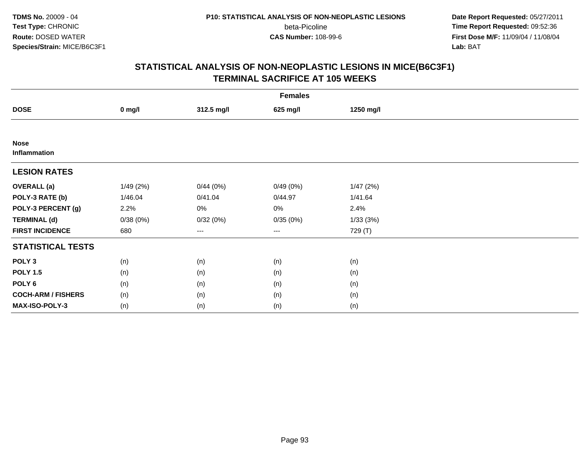**Date Report Requested:** 05/27/2011 **Time Report Requested:** 09:52:36 **First Dose M/F:** 11/09/04 / 11/08/04<br>Lab: BAT **Lab:** BAT

|                             |          |            | <b>Females</b> |           |  |
|-----------------------------|----------|------------|----------------|-----------|--|
| <b>DOSE</b>                 | $0$ mg/l | 312.5 mg/l | 625 mg/l       | 1250 mg/l |  |
|                             |          |            |                |           |  |
| <b>Nose</b><br>Inflammation |          |            |                |           |  |
| <b>LESION RATES</b>         |          |            |                |           |  |
| <b>OVERALL (a)</b>          | 1/49(2%) | 0/44(0%)   | 0/49(0%)       | 1/47(2%)  |  |
| POLY-3 RATE (b)             | 1/46.04  | 0/41.04    | 0/44.97        | 1/41.64   |  |
| POLY-3 PERCENT (g)          | 2.2%     | $0\%$      | 0%             | 2.4%      |  |
| <b>TERMINAL (d)</b>         | 0/38(0%) | 0/32(0%)   | 0/35(0%)       | 1/33(3%)  |  |
| <b>FIRST INCIDENCE</b>      | 680      | $--$       | $---$          | 729 (T)   |  |
| <b>STATISTICAL TESTS</b>    |          |            |                |           |  |
| POLY <sub>3</sub>           | (n)      | (n)        | (n)            | (n)       |  |
| <b>POLY 1.5</b>             | (n)      | (n)        | (n)            | (n)       |  |
| POLY <sub>6</sub>           | (n)      | (n)        | (n)            | (n)       |  |
| <b>COCH-ARM / FISHERS</b>   | (n)      | (n)        | (n)            | (n)       |  |
| MAX-ISO-POLY-3              | (n)      | (n)        | (n)            | (n)       |  |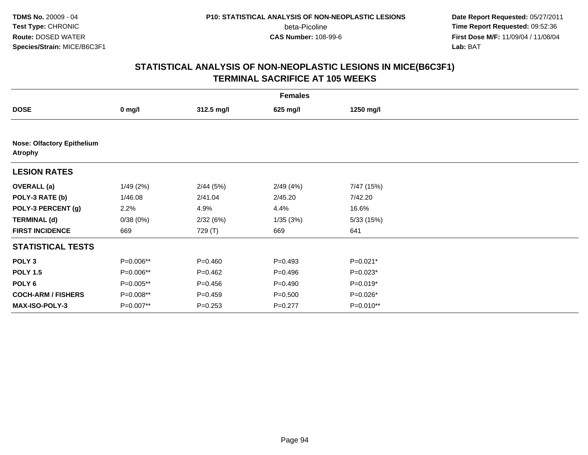**Date Report Requested:** 05/27/2011 **Time Report Requested:** 09:52:36 **First Dose M/F:** 11/09/04 / 11/08/04<br>Lab: BAT **Lab:** BAT

| <b>Females</b>                                      |           |             |             |            |  |  |  |
|-----------------------------------------------------|-----------|-------------|-------------|------------|--|--|--|
| <b>DOSE</b>                                         | $0$ mg/l  | 312.5 mg/l  | 625 mg/l    | 1250 mg/l  |  |  |  |
|                                                     |           |             |             |            |  |  |  |
| <b>Nose: Olfactory Epithelium</b><br><b>Atrophy</b> |           |             |             |            |  |  |  |
| <b>LESION RATES</b>                                 |           |             |             |            |  |  |  |
| <b>OVERALL</b> (a)                                  | 1/49(2%)  | 2/44(5%)    | 2/49(4%)    | 7/47 (15%) |  |  |  |
| POLY-3 RATE (b)                                     | 1/46.08   | 2/41.04     | 2/45.20     | 7/42.20    |  |  |  |
| POLY-3 PERCENT (g)                                  | 2.2%      | 4.9%        | 4.4%        | 16.6%      |  |  |  |
| <b>TERMINAL (d)</b>                                 | 0/38(0%)  | 2/32(6%)    | 1/35(3%)    | 5/33(15%)  |  |  |  |
| <b>FIRST INCIDENCE</b>                              | 669       | 729 (T)     | 669         | 641        |  |  |  |
| <b>STATISTICAL TESTS</b>                            |           |             |             |            |  |  |  |
| POLY <sub>3</sub>                                   | P=0.006** | $P = 0.460$ | $P=0.493$   | $P=0.021*$ |  |  |  |
| <b>POLY 1.5</b>                                     | P=0.006** | $P=0.462$   | $P = 0.496$ | P=0.023*   |  |  |  |
| POLY 6                                              | P=0.005** | $P = 0.456$ | $P = 0.490$ | P=0.019*   |  |  |  |
| <b>COCH-ARM / FISHERS</b>                           | P=0.008** | $P=0.459$   | $P = 0.500$ | P=0.026*   |  |  |  |
| MAX-ISO-POLY-3                                      | P=0.007** | $P = 0.253$ | $P=0.277$   | P=0.010**  |  |  |  |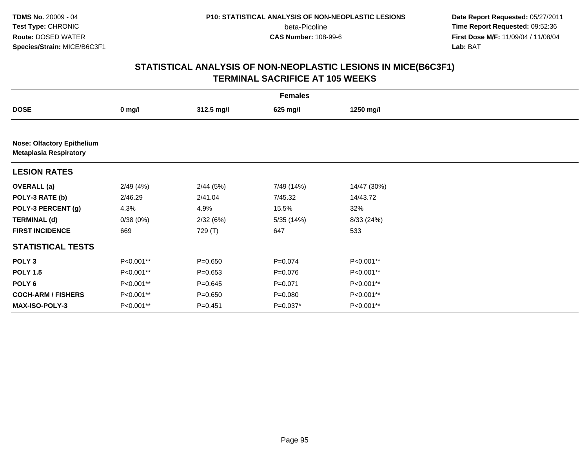**Date Report Requested:** 05/27/2011 **Time Report Requested:** 09:52:36 **First Dose M/F:** 11/09/04 / 11/08/04<br>Lab: BAT **Lab:** BAT

| <b>Females</b>                                                     |           |             |             |             |  |  |  |
|--------------------------------------------------------------------|-----------|-------------|-------------|-------------|--|--|--|
| <b>DOSE</b>                                                        | $0$ mg/l  | 312.5 mg/l  | 625 mg/l    | 1250 mg/l   |  |  |  |
|                                                                    |           |             |             |             |  |  |  |
| <b>Nose: Olfactory Epithelium</b><br><b>Metaplasia Respiratory</b> |           |             |             |             |  |  |  |
| <b>LESION RATES</b>                                                |           |             |             |             |  |  |  |
| <b>OVERALL</b> (a)                                                 | 2/49(4%)  | 2/44(5%)    | 7/49 (14%)  | 14/47 (30%) |  |  |  |
| POLY-3 RATE (b)                                                    | 2/46.29   | 2/41.04     | 7/45.32     | 14/43.72    |  |  |  |
| POLY-3 PERCENT (g)                                                 | 4.3%      | 4.9%        | 15.5%       | 32%         |  |  |  |
| <b>TERMINAL (d)</b>                                                | 0/38(0%)  | 2/32(6%)    | 5/35 (14%)  | 8/33 (24%)  |  |  |  |
| <b>FIRST INCIDENCE</b>                                             | 669       | 729 (T)     | 647         | 533         |  |  |  |
| <b>STATISTICAL TESTS</b>                                           |           |             |             |             |  |  |  |
| POLY <sub>3</sub>                                                  | P<0.001** | $P = 0.650$ | $P = 0.074$ | P<0.001**   |  |  |  |
| <b>POLY 1.5</b>                                                    | P<0.001** | $P = 0.653$ | $P = 0.076$ | P<0.001**   |  |  |  |
| POLY 6                                                             | P<0.001** | $P = 0.645$ | $P = 0.071$ | P<0.001**   |  |  |  |
| <b>COCH-ARM / FISHERS</b>                                          | P<0.001** | $P = 0.650$ | $P = 0.080$ | P<0.001**   |  |  |  |
| MAX-ISO-POLY-3                                                     | P<0.001** | $P = 0.451$ | $P=0.037*$  | P<0.001**   |  |  |  |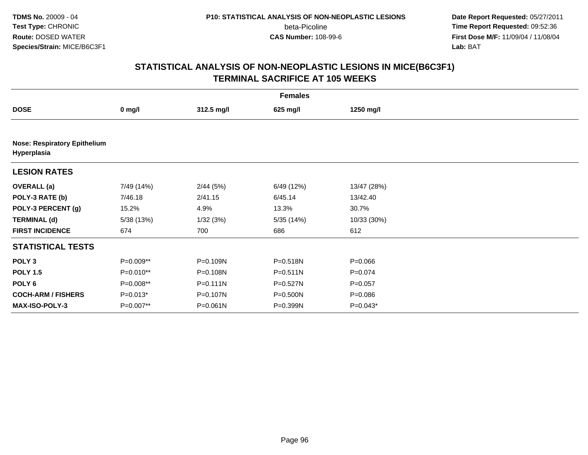**Date Report Requested:** 05/27/2011 **Time Report Requested:** 09:52:36 **First Dose M/F:** 11/09/04 / 11/08/04<br>Lab: BAT **Lab:** BAT

|                                                    | <b>Females</b>   |              |              |             |  |  |  |  |
|----------------------------------------------------|------------------|--------------|--------------|-------------|--|--|--|--|
| <b>DOSE</b>                                        | $0 \text{ mg/l}$ | 312.5 mg/l   | 625 mg/l     | 1250 mg/l   |  |  |  |  |
|                                                    |                  |              |              |             |  |  |  |  |
| <b>Nose: Respiratory Epithelium</b><br>Hyperplasia |                  |              |              |             |  |  |  |  |
| <b>LESION RATES</b>                                |                  |              |              |             |  |  |  |  |
| <b>OVERALL</b> (a)                                 | 7/49 (14%)       | 2/44(5%)     | 6/49 (12%)   | 13/47 (28%) |  |  |  |  |
| POLY-3 RATE (b)                                    | 7/46.18          | 2/41.15      | 6/45.14      | 13/42.40    |  |  |  |  |
| POLY-3 PERCENT (g)                                 | 15.2%            | 4.9%         | 13.3%        | 30.7%       |  |  |  |  |
| <b>TERMINAL (d)</b>                                | 5/38 (13%)       | 1/32(3%)     | 5/35 (14%)   | 10/33 (30%) |  |  |  |  |
| <b>FIRST INCIDENCE</b>                             | 674              | 700          | 686          | 612         |  |  |  |  |
| <b>STATISTICAL TESTS</b>                           |                  |              |              |             |  |  |  |  |
| POLY <sub>3</sub>                                  | P=0.009**        | P=0.109N     | P=0.518N     | $P = 0.066$ |  |  |  |  |
| <b>POLY 1.5</b>                                    | P=0.010**        | P=0.108N     | $P = 0.511N$ | $P = 0.074$ |  |  |  |  |
| POLY 6                                             | P=0.008**        | $P = 0.111N$ | $P = 0.527N$ | $P = 0.057$ |  |  |  |  |
| <b>COCH-ARM / FISHERS</b>                          | $P=0.013*$       | P=0.107N     | P=0.500N     | $P = 0.086$ |  |  |  |  |
| <b>MAX-ISO-POLY-3</b>                              | P=0.007**        | P=0.061N     | P=0.399N     | P=0.043*    |  |  |  |  |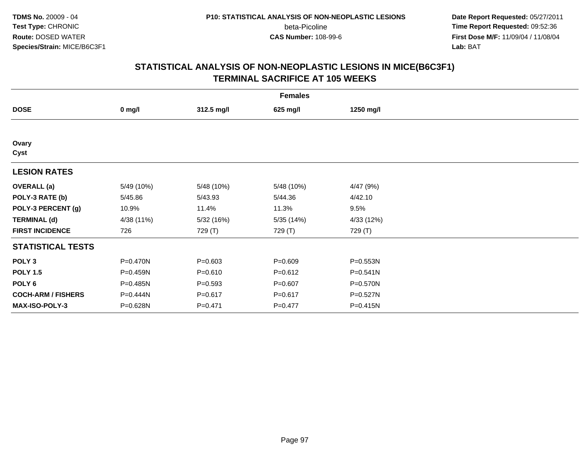**Date Report Requested:** 05/27/2011 **Time Report Requested:** 09:52:36 **First Dose M/F:** 11/09/04 / 11/08/04<br>Lab: BAT **Lab:** BAT

|                           | <b>Females</b> |             |             |              |  |  |  |  |
|---------------------------|----------------|-------------|-------------|--------------|--|--|--|--|
| <b>DOSE</b>               | $0$ mg/l       | 312.5 mg/l  | 625 mg/l    | 1250 mg/l    |  |  |  |  |
|                           |                |             |             |              |  |  |  |  |
| Ovary<br>Cyst             |                |             |             |              |  |  |  |  |
| <b>LESION RATES</b>       |                |             |             |              |  |  |  |  |
| <b>OVERALL</b> (a)        | 5/49 (10%)     | 5/48 (10%)  | 5/48 (10%)  | 4/47 (9%)    |  |  |  |  |
| POLY-3 RATE (b)           | 5/45.86        | 5/43.93     | 5/44.36     | 4/42.10      |  |  |  |  |
| POLY-3 PERCENT (g)        | 10.9%          | 11.4%       | 11.3%       | 9.5%         |  |  |  |  |
| <b>TERMINAL (d)</b>       | 4/38 (11%)     | 5/32 (16%)  | 5/35 (14%)  | 4/33 (12%)   |  |  |  |  |
| <b>FIRST INCIDENCE</b>    | 726            | 729 (T)     | 729 (T)     | 729 (T)      |  |  |  |  |
| <b>STATISTICAL TESTS</b>  |                |             |             |              |  |  |  |  |
| POLY <sub>3</sub>         | P=0.470N       | $P = 0.603$ | $P = 0.609$ | $P = 0.553N$ |  |  |  |  |
| <b>POLY 1.5</b>           | P=0.459N       | $P = 0.610$ | $P = 0.612$ | P=0.541N     |  |  |  |  |
| POLY <sub>6</sub>         | P=0.485N       | $P = 0.593$ | $P = 0.607$ | P=0.570N     |  |  |  |  |
| <b>COCH-ARM / FISHERS</b> | P=0.444N       | $P = 0.617$ | $P = 0.617$ | P=0.527N     |  |  |  |  |
| MAX-ISO-POLY-3            | P=0.628N       | $P = 0.471$ | $P=0.477$   | $P = 0.415N$ |  |  |  |  |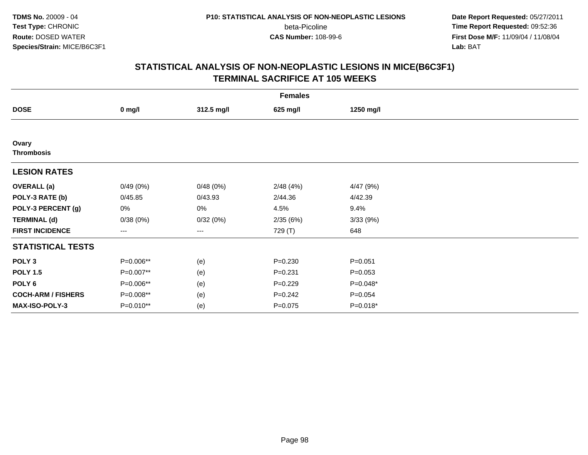**Date Report Requested:** 05/27/2011 **Time Report Requested:** 09:52:36 **First Dose M/F:** 11/09/04 / 11/08/04<br>Lab: BAT **Lab:** BAT

|                            | <b>Females</b>         |            |             |             |  |  |  |  |
|----------------------------|------------------------|------------|-------------|-------------|--|--|--|--|
| <b>DOSE</b>                | $0$ mg/l               | 312.5 mg/l | 625 mg/l    | 1250 mg/l   |  |  |  |  |
|                            |                        |            |             |             |  |  |  |  |
| Ovary<br><b>Thrombosis</b> |                        |            |             |             |  |  |  |  |
| <b>LESION RATES</b>        |                        |            |             |             |  |  |  |  |
| <b>OVERALL</b> (a)         | 0/49(0%)               | 0/48(0%)   | 2/48(4%)    | 4/47(9%)    |  |  |  |  |
| POLY-3 RATE (b)            | 0/45.85                | 0/43.93    | 2/44.36     | 4/42.39     |  |  |  |  |
| POLY-3 PERCENT (g)         | 0%                     | $0\%$      | 4.5%        | 9.4%        |  |  |  |  |
| <b>TERMINAL (d)</b>        | 0/38(0%)               | 0/32(0%)   | 2/35(6%)    | 3/33 (9%)   |  |  |  |  |
| <b>FIRST INCIDENCE</b>     | $\qquad \qquad \cdots$ | $--$       | 729 (T)     | 648         |  |  |  |  |
| <b>STATISTICAL TESTS</b>   |                        |            |             |             |  |  |  |  |
| POLY <sub>3</sub>          | P=0.006**              | (e)        | $P = 0.230$ | $P = 0.051$ |  |  |  |  |
| <b>POLY 1.5</b>            | P=0.007**              | (e)        | $P = 0.231$ | $P = 0.053$ |  |  |  |  |
| POLY <sub>6</sub>          | P=0.006**              | (e)        | $P=0.229$   | $P=0.048*$  |  |  |  |  |
| <b>COCH-ARM / FISHERS</b>  | P=0.008**              | (e)        | $P = 0.242$ | $P = 0.054$ |  |  |  |  |
| <b>MAX-ISO-POLY-3</b>      | P=0.010**              | (e)        | $P=0.075$   | $P=0.018*$  |  |  |  |  |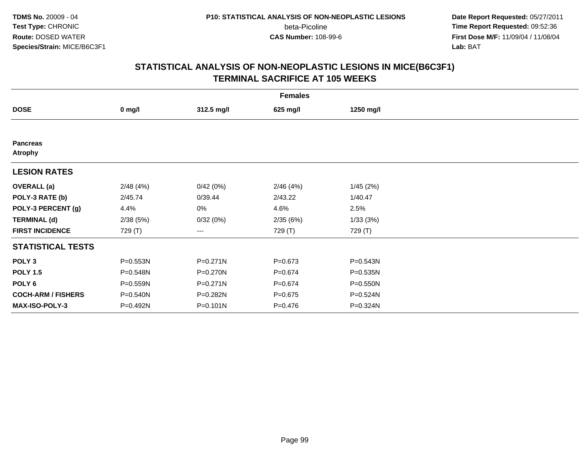**Date Report Requested:** 05/27/2011 **Time Report Requested:** 09:52:36 **First Dose M/F:** 11/09/04 / 11/08/04<br>Lab: BAT **Lab:** BAT

|                                   | <b>Females</b> |              |             |              |  |  |  |  |
|-----------------------------------|----------------|--------------|-------------|--------------|--|--|--|--|
| <b>DOSE</b>                       | $0$ mg/l       | 312.5 mg/l   | 625 mg/l    | 1250 mg/l    |  |  |  |  |
|                                   |                |              |             |              |  |  |  |  |
| <b>Pancreas</b><br><b>Atrophy</b> |                |              |             |              |  |  |  |  |
| <b>LESION RATES</b>               |                |              |             |              |  |  |  |  |
| <b>OVERALL</b> (a)                | 2/48(4%)       | 0/42(0%)     | 2/46(4%)    | 1/45(2%)     |  |  |  |  |
| POLY-3 RATE (b)                   | 2/45.74        | 0/39.44      | 2/43.22     | 1/40.47      |  |  |  |  |
| POLY-3 PERCENT (g)                | 4.4%           | 0%           | 4.6%        | 2.5%         |  |  |  |  |
| <b>TERMINAL (d)</b>               | 2/38(5%)       | 0/32(0%)     | 2/35(6%)    | 1/33(3%)     |  |  |  |  |
| <b>FIRST INCIDENCE</b>            | 729 (T)        | ---          | 729 (T)     | 729 (T)      |  |  |  |  |
| <b>STATISTICAL TESTS</b>          |                |              |             |              |  |  |  |  |
| POLY <sub>3</sub>                 | P=0.553N       | P=0.271N     | $P = 0.673$ | $P = 0.543N$ |  |  |  |  |
| <b>POLY 1.5</b>                   | P=0.548N       | P=0.270N     | $P = 0.674$ | P=0.535N     |  |  |  |  |
| POLY <sub>6</sub>                 | P=0.559N       | $P = 0.271N$ | $P = 0.674$ | P=0.550N     |  |  |  |  |
| <b>COCH-ARM / FISHERS</b>         | P=0.540N       | P=0.282N     | $P = 0.675$ | P=0.524N     |  |  |  |  |
| MAX-ISO-POLY-3                    | P=0.492N       | $P = 0.101N$ | $P = 0.476$ | P=0.324N     |  |  |  |  |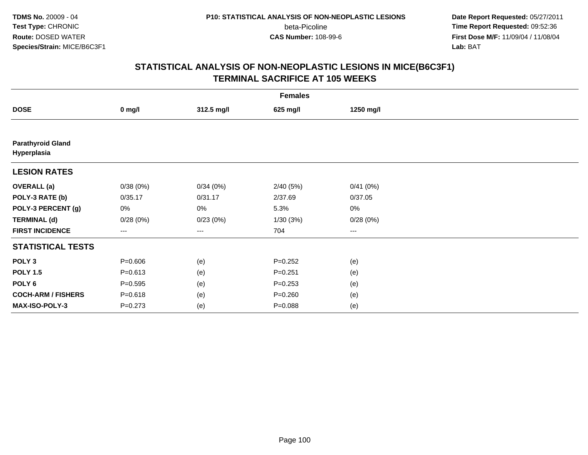**Date Report Requested:** 05/27/2011 **Time Report Requested:** 09:52:36 **First Dose M/F:** 11/09/04 / 11/08/04<br>Lab: BAT **Lab:** BAT

|                                         | <b>Females</b>    |                   |             |           |  |  |  |  |
|-----------------------------------------|-------------------|-------------------|-------------|-----------|--|--|--|--|
| <b>DOSE</b>                             | $0$ mg/l          | 312.5 mg/l        | 625 mg/l    | 1250 mg/l |  |  |  |  |
|                                         |                   |                   |             |           |  |  |  |  |
| <b>Parathyroid Gland</b><br>Hyperplasia |                   |                   |             |           |  |  |  |  |
| <b>LESION RATES</b>                     |                   |                   |             |           |  |  |  |  |
| <b>OVERALL</b> (a)                      | 0/38(0%)          | 0/34(0%)          | 2/40(5%)    | 0/41(0%)  |  |  |  |  |
| POLY-3 RATE (b)                         | 0/35.17           | 0/31.17           | 2/37.69     | 0/37.05   |  |  |  |  |
| POLY-3 PERCENT (g)                      | 0%                | $0\%$             | 5.3%        | 0%        |  |  |  |  |
| <b>TERMINAL (d)</b>                     | 0/28(0%)          | 0/23(0%)          | 1/30(3%)    | 0/28(0%)  |  |  |  |  |
| <b>FIRST INCIDENCE</b>                  | $\qquad \qquad -$ | $\qquad \qquad -$ | 704         | $--$      |  |  |  |  |
| <b>STATISTICAL TESTS</b>                |                   |                   |             |           |  |  |  |  |
| POLY <sub>3</sub>                       | $P = 0.606$       | (e)               | $P=0.252$   | (e)       |  |  |  |  |
| <b>POLY 1.5</b>                         | $P = 0.613$       | (e)               | $P = 0.251$ | (e)       |  |  |  |  |
| POLY <sub>6</sub>                       | $P = 0.595$       | (e)               | $P = 0.253$ | (e)       |  |  |  |  |
| <b>COCH-ARM / FISHERS</b>               | $P = 0.618$       | (e)               | $P = 0.260$ | (e)       |  |  |  |  |
| MAX-ISO-POLY-3                          | $P = 0.273$       | (e)               | $P = 0.088$ | (e)       |  |  |  |  |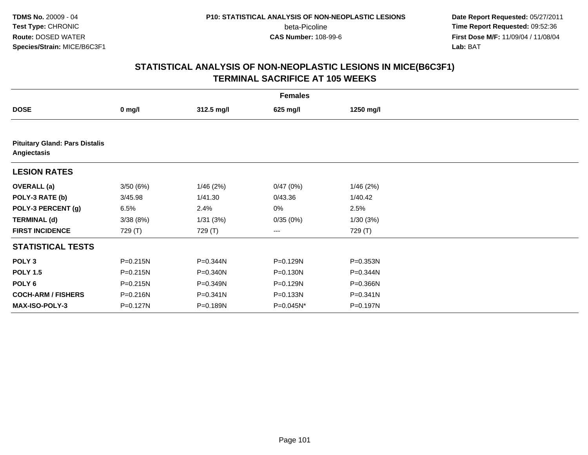**Date Report Requested:** 05/27/2011 **Time Report Requested:** 09:52:36 **First Dose M/F:** 11/09/04 / 11/08/04<br>Lab: BAT **Lab:** BAT

|                                                      | <b>Females</b> |            |           |           |  |  |  |  |  |
|------------------------------------------------------|----------------|------------|-----------|-----------|--|--|--|--|--|
| <b>DOSE</b>                                          | $0$ mg/l       | 312.5 mg/l | 625 mg/l  | 1250 mg/l |  |  |  |  |  |
|                                                      |                |            |           |           |  |  |  |  |  |
| <b>Pituitary Gland: Pars Distalis</b><br>Angiectasis |                |            |           |           |  |  |  |  |  |
| <b>LESION RATES</b>                                  |                |            |           |           |  |  |  |  |  |
| <b>OVERALL</b> (a)                                   | 3/50(6%)       | 1/46(2%)   | 0/47(0%)  | 1/46(2%)  |  |  |  |  |  |
| POLY-3 RATE (b)                                      | 3/45.98        | 1/41.30    | 0/43.36   | 1/40.42   |  |  |  |  |  |
| POLY-3 PERCENT (g)                                   | 6.5%           | 2.4%       | 0%        | 2.5%      |  |  |  |  |  |
| <b>TERMINAL (d)</b>                                  | 3/38(8%)       | 1/31(3%)   | 0/35(0%)  | 1/30(3%)  |  |  |  |  |  |
| <b>FIRST INCIDENCE</b>                               | 729 (T)        | 729 (T)    | ---       | 729 (T)   |  |  |  |  |  |
| <b>STATISTICAL TESTS</b>                             |                |            |           |           |  |  |  |  |  |
| POLY <sub>3</sub>                                    | P=0.215N       | P=0.344N   | P=0.129N  | P=0.353N  |  |  |  |  |  |
| <b>POLY 1.5</b>                                      | $P = 0.215N$   | P=0.340N   | P=0.130N  | P=0.344N  |  |  |  |  |  |
| POLY 6                                               | P=0.215N       | P=0.349N   | P=0.129N  | P=0.366N  |  |  |  |  |  |
| <b>COCH-ARM / FISHERS</b>                            | P=0.216N       | P=0.341N   | P=0.133N  | P=0.341N  |  |  |  |  |  |
| <b>MAX-ISO-POLY-3</b>                                | P=0.127N       | P=0.189N   | P=0.045N* | P=0.197N  |  |  |  |  |  |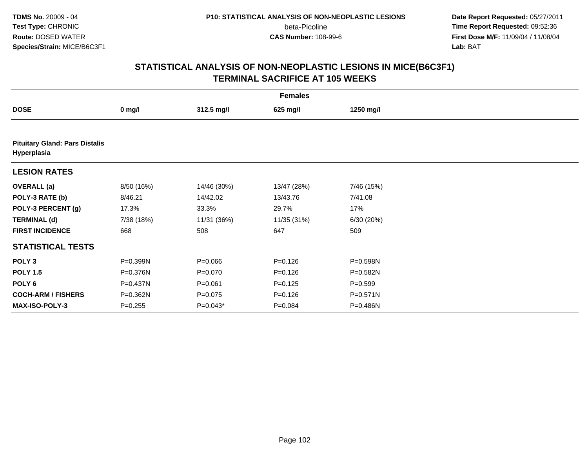**Date Report Requested:** 05/27/2011 **Time Report Requested:** 09:52:36 **First Dose M/F:** 11/09/04 / 11/08/04<br>Lab: BAT **Lab:** BAT

| <b>Females</b>                                       |            |             |             |              |  |  |  |  |  |
|------------------------------------------------------|------------|-------------|-------------|--------------|--|--|--|--|--|
| <b>DOSE</b>                                          | $0$ mg/l   | 312.5 mg/l  | 625 mg/l    | 1250 mg/l    |  |  |  |  |  |
|                                                      |            |             |             |              |  |  |  |  |  |
| <b>Pituitary Gland: Pars Distalis</b><br>Hyperplasia |            |             |             |              |  |  |  |  |  |
| <b>LESION RATES</b>                                  |            |             |             |              |  |  |  |  |  |
| <b>OVERALL</b> (a)                                   | 8/50 (16%) | 14/46 (30%) | 13/47 (28%) | 7/46 (15%)   |  |  |  |  |  |
| POLY-3 RATE (b)                                      | 8/46.21    | 14/42.02    | 13/43.76    | 7/41.08      |  |  |  |  |  |
| POLY-3 PERCENT (g)                                   | 17.3%      | 33.3%       | 29.7%       | 17%          |  |  |  |  |  |
| <b>TERMINAL (d)</b>                                  | 7/38 (18%) | 11/31 (36%) | 11/35 (31%) | 6/30 (20%)   |  |  |  |  |  |
| <b>FIRST INCIDENCE</b>                               | 668        | 508         | 647         | 509          |  |  |  |  |  |
| <b>STATISTICAL TESTS</b>                             |            |             |             |              |  |  |  |  |  |
| POLY <sub>3</sub>                                    | P=0.399N   | $P = 0.066$ | $P = 0.126$ | P=0.598N     |  |  |  |  |  |
| <b>POLY 1.5</b>                                      | P=0.376N   | $P = 0.070$ | $P = 0.126$ | P=0.582N     |  |  |  |  |  |
| POLY <sub>6</sub>                                    | P=0.437N   | $P = 0.061$ | $P = 0.125$ | $P = 0.599$  |  |  |  |  |  |
| <b>COCH-ARM / FISHERS</b>                            | P=0.362N   | $P = 0.075$ | $P = 0.126$ | $P = 0.571N$ |  |  |  |  |  |
| <b>MAX-ISO-POLY-3</b>                                | $P=0.255$  | $P=0.043*$  | $P = 0.084$ | P=0.486N     |  |  |  |  |  |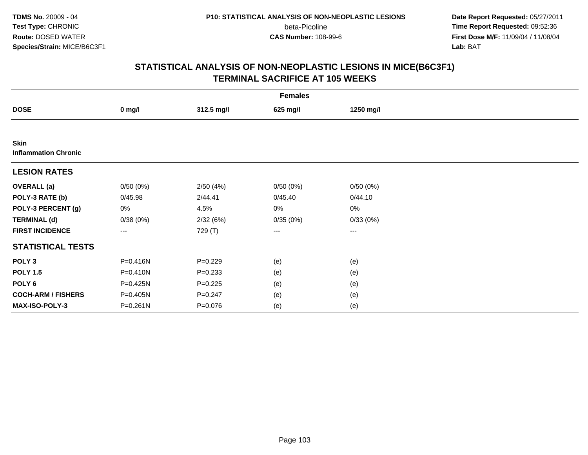**Date Report Requested:** 05/27/2011 **Time Report Requested:** 09:52:36 **First Dose M/F:** 11/09/04 / 11/08/04<br>Lab: BAT **Lab:** BAT

| <b>Females</b>                             |                        |             |          |           |  |  |  |
|--------------------------------------------|------------------------|-------------|----------|-----------|--|--|--|
| <b>DOSE</b>                                | $0$ mg/l               | 312.5 mg/l  | 625 mg/l | 1250 mg/l |  |  |  |
|                                            |                        |             |          |           |  |  |  |
| <b>Skin</b><br><b>Inflammation Chronic</b> |                        |             |          |           |  |  |  |
| <b>LESION RATES</b>                        |                        |             |          |           |  |  |  |
| <b>OVERALL</b> (a)                         | 0/50(0%)               | 2/50(4%)    | 0/50(0%) | 0/50(0%)  |  |  |  |
| POLY-3 RATE (b)                            | 0/45.98                | 2/44.41     | 0/45.40  | 0/44.10   |  |  |  |
| POLY-3 PERCENT (g)                         | 0%                     | 4.5%        | 0%       | 0%        |  |  |  |
| <b>TERMINAL (d)</b>                        | 0/38(0%)               | 2/32(6%)    | 0/35(0%) | 0/33(0%)  |  |  |  |
| <b>FIRST INCIDENCE</b>                     | $\qquad \qquad \cdots$ | 729 (T)     | ---      | $--$      |  |  |  |
| <b>STATISTICAL TESTS</b>                   |                        |             |          |           |  |  |  |
| POLY <sub>3</sub>                          | $P = 0.416N$           | $P=0.229$   | (e)      | (e)       |  |  |  |
| <b>POLY 1.5</b>                            | $P = 0.410N$           | $P = 0.233$ | (e)      | (e)       |  |  |  |
| POLY <sub>6</sub>                          | P=0.425N               | $P=0.225$   | (e)      | (e)       |  |  |  |
| <b>COCH-ARM / FISHERS</b>                  | P=0.405N               | $P = 0.247$ | (e)      | (e)       |  |  |  |
| MAX-ISO-POLY-3                             | $P = 0.261N$           | $P = 0.076$ | (e)      | (e)       |  |  |  |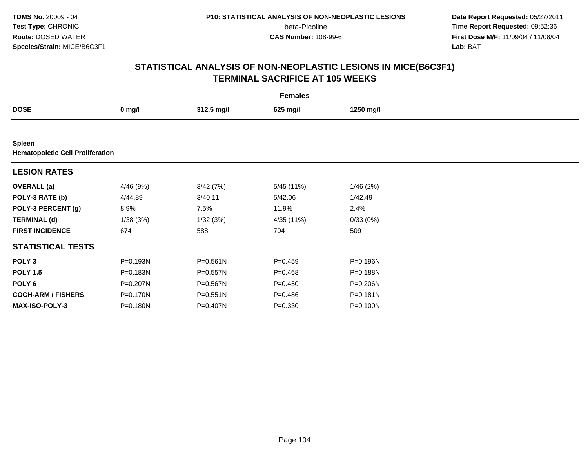**Date Report Requested:** 05/27/2011 **Time Report Requested:** 09:52:36 **First Dose M/F:** 11/09/04 / 11/08/04<br>Lab: BAT **Lab:** BAT

|                                                          | <b>Females</b> |              |             |              |  |  |  |  |
|----------------------------------------------------------|----------------|--------------|-------------|--------------|--|--|--|--|
| <b>DOSE</b>                                              | $0$ mg/l       | 312.5 mg/l   | 625 mg/l    | 1250 mg/l    |  |  |  |  |
|                                                          |                |              |             |              |  |  |  |  |
| <b>Spleen</b><br><b>Hematopoietic Cell Proliferation</b> |                |              |             |              |  |  |  |  |
| <b>LESION RATES</b>                                      |                |              |             |              |  |  |  |  |
| <b>OVERALL</b> (a)                                       | 4/46 (9%)      | 3/42(7%)     | 5/45 (11%)  | 1/46(2%)     |  |  |  |  |
| POLY-3 RATE (b)                                          | 4/44.89        | 3/40.11      | 5/42.06     | 1/42.49      |  |  |  |  |
| POLY-3 PERCENT (g)                                       | 8.9%           | 7.5%         | 11.9%       | 2.4%         |  |  |  |  |
| <b>TERMINAL (d)</b>                                      | 1/38(3%)       | 1/32(3%)     | 4/35 (11%)  | 0/33(0%)     |  |  |  |  |
| <b>FIRST INCIDENCE</b>                                   | 674            | 588          | 704         | 509          |  |  |  |  |
| <b>STATISTICAL TESTS</b>                                 |                |              |             |              |  |  |  |  |
| POLY <sub>3</sub>                                        | P=0.193N       | $P = 0.561N$ | $P = 0.459$ | P=0.196N     |  |  |  |  |
| <b>POLY 1.5</b>                                          | P=0.183N       | P=0.557N     | $P = 0.468$ | P=0.188N     |  |  |  |  |
| POLY 6                                                   | P=0.207N       | P=0.567N     | $P = 0.450$ | $P = 0.206N$ |  |  |  |  |
| <b>COCH-ARM / FISHERS</b>                                | P=0.170N       | P=0.551N     | $P = 0.486$ | $P = 0.181N$ |  |  |  |  |
| MAX-ISO-POLY-3                                           | P=0.180N       | P=0.407N     | $P = 0.330$ | P=0.100N     |  |  |  |  |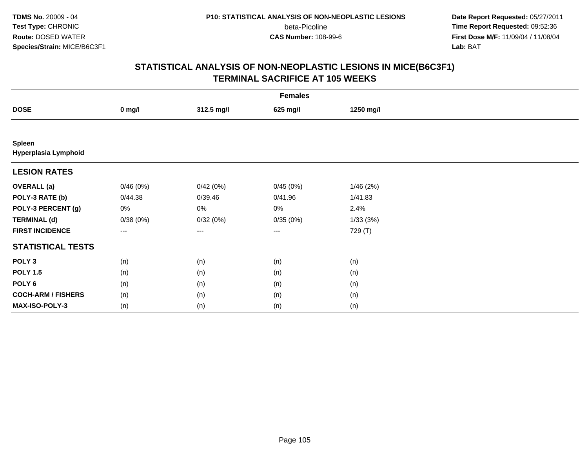**Date Report Requested:** 05/27/2011 **Time Report Requested:** 09:52:36 **First Dose M/F:** 11/09/04 / 11/08/04<br>Lab: BAT **Lab:** BAT

|                                       | <b>Females</b> |            |          |           |  |  |  |  |
|---------------------------------------|----------------|------------|----------|-----------|--|--|--|--|
| <b>DOSE</b>                           | $0$ mg/l       | 312.5 mg/l | 625 mg/l | 1250 mg/l |  |  |  |  |
|                                       |                |            |          |           |  |  |  |  |
| <b>Spleen</b><br>Hyperplasia Lymphoid |                |            |          |           |  |  |  |  |
| <b>LESION RATES</b>                   |                |            |          |           |  |  |  |  |
| <b>OVERALL</b> (a)                    | 0/46(0%)       | 0/42(0%)   | 0/45(0%) | 1/46(2%)  |  |  |  |  |
| POLY-3 RATE (b)                       | 0/44.38        | 0/39.46    | 0/41.96  | 1/41.83   |  |  |  |  |
| POLY-3 PERCENT (g)                    | $0\%$          | 0%         | 0%       | 2.4%      |  |  |  |  |
| <b>TERMINAL (d)</b>                   | 0/38(0%)       | 0/32(0%)   | 0/35(0%) | 1/33(3%)  |  |  |  |  |
| <b>FIRST INCIDENCE</b>                | ---            | ---        | $--$     | 729 (T)   |  |  |  |  |
| <b>STATISTICAL TESTS</b>              |                |            |          |           |  |  |  |  |
| POLY <sub>3</sub>                     | (n)            | (n)        | (n)      | (n)       |  |  |  |  |
| <b>POLY 1.5</b>                       | (n)            | (n)        | (n)      | (n)       |  |  |  |  |
| POLY <sub>6</sub>                     | (n)            | (n)        | (n)      | (n)       |  |  |  |  |
| <b>COCH-ARM / FISHERS</b>             | (n)            | (n)        | (n)      | (n)       |  |  |  |  |
| MAX-ISO-POLY-3                        | (n)            | (n)        | (n)      | (n)       |  |  |  |  |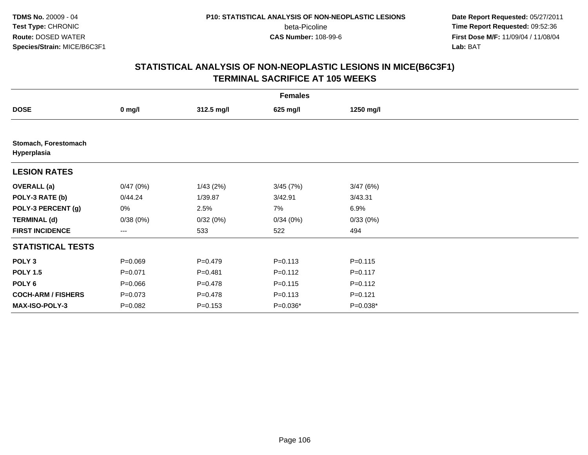**Date Report Requested:** 05/27/2011 **Time Report Requested:** 09:52:36 **First Dose M/F:** 11/09/04 / 11/08/04<br>Lab: BAT **Lab:** BAT

|                                     | <b>Females</b> |             |             |             |  |  |  |  |
|-------------------------------------|----------------|-------------|-------------|-------------|--|--|--|--|
| <b>DOSE</b>                         | $0$ mg/l       | 312.5 mg/l  | 625 mg/l    | 1250 mg/l   |  |  |  |  |
|                                     |                |             |             |             |  |  |  |  |
| Stomach, Forestomach<br>Hyperplasia |                |             |             |             |  |  |  |  |
| <b>LESION RATES</b>                 |                |             |             |             |  |  |  |  |
| <b>OVERALL</b> (a)                  | 0/47(0%)       | 1/43(2%)    | 3/45(7%)    | 3/47(6%)    |  |  |  |  |
| POLY-3 RATE (b)                     | 0/44.24        | 1/39.87     | 3/42.91     | 3/43.31     |  |  |  |  |
| POLY-3 PERCENT (g)                  | 0%             | 2.5%        | 7%          | 6.9%        |  |  |  |  |
| <b>TERMINAL (d)</b>                 | 0/38(0%)       | 0/32(0%)    | 0/34(0%)    | 0/33(0%)    |  |  |  |  |
| <b>FIRST INCIDENCE</b>              | ---            | 533         | 522         | 494         |  |  |  |  |
| <b>STATISTICAL TESTS</b>            |                |             |             |             |  |  |  |  |
| POLY <sub>3</sub>                   | $P = 0.069$    | $P=0.479$   | $P = 0.113$ | $P = 0.115$ |  |  |  |  |
| <b>POLY 1.5</b>                     | $P = 0.071$    | $P = 0.481$ | $P = 0.112$ | $P = 0.117$ |  |  |  |  |
| POLY 6                              | $P = 0.066$    | $P = 0.478$ | $P = 0.115$ | $P = 0.112$ |  |  |  |  |
| <b>COCH-ARM / FISHERS</b>           | $P = 0.073$    | $P = 0.478$ | $P = 0.113$ | $P = 0.121$ |  |  |  |  |
| MAX-ISO-POLY-3                      | $P=0.082$      | $P = 0.153$ | $P=0.036*$  | $P=0.038*$  |  |  |  |  |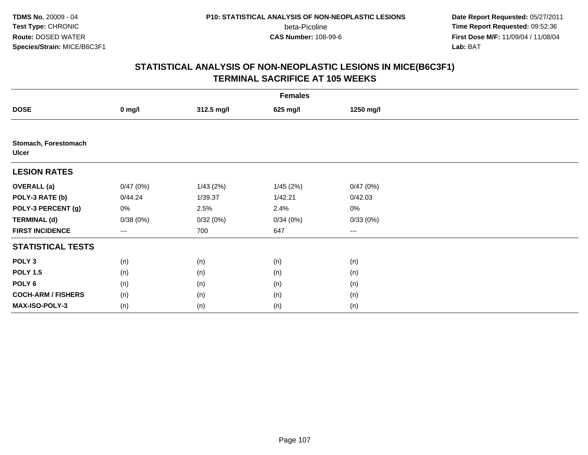**Date Report Requested:** 05/27/2011 **Time Report Requested:** 09:52:36 **First Dose M/F:** 11/09/04 / 11/08/04<br>Lab: BAT **Lab:** BAT

| <b>Females</b>                       |          |            |           |           |  |  |  |
|--------------------------------------|----------|------------|-----------|-----------|--|--|--|
| <b>DOSE</b>                          | $0$ mg/l | 312.5 mg/l | 625 mg/l  | 1250 mg/l |  |  |  |
|                                      |          |            |           |           |  |  |  |
| Stomach, Forestomach<br><b>Ulcer</b> |          |            |           |           |  |  |  |
| <b>LESION RATES</b>                  |          |            |           |           |  |  |  |
| <b>OVERALL</b> (a)                   | 0/47(0%) | 1/43(2%)   | 1/45 (2%) | 0/47(0%)  |  |  |  |
| POLY-3 RATE (b)                      | 0/44.24  | 1/39.37    | 1/42.21   | 0/42.03   |  |  |  |
| POLY-3 PERCENT (g)                   | 0%       | 2.5%       | 2.4%      | $0\%$     |  |  |  |
| <b>TERMINAL (d)</b>                  | 0/38(0%) | 0/32(0%)   | 0/34(0%)  | 0/33(0%)  |  |  |  |
| <b>FIRST INCIDENCE</b>               | ---      | 700        | 647       | $---$     |  |  |  |
| <b>STATISTICAL TESTS</b>             |          |            |           |           |  |  |  |
| POLY <sub>3</sub>                    | (n)      | (n)        | (n)       | (n)       |  |  |  |
| <b>POLY 1.5</b>                      | (n)      | (n)        | (n)       | (n)       |  |  |  |
| POLY <sub>6</sub>                    | (n)      | (n)        | (n)       | (n)       |  |  |  |
| <b>COCH-ARM / FISHERS</b>            | (n)      | (n)        | (n)       | (n)       |  |  |  |
| MAX-ISO-POLY-3                       | (n)      | (n)        | (n)       | (n)       |  |  |  |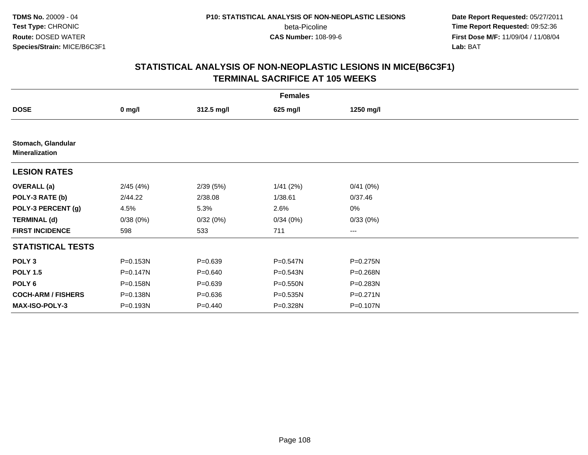**Date Report Requested:** 05/27/2011 **Time Report Requested:** 09:52:36 **First Dose M/F:** 11/09/04 / 11/08/04<br>Lab: BAT **Lab:** BAT

| <b>Females</b>                              |              |             |              |                   |  |  |  |
|---------------------------------------------|--------------|-------------|--------------|-------------------|--|--|--|
| <b>DOSE</b>                                 | $0$ mg/l     | 312.5 mg/l  | 625 mg/l     | 1250 mg/l         |  |  |  |
|                                             |              |             |              |                   |  |  |  |
| Stomach, Glandular<br><b>Mineralization</b> |              |             |              |                   |  |  |  |
| <b>LESION RATES</b>                         |              |             |              |                   |  |  |  |
| <b>OVERALL</b> (a)                          | 2/45(4%)     | 2/39(5%)    | 1/41(2%)     | 0/41(0%)          |  |  |  |
| POLY-3 RATE (b)                             | 2/44.22      | 2/38.08     | 1/38.61      | 0/37.46           |  |  |  |
| POLY-3 PERCENT (g)                          | 4.5%         | 5.3%        | 2.6%         | 0%                |  |  |  |
| <b>TERMINAL (d)</b>                         | 0/38(0%)     | 0/32(0%)    | 0/34(0%)     | 0/33(0%)          |  |  |  |
| <b>FIRST INCIDENCE</b>                      | 598          | 533         | 711          | $\qquad \qquad -$ |  |  |  |
| <b>STATISTICAL TESTS</b>                    |              |             |              |                   |  |  |  |
| POLY <sub>3</sub>                           | P=0.153N     | $P=0.639$   | $P = 0.547N$ | P=0.275N          |  |  |  |
| <b>POLY 1.5</b>                             | $P = 0.147N$ | $P = 0.640$ | P=0.543N     | P=0.268N          |  |  |  |
| POLY 6                                      | P=0.158N     | $P = 0.639$ | P=0.550N     | P=0.283N          |  |  |  |
| <b>COCH-ARM / FISHERS</b>                   | P=0.138N     | $P = 0.636$ | P=0.535N     | P=0.271N          |  |  |  |
| <b>MAX-ISO-POLY-3</b>                       | P=0.193N     | $P=0.440$   | P=0.328N     | P=0.107N          |  |  |  |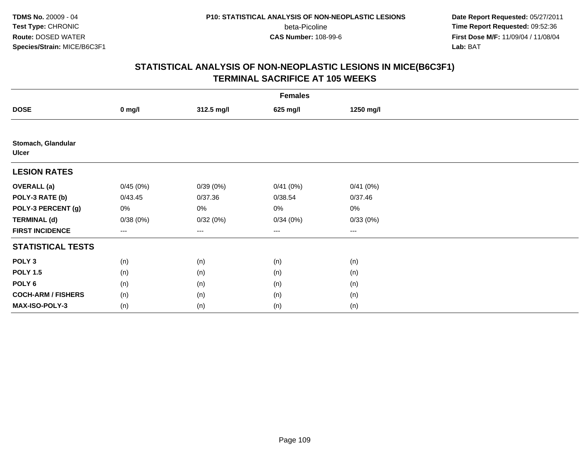**Date Report Requested:** 05/27/2011 **Time Report Requested:** 09:52:36 **First Dose M/F:** 11/09/04 / 11/08/04<br>Lab: BAT **Lab:** BAT

|                                    | <b>Females</b> |            |          |           |  |
|------------------------------------|----------------|------------|----------|-----------|--|
| <b>DOSE</b>                        | $0$ mg/l       | 312.5 mg/l | 625 mg/l | 1250 mg/l |  |
|                                    |                |            |          |           |  |
| Stomach, Glandular<br><b>Ulcer</b> |                |            |          |           |  |
| <b>LESION RATES</b>                |                |            |          |           |  |
| <b>OVERALL (a)</b>                 | 0/45(0%)       | 0/39(0%)   | 0/41(0%) | 0/41(0%)  |  |
| POLY-3 RATE (b)                    | 0/43.45        | 0/37.36    | 0/38.54  | 0/37.46   |  |
| POLY-3 PERCENT (g)                 | 0%             | $0\%$      | 0%       | 0%        |  |
| <b>TERMINAL (d)</b>                | 0/38(0%)       | 0/32(0%)   | 0/34(0%) | 0/33(0%)  |  |
| <b>FIRST INCIDENCE</b>             | ---            | $---$      | $---$    | ---       |  |
| <b>STATISTICAL TESTS</b>           |                |            |          |           |  |
| POLY <sub>3</sub>                  | (n)            | (n)        | (n)      | (n)       |  |
| <b>POLY 1.5</b>                    | (n)            | (n)        | (n)      | (n)       |  |
| POLY 6                             | (n)            | (n)        | (n)      | (n)       |  |
| <b>COCH-ARM / FISHERS</b>          | (n)            | (n)        | (n)      | (n)       |  |
| MAX-ISO-POLY-3                     | (n)            | (n)        | (n)      | (n)       |  |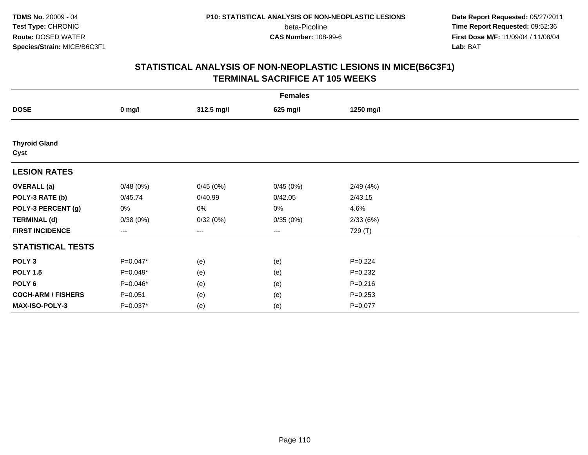**Date Report Requested:** 05/27/2011 **Time Report Requested:** 09:52:36 **First Dose M/F:** 11/09/04 / 11/08/04<br>Lab: BAT **Lab:** BAT

| <b>Females</b>               |                        |            |          |             |  |
|------------------------------|------------------------|------------|----------|-------------|--|
| <b>DOSE</b>                  | $0$ mg/l               | 312.5 mg/l | 625 mg/l | 1250 mg/l   |  |
|                              |                        |            |          |             |  |
| <b>Thyroid Gland</b><br>Cyst |                        |            |          |             |  |
| <b>LESION RATES</b>          |                        |            |          |             |  |
| <b>OVERALL</b> (a)           | 0/48(0%)               | 0/45(0%)   | 0/45(0%) | 2/49(4%)    |  |
| POLY-3 RATE (b)              | 0/45.74                | 0/40.99    | 0/42.05  | 2/43.15     |  |
| POLY-3 PERCENT (g)           | 0%                     | 0%         | 0%       | 4.6%        |  |
| <b>TERMINAL (d)</b>          | 0/38(0%)               | 0/32(0%)   | 0/35(0%) | 2/33(6%)    |  |
| <b>FIRST INCIDENCE</b>       | $\qquad \qquad \cdots$ | ---        | ---      | 729 (T)     |  |
| <b>STATISTICAL TESTS</b>     |                        |            |          |             |  |
| POLY <sub>3</sub>            | $P=0.047*$             | (e)        | (e)      | $P=0.224$   |  |
| <b>POLY 1.5</b>              | $P=0.049*$             | (e)        | (e)      | $P = 0.232$ |  |
| POLY <sub>6</sub>            | $P=0.046*$             | (e)        | (e)      | $P = 0.216$ |  |
| <b>COCH-ARM / FISHERS</b>    | $P = 0.051$            | (e)        | (e)      | $P = 0.253$ |  |
| MAX-ISO-POLY-3               | $P=0.037*$             | (e)        | (e)      | $P = 0.077$ |  |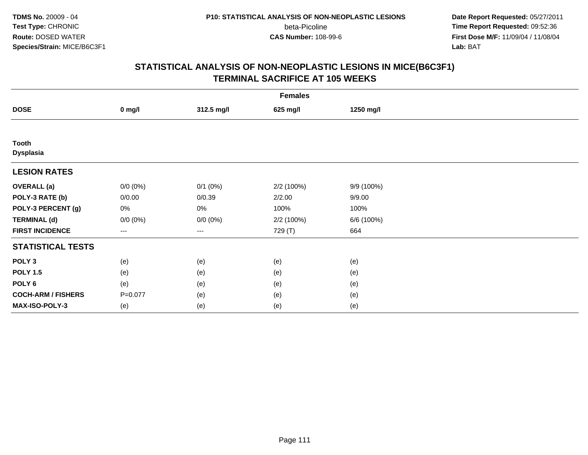**Date Report Requested:** 05/27/2011 **Time Report Requested:** 09:52:36 **First Dose M/F:** 11/09/04 / 11/08/04<br>Lab: BAT **Lab:** BAT

| <b>Females</b>                   |             |              |            |            |  |
|----------------------------------|-------------|--------------|------------|------------|--|
| <b>DOSE</b>                      | $0$ mg/l    | 312.5 mg/l   | 625 mg/l   | 1250 mg/l  |  |
|                                  |             |              |            |            |  |
| <b>Tooth</b><br><b>Dysplasia</b> |             |              |            |            |  |
| <b>LESION RATES</b>              |             |              |            |            |  |
| <b>OVERALL (a)</b>               | $0/0 (0\%)$ | $0/1$ $(0%)$ | 2/2 (100%) | 9/9 (100%) |  |
| POLY-3 RATE (b)                  | 0/0.00      | 0/0.39       | 2/2.00     | 9/9.00     |  |
| POLY-3 PERCENT (g)               | 0%          | 0%           | 100%       | 100%       |  |
| <b>TERMINAL (d)</b>              | $0/0 (0\%)$ | $0/0 (0\%)$  | 2/2 (100%) | 6/6 (100%) |  |
| <b>FIRST INCIDENCE</b>           | ---         | $\cdots$     | 729 (T)    | 664        |  |
| <b>STATISTICAL TESTS</b>         |             |              |            |            |  |
| POLY <sub>3</sub>                | (e)         | (e)          | (e)        | (e)        |  |
| <b>POLY 1.5</b>                  | (e)         | (e)          | (e)        | (e)        |  |
| POLY <sub>6</sub>                | (e)         | (e)          | (e)        | (e)        |  |
| <b>COCH-ARM / FISHERS</b>        | $P=0.077$   | (e)          | (e)        | (e)        |  |
| MAX-ISO-POLY-3                   | (e)         | (e)          | (e)        | (e)        |  |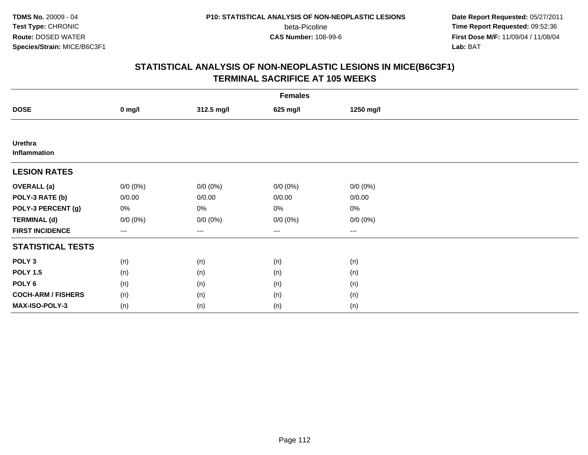**Date Report Requested:** 05/27/2011 **Time Report Requested:** 09:52:36 **First Dose M/F:** 11/09/04 / 11/08/04<br>Lab: BAT **Lab:** BAT

| <b>Females</b>                 |             |             |             |             |  |
|--------------------------------|-------------|-------------|-------------|-------------|--|
| <b>DOSE</b>                    | $0$ mg/l    | 312.5 mg/l  | 625 mg/l    | 1250 mg/l   |  |
|                                |             |             |             |             |  |
| Urethra<br><b>Inflammation</b> |             |             |             |             |  |
| <b>LESION RATES</b>            |             |             |             |             |  |
| <b>OVERALL</b> (a)             | $0/0 (0\%)$ | $0/0 (0\%)$ | $0/0 (0\%)$ | $0/0 (0\%)$ |  |
| POLY-3 RATE (b)                | 0/0.00      | 0/0.00      | 0/0.00      | 0/0.00      |  |
| POLY-3 PERCENT (g)             | 0%          | 0%          | 0%          | $0\%$       |  |
| <b>TERMINAL (d)</b>            | $0/0 (0\%)$ | $0/0 (0\%)$ | $0/0 (0\%)$ | $0/0 (0\%)$ |  |
| <b>FIRST INCIDENCE</b>         | $\cdots$    | $\cdots$    | $\cdots$    | $\cdots$    |  |
| <b>STATISTICAL TESTS</b>       |             |             |             |             |  |
| POLY <sub>3</sub>              | (n)         | (n)         | (n)         | (n)         |  |
| <b>POLY 1.5</b>                | (n)         | (n)         | (n)         | (n)         |  |
| POLY <sub>6</sub>              | (n)         | (n)         | (n)         | (n)         |  |
| <b>COCH-ARM / FISHERS</b>      | (n)         | (n)         | (n)         | (n)         |  |
| MAX-ISO-POLY-3                 | (n)         | (n)         | (n)         | (n)         |  |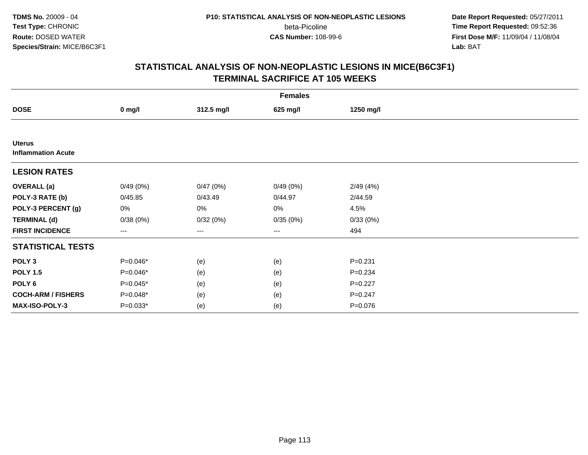**Date Report Requested:** 05/27/2011 **Time Report Requested:** 09:52:36 **First Dose M/F:** 11/09/04 / 11/08/04<br>Lab: BAT **Lab:** BAT

| <b>Females</b>                             |            |            |          |             |  |
|--------------------------------------------|------------|------------|----------|-------------|--|
| <b>DOSE</b>                                | $0$ mg/l   | 312.5 mg/l | 625 mg/l | 1250 mg/l   |  |
|                                            |            |            |          |             |  |
| <b>Uterus</b><br><b>Inflammation Acute</b> |            |            |          |             |  |
| <b>LESION RATES</b>                        |            |            |          |             |  |
| <b>OVERALL</b> (a)                         | 0/49(0%)   | 0/47(0%)   | 0/49(0%) | 2/49(4%)    |  |
| POLY-3 RATE (b)                            | 0/45.85    | 0/43.49    | 0/44.97  | 2/44.59     |  |
| POLY-3 PERCENT (g)                         | 0%         | 0%         | 0%       | 4.5%        |  |
| <b>TERMINAL (d)</b>                        | 0/38(0%)   | 0/32(0%)   | 0/35(0%) | 0/33(0%)    |  |
| <b>FIRST INCIDENCE</b>                     | ---        | ---        | $\cdots$ | 494         |  |
| <b>STATISTICAL TESTS</b>                   |            |            |          |             |  |
| POLY <sub>3</sub>                          | P=0.046*   | (e)        | (e)      | $P = 0.231$ |  |
| <b>POLY 1.5</b>                            | P=0.046*   | (e)        | (e)      | $P = 0.234$ |  |
| POLY <sub>6</sub>                          | $P=0.045*$ | (e)        | (e)      | $P=0.227$   |  |
| <b>COCH-ARM / FISHERS</b>                  | P=0.048*   | (e)        | (e)      | $P = 0.247$ |  |
| <b>MAX-ISO-POLY-3</b>                      | $P=0.033*$ | (e)        | (e)      | $P = 0.076$ |  |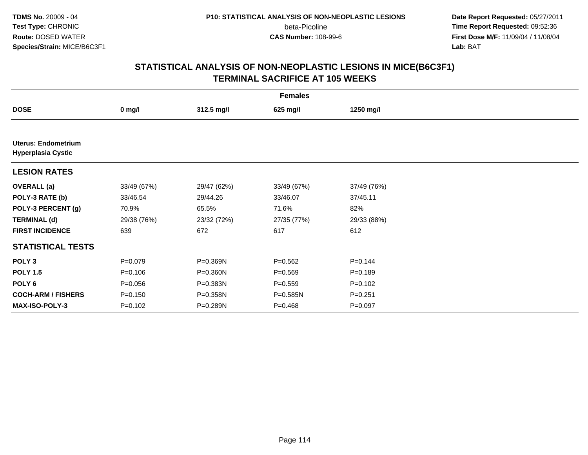**Date Report Requested:** 05/27/2011 **Time Report Requested:** 09:52:36 **First Dose M/F:** 11/09/04 / 11/08/04<br>Lab: BAT **Lab:** BAT

| <b>Females</b>                                          |             |             |              |             |  |
|---------------------------------------------------------|-------------|-------------|--------------|-------------|--|
| <b>DOSE</b>                                             | $0$ mg/l    | 312.5 mg/l  | 625 mg/l     | 1250 mg/l   |  |
|                                                         |             |             |              |             |  |
| <b>Uterus: Endometrium</b><br><b>Hyperplasia Cystic</b> |             |             |              |             |  |
| <b>LESION RATES</b>                                     |             |             |              |             |  |
| <b>OVERALL</b> (a)                                      | 33/49 (67%) | 29/47 (62%) | 33/49 (67%)  | 37/49 (76%) |  |
| POLY-3 RATE (b)                                         | 33/46.54    | 29/44.26    | 33/46.07     | 37/45.11    |  |
| POLY-3 PERCENT (g)                                      | 70.9%       | 65.5%       | 71.6%        | 82%         |  |
| <b>TERMINAL (d)</b>                                     | 29/38 (76%) | 23/32 (72%) | 27/35 (77%)  | 29/33 (88%) |  |
| <b>FIRST INCIDENCE</b>                                  | 639         | 672         | 617          | 612         |  |
| <b>STATISTICAL TESTS</b>                                |             |             |              |             |  |
| POLY <sub>3</sub>                                       | $P=0.079$   | P=0.369N    | $P = 0.562$  | $P = 0.144$ |  |
| <b>POLY 1.5</b>                                         | $P=0.106$   | P=0.360N    | $P = 0.569$  | $P = 0.189$ |  |
| POLY <sub>6</sub>                                       | $P = 0.056$ | P=0.383N    | $P = 0.559$  | $P = 0.102$ |  |
| <b>COCH-ARM / FISHERS</b>                               | $P = 0.150$ | P=0.358N    | $P = 0.585N$ | $P = 0.251$ |  |
| MAX-ISO-POLY-3                                          | $P = 0.102$ | P=0.289N    | $P = 0.468$  | $P=0.097$   |  |